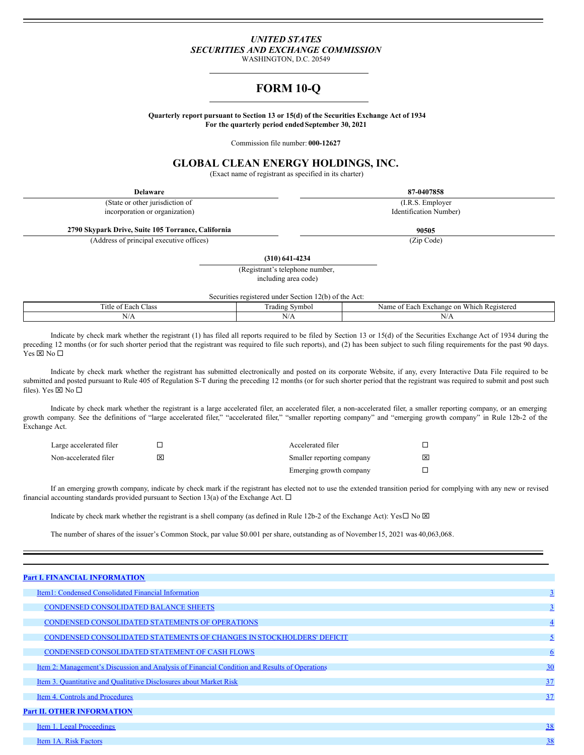## *UNITED STATES SECURITIES AND EXCHANGE COMMISSION*

WASHINGTON, D.C. 20549

# **FORM 10-Q**

### **Quarterly report pursuant to Section 13 or 15(d) of the Securities Exchange Act of 1934 For the quarterly period endedSeptember 30, 2021**

Commission file number: **000-12627**

# **GLOBAL CLEAN ENERGY HOLDINGS, INC.**

(Exact name of registrant as specified in its charter)

| <b>Delaware</b>                                    | 87-0407858             |
|----------------------------------------------------|------------------------|
| (State or other jurisdiction of                    | (I.R.S. Employer)      |
| incorporation or organization)                     | Identification Number) |
| 2790 Skypark Drive, Suite 105 Torrance, California | 90505                  |
| (Address of principal executive offices)           | (Zip Code)             |
|                                                    |                        |

**(310) 641-4234**

(Registrant's telephone number, including area code)

| Securities registered under Section 12(b) of the Act: |  |
|-------------------------------------------------------|--|
|                                                       |  |

| m.<br>' itle<br>Clas:<br>ОT | symbo.<br>rading    | $x \times x +$<br>W hich<br><b>Name</b><br>Registered<br>Each<br>on<br>Exchange |
|-----------------------------|---------------------|---------------------------------------------------------------------------------|
| 13/T                        | N<br>. . <i>.</i> . | . .<br>1 V / 7 L                                                                |
|                             |                     |                                                                                 |

Indicate by check mark whether the registrant (1) has filed all reports required to be filed by Section 13 or 15(d) of the Securities Exchange Act of 1934 during the preceding 12 months (or for such shorter period that the registrant was required to file such reports), and (2) has been subject to such filing requirements for the past 90 days.  $Yes \boxtimes No \square$ 

Indicate by check mark whether the registrant has submitted electronically and posted on its corporate Website, if any, every Interactive Data File required to be submitted and posted pursuant to Rule 405 of Regulation S-T during the preceding 12 months (or for such shorter period that the registrant was required to submit and post such files). Yes  $\times$  No  $\square$ 

Indicate by check mark whether the registrant is a large accelerated filer, an accelerated filer, a non-accelerated filer, a smaller reporting company, or an emerging growth company. See the definitions of "large accelerated filer," "accelerated filer," "smaller reporting company" and "emerging growth company" in Rule 12b-2 of the Exchange Act.

| Large accelerated filer |     | Accelerated filer         |   |
|-------------------------|-----|---------------------------|---|
| Non-accelerated filer   | íΧł | Smaller reporting company | ⊠ |
|                         |     | Emerging growth company   |   |

If an emerging growth company, indicate by check mark if the registrant has elected not to use the extended transition period for complying with any new or revised financial accounting standards provided pursuant to Section 13(a) of the Exchange Act.  $\Box$ 

Indicate by check mark whether the registrant is a shell company (as defined in Rule 12b-2 of the Exchange Act): Yes $\Box$  No  $\boxtimes$ 

The number of shares of the issuer's Common Stock, par value \$0.001 per share, outstanding as of November15, 2021 was 40,063,068.

| <b>Part I. FINANCIAL INFORMATION</b>                                                          |                |
|-----------------------------------------------------------------------------------------------|----------------|
| Item1: Condensed Consolidated Financial Information                                           | $\overline{3}$ |
| <b>CONDENSED CONSOLIDATED BALANCE SHEETS</b>                                                  | $\mathbf{3}$   |
| CONDENSED CONSOLIDATED STATEMENTS OF OPERATIONS                                               | $\overline{4}$ |
| CONDENSED CONSOLIDATED STATEMENTS OF CHANGES IN STOCKHOLDERS' DEFICIT                         | $\mathfrak{S}$ |
| CONDENSED CONSOLIDATED STATEMENT OF CASH FLOWS                                                | 6              |
| Item 2: Management's Discussion and Analysis of Financial Condition and Results of Operations | 30             |
| Item 3. Quantitative and Qualitative Disclosures about Market Risk                            | 37             |
| Item 4. Controls and Procedures                                                               | 37             |
| <b>Part II. OTHER INFORMATION</b>                                                             |                |
| Item 1. Legal Proceedings                                                                     | 38             |
| Item 1A. Risk Factors                                                                         | 38             |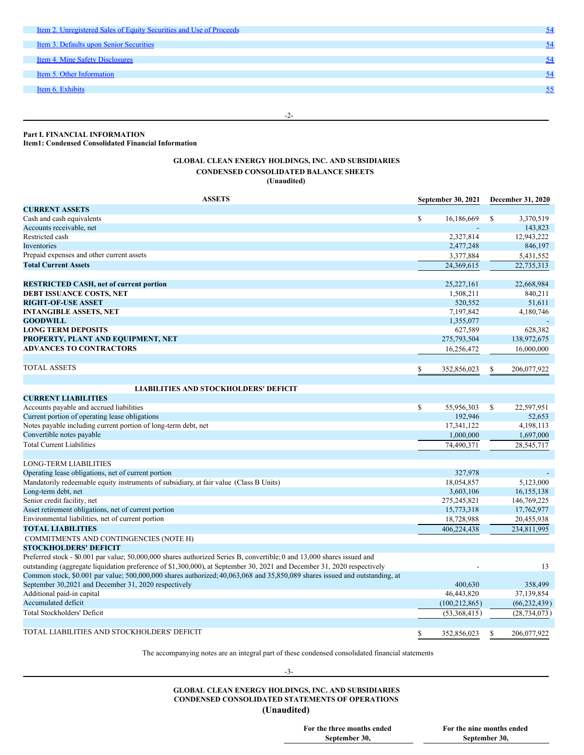| Item 2. Unregistered Sales of Equity Securities and Use of Proceeds | 54 |
|---------------------------------------------------------------------|----|
| Item 3. Defaults upon Senior Securities                             | 54 |
| <b>Item 4. Mine Safety Disclosures</b>                              | 54 |
| Item 5. Other Information                                           | 54 |
| Item 6. Exhibits                                                    |    |
|                                                                     |    |

-2-

## <span id="page-1-0"></span>**Part I. FINANCIAL INFORMATION**

<span id="page-1-1"></span>**Item1: Condensed Consolidated Financial Information**

## <span id="page-1-2"></span>**GLOBAL CLEAN ENERGY HOLDINGS, INC. AND SUBSIDIARIES CONDENSED CONSOLIDATED BALANCE SHEETS (Unaudited)**

| <b>ASSETS</b>                                                                                                               |    | September 30, 2021 | December 31, 2020 |                |  |
|-----------------------------------------------------------------------------------------------------------------------------|----|--------------------|-------------------|----------------|--|
| <b>CURRENT ASSETS</b>                                                                                                       |    |                    |                   |                |  |
| Cash and cash equivalents                                                                                                   | \$ | 16,186,669         | \$                | 3,370,519      |  |
| Accounts receivable, net                                                                                                    |    |                    |                   | 143,823        |  |
| Restricted cash                                                                                                             |    | 2,327,814          |                   | 12,943,222     |  |
| Inventories                                                                                                                 |    | 2,477,248          |                   | 846,197        |  |
| Prepaid expenses and other current assets                                                                                   |    | 3,377,884          |                   | 5,431,552      |  |
| <b>Total Current Assets</b>                                                                                                 |    | 24.369.615         |                   | 22,735,313     |  |
|                                                                                                                             |    |                    |                   |                |  |
| <b>RESTRICTED CASH, net of current portion</b>                                                                              |    | 25,227,161         |                   | 22,668,984     |  |
| <b>DEBT ISSUANCE COSTS, NET</b>                                                                                             |    | 1,508,211          |                   | 840,211        |  |
| <b>RIGHT-OF-USE ASSET</b>                                                                                                   |    | 520,552            |                   | 51,611         |  |
| <b>INTANGIBLE ASSETS, NET</b>                                                                                               |    | 7,197,842          |                   | 4,180,746      |  |
| <b>GOODWILL</b>                                                                                                             |    | 1,355,077          |                   |                |  |
| <b>LONG TERM DEPOSITS</b>                                                                                                   |    | 627,589            |                   | 628,382        |  |
| PROPERTY, PLANT AND EQUIPMENT, NET                                                                                          |    | 275,793,504        |                   | 138,972,675    |  |
| <b>ADVANCES TO CONTRACTORS</b>                                                                                              |    | 16,256,472         |                   | 16,000,000     |  |
|                                                                                                                             |    |                    |                   |                |  |
| <b>TOTAL ASSETS</b>                                                                                                         | \$ |                    | \$                |                |  |
|                                                                                                                             |    | 352,856,023        |                   | 206,077,922    |  |
|                                                                                                                             |    |                    |                   |                |  |
| <b>LIABILITIES AND STOCKHOLDERS' DEFICIT</b>                                                                                |    |                    |                   |                |  |
| <b>CURRENT LIABILITIES</b>                                                                                                  |    |                    |                   |                |  |
| Accounts payable and accrued liabilities                                                                                    | \$ | 55,956,303         | \$                | 22,597,951     |  |
| Current portion of operating lease obligations                                                                              |    | 192,946            |                   | 52,653         |  |
| Notes payable including current portion of long-term debt, net                                                              |    | 17,341,122         |                   | 4,198,113      |  |
| Convertible notes payable                                                                                                   |    | 1,000,000          |                   | 1,697,000      |  |
| <b>Total Current Liabilities</b>                                                                                            |    | 74,490,371         |                   | 28,545,717     |  |
|                                                                                                                             |    |                    |                   |                |  |
| <b>LONG-TERM LIABILITIES</b>                                                                                                |    |                    |                   |                |  |
| Operating lease obligations, net of current portion                                                                         |    | 327,978            |                   |                |  |
| Mandatorily redeemable equity instruments of subsidiary, at fair value (Class B Units)                                      |    | 18,054,857         |                   | 5,123,000      |  |
| Long-term debt, net                                                                                                         |    | 3,603,106          |                   | 16, 155, 138   |  |
| Senior credit facility, net                                                                                                 |    | 275,245,821        |                   | 146,769,225    |  |
| Asset retirement obligations, net of current portion                                                                        |    | 15,773,318         |                   | 17,762,977     |  |
| Environmental liabilities, net of current portion                                                                           |    | 18,728,988         |                   | 20,455,938     |  |
| <b>TOTAL LIABILITIES</b>                                                                                                    |    | 406,224,438        |                   | 234,811,995    |  |
| COMMITMENTS AND CONTINGENCIES (NOTE H)                                                                                      |    |                    |                   |                |  |
| <b>STOCKHOLDERS' DEFICIT</b>                                                                                                |    |                    |                   |                |  |
| Preferred stock - \$0.001 par value; 50,000,000 shares authorized Series B, convertible; 0 and 13,000 shares issued and     |    |                    |                   |                |  |
| outstanding (aggregate liquidation preference of \$1,300,000), at September 30, 2021 and December 31, 2020 respectively     |    |                    |                   | 13             |  |
| Common stock, \$0.001 par value; 500,000,000 shares authorized; 40,063,068 and 35,850,089 shares issued and outstanding, at |    |                    |                   |                |  |
| September 30,2021 and December 31, 2020 respectively                                                                        |    | 400,630            |                   | 358,499        |  |
| Additional paid-in capital                                                                                                  |    | 46,443,820         |                   | 37,139,854     |  |
| Accumulated deficit                                                                                                         |    | (100, 212, 865)    |                   | (66, 232, 439) |  |
| <b>Total Stockholders' Deficit</b>                                                                                          |    | (53,368,415)       |                   | (28, 734, 073) |  |
|                                                                                                                             |    |                    |                   |                |  |
| TOTAL LIABILITIES AND STOCKHOLDERS' DEFICIT                                                                                 | \$ | 352,856,023        | \$                | 206,077,922    |  |
|                                                                                                                             |    |                    |                   |                |  |

The accompanying notes are an integral part of these condensed consolidated financial statements

<span id="page-1-3"></span>**GLOBAL CLEAN ENERGY HOLDINGS, INC. AND SUBSIDIARIES CONDENSED CONSOLIDATED STATEMENTS OF OPERATIONS (Unaudited)**

> **For the three months ended September 30,**

**For the nine months ended September 30,**

-3-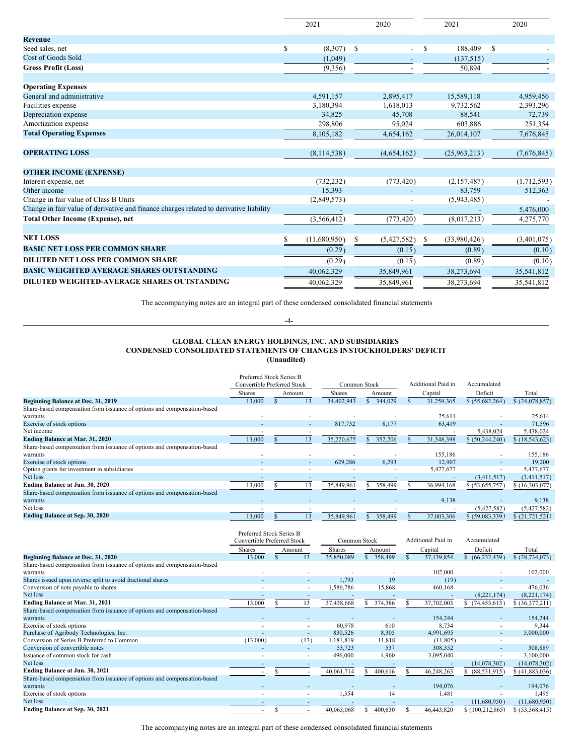|                                                                                        | 2021          | 2020<br>2021 |             |               |              | 2020 |             |
|----------------------------------------------------------------------------------------|---------------|--------------|-------------|---------------|--------------|------|-------------|
| <b>Revenue</b>                                                                         |               |              |             |               |              |      |             |
| Seed sales, net                                                                        | \$<br>(8,307) | S            |             | S             | 188,409      | S    |             |
| <b>Cost of Goods Sold</b>                                                              | (1,049)       |              |             |               | (137, 515)   |      |             |
| <b>Gross Profit (Loss)</b>                                                             | (9,356)       |              |             |               | 50,894       |      |             |
| <b>Operating Expenses</b>                                                              |               |              |             |               |              |      |             |
| General and administrative                                                             | 4,591,157     |              | 2,895,417   |               | 15,589,118   |      | 4,959,456   |
| Facilities expense                                                                     | 3,180,394     |              | 1,618,013   |               | 9,732,562    |      | 2,393,296   |
| Depreciation expense                                                                   | 34,825        |              | 45,708      |               | 88,541       |      | 72,739      |
| Amortization expense                                                                   | 298,806       |              | 95,024      |               | 603,886      |      | 251,354     |
| <b>Total Operating Expenses</b>                                                        | 8,105,182     |              | 4,654,162   |               | 26,014,107   |      | 7,676,845   |
| <b>OPERATING LOSS</b>                                                                  | (8, 114, 538) |              | (4,654,162) |               | (25,963,213) |      | (7,676,845) |
| <b>OTHER INCOME (EXPENSE)</b>                                                          |               |              |             |               |              |      |             |
| Interest expense, net                                                                  | (732, 232)    |              | (773, 420)  |               | (2,157,487)  |      | (1,712,593) |
| Other income                                                                           | 15,393        |              |             |               | 83,759       |      | 512,363     |
| Change in fair value of Class B Units                                                  | (2,849,573)   |              |             |               | (5,943,485)  |      |             |
| Change in fair value of derivative and finance charges related to derivative liability |               |              |             |               |              |      | 5,476,000   |
| <b>Total Other Income (Expense), net</b>                                               | (3, 566, 412) |              | (773, 420)  |               | (8,017,213)  |      | 4,275,770   |
| <b>NET LOSS</b>                                                                        | (11,680,950)  | S            | (5,427,582) | <sup>\$</sup> | (33,980,426) |      | (3,401,075) |
| <b>BASIC NET LOSS PER COMMON SHARE</b>                                                 | (0.29)        |              | (0.15)      |               | (0.89)       |      | (0.10)      |
| <b>DILUTED NET LOSS PER COMMON SHARE</b>                                               | (0.29)        |              | (0.15)      |               | (0.89)       |      | (0.10)      |
| <b>BASIC WEIGHTED AVERAGE SHARES OUTSTANDING</b>                                       | 40,062,329    |              | 35,849,961  |               | 38,273,694   |      | 35,541,812  |
| DILUTED WEIGHTED-AVERAGE SHARES OUTSTANDING                                            | 40,062,329    |              | 35,849,961  |               | 38,273,694   |      | 35,541,812  |

The accompanying notes are an integral part of these condensed consolidated financial statements

-4-

## <span id="page-2-0"></span>**GLOBAL CLEAN ENERGY HOLDINGS, INC. AND SUBSIDIARIES CONDENSED CONSOLIDATED STATEMENTS OF CHANGES INSTOCKHOLDERS' DEFICIT (Unaudited)**

|                                                                          | Preferred Stock Series B<br>Convertible Preferred Stock |  | Common Stock |               |  | Additional Paid in       |     | Accumulated |                          |                  |
|--------------------------------------------------------------------------|---------------------------------------------------------|--|--------------|---------------|--|--------------------------|-----|-------------|--------------------------|------------------|
|                                                                          | <b>Shares</b>                                           |  | Amount       | <b>Shares</b> |  | Amount                   |     | Capital     | Deficit                  | Total            |
| Beginning Balance at Dec. 31, 2019                                       | 13,000                                                  |  | 13           | 34,402,943    |  | 344,029                  | \$. | 31,259,365  | \$ (55,682,264)          | \$(24,078,857)   |
| Share-based compensation from issuance of options and compensation-based |                                                         |  |              |               |  |                          |     |             |                          |                  |
| warrants                                                                 |                                                         |  |              |               |  |                          |     | 25,614      |                          | 25,614           |
| Exercise of stock options                                                |                                                         |  | ۰            | 817,732       |  | 8,177                    |     | 63,419      |                          | 71,596           |
| Net income                                                               |                                                         |  |              |               |  |                          |     |             | 5,438,024                | 5,438,024        |
| Ending Balance at Mar. 31, 2020                                          | 13,000                                                  |  | 13           | 35,220,675    |  | 352,206                  |     | 31,348,398  | \$ (50,244,240)          | \$(18, 543, 623) |
| Share-based compensation from issuance of options and compensation-based |                                                         |  |              |               |  |                          |     |             |                          |                  |
| warrants                                                                 |                                                         |  | ۰            |               |  |                          |     | 155,186     |                          | 155,186          |
| Exercise of stock options                                                |                                                         |  | ۰.           | 629,286       |  | 6,293                    |     | 12,907      | $\overline{\phantom{a}}$ | 19,200           |
| Option grants for investment in subsidiaries                             |                                                         |  | ۰            |               |  |                          |     | 5,477,677   | $\overline{\phantom{a}}$ | 5,477,677        |
| Net loss                                                                 |                                                         |  |              |               |  |                          |     |             | (3,411,517)              | (3,411,517)      |
| Ending Balance at Jun. 30, 2020                                          | 13,000                                                  |  | 13           | 35,849,961    |  | 358,499                  |     | 36,994,168  | \$(53,655,757)           | \$(16,303,077)   |
| Share-based compensation from issuance of options and compensation-based |                                                         |  |              |               |  |                          |     |             |                          |                  |
| warrants                                                                 |                                                         |  |              |               |  | $\overline{\phantom{a}}$ |     | 9,138       | $\overline{\phantom{a}}$ | 9,138            |
| Net loss                                                                 |                                                         |  |              |               |  |                          |     |             | (5,427,582)              | (5,427,582)      |
| <b>Ending Balance at Sep. 30, 2020</b>                                   | 13,000                                                  |  | 13           | 35,849,961    |  | 358,499                  |     | 37,003,306  | \$ (59,083,339)          | \$(21,721,521)   |

|                                                                          | Preferred Stock Series B    |    |                          |               |         |   |                    |                          |                   |
|--------------------------------------------------------------------------|-----------------------------|----|--------------------------|---------------|---------|---|--------------------|--------------------------|-------------------|
|                                                                          | Convertible Preferred Stock |    |                          | Common Stock  |         |   | Additional Paid in | Accumulated              |                   |
|                                                                          | <b>Shares</b>               |    | Amount                   | <b>Shares</b> | Amount  |   | Capital            | Deficit                  | Total             |
| Beginning Balance at Dec. 31, 2020                                       | 13,000                      |    | 13                       | 35,850,089    | 358,499 | S | 37,139,854         | (66, 232, 439)           | \$ (28, 734, 073) |
| Share-based compensation from issuance of options and compensation-based |                             |    |                          |               |         |   |                    |                          |                   |
| warrants                                                                 |                             |    |                          |               |         |   | 102,000            |                          | 102,000           |
| Shares issued upon reverse split to avoid fractional shares              |                             |    | $\overline{\phantom{a}}$ | 1,793         | 19      |   | (19)               |                          |                   |
| Conversion of note payable to shares                                     |                             |    | $\sim$                   | 1,586,786     | 15,868  |   | 460,168            |                          | 476,036           |
| Net loss                                                                 |                             |    |                          |               |         |   |                    | (8,221,174)              | (8,221,174)       |
| Ending Balance at Mar. 31, 2021                                          | 13,000                      |    | 13                       | 37,438,668    | 374,386 |   | 37,702,003         | (74, 453, 613)           | \$ (36,377,211)   |
| Share-based compensation from issuance of options and compensation-based |                             |    |                          |               |         |   |                    |                          |                   |
| warrants                                                                 |                             |    |                          |               |         |   | 154,244            |                          | 154,244           |
| Exercise of stock options                                                |                             |    |                          | 60,978        | 610     |   | 8,734              |                          | 9,344             |
| Purchase of Agribody Technologies, Inc.                                  |                             |    |                          | 830,526       | 8,305   |   | 4,991,695          | $\overline{\phantom{a}}$ | 5,000,000         |
| Conversion of Series B Preferred to Common                               | (13,000)                    |    | (13)                     | 1,181,819     | 11,818  |   | (11, 805)          |                          |                   |
| Conversion of convertible notes                                          |                             |    | ٠                        | 53,723        | 537     |   | 308,352            |                          | 308,889           |
| Issuance of common stock for cash                                        |                             |    |                          | 496,000       | 4,960   |   | 3,095,040          |                          | 3,100,000         |
| Net loss                                                                 |                             |    |                          |               |         |   |                    | (14,078,302)             | (14,078,302)      |
| Ending Balance at Jun. 30, 2021                                          |                             | S. | $\overline{\phantom{a}}$ | 40,061,714    | 400,616 |   | 46,248,263         | (88, 531, 915)           | \$ (41,883,036)   |
| Share-based compensation from issuance of options and compensation-based |                             |    |                          |               |         |   |                    |                          |                   |
| warrants                                                                 |                             |    |                          |               |         |   | 194,076            |                          | 194,076           |
| Exercise of stock options                                                |                             |    | $\overline{\phantom{a}}$ | 1,354         | 14      |   | 1,481              |                          | 1,495             |
| Net loss                                                                 |                             |    |                          |               |         |   |                    | (11,680,950)             | (11,680,950)      |
| <b>Ending Balance at Sep. 30, 2021</b>                                   |                             |    |                          | 40,063,068    | 400,630 |   | 46,443,820         | \$(100, 212, 865)        | \$ (53,368,415)   |

The accompanying notes are an integral part of these condensed consolidated financial statements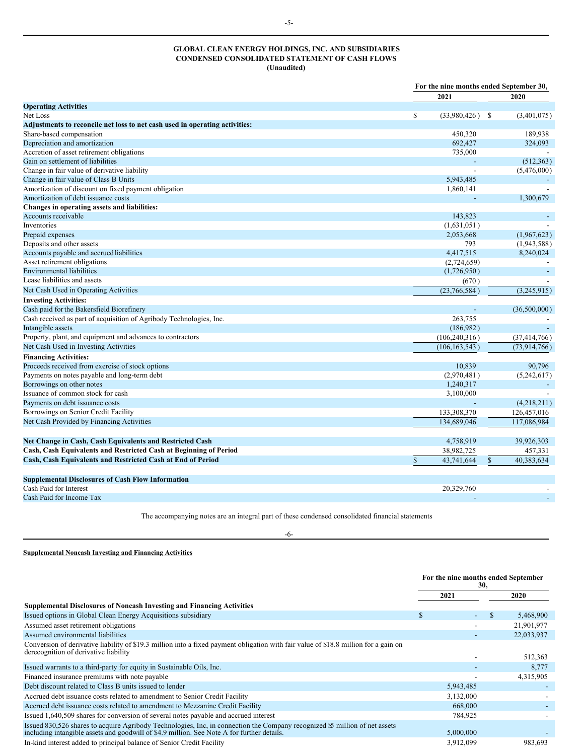## <span id="page-3-0"></span>**GLOBAL CLEAN ENERGY HOLDINGS, INC. AND SUBSIDIARIES CONDENSED CONSOLIDATED STATEMENT OF CASH FLOWS (Unaudited)**

|                                                                             | For the nine months ended September 30, |              |                |
|-----------------------------------------------------------------------------|-----------------------------------------|--------------|----------------|
|                                                                             | 2021                                    |              | 2020           |
| <b>Operating Activities</b>                                                 |                                         |              |                |
| Net Loss                                                                    | $\mathbb{S}$<br>$(33,980,426)$ \$       |              | (3,401,075)    |
| Adjustments to reconcile net loss to net cash used in operating activities: |                                         |              |                |
| Share-based compensation                                                    | 450,320                                 |              | 189,938        |
| Depreciation and amortization                                               | 692,427                                 |              | 324,093        |
| Accretion of asset retirement obligations                                   | 735,000                                 |              |                |
| Gain on settlement of liabilities                                           |                                         |              | (512, 363)     |
| Change in fair value of derivative liability                                |                                         |              | (5,476,000)    |
| Change in fair value of Class B Units                                       | 5,943,485                               |              |                |
| Amortization of discount on fixed payment obligation                        | 1,860,141                               |              |                |
| Amortization of debt issuance costs                                         |                                         |              | 1,300,679      |
| Changes in operating assets and liabilities:                                |                                         |              |                |
| Accounts receivable                                                         | 143,823                                 |              |                |
| Inventories                                                                 | (1,631,051)                             |              |                |
| Prepaid expenses                                                            | 2,053,668                               |              | (1,967,623)    |
| Deposits and other assets                                                   | 793                                     |              | (1,943,588)    |
| Accounts payable and accrued liabilities                                    | 4,417,515                               |              | 8,240,024      |
| Asset retirement obligations                                                | (2,724,659)                             |              |                |
| <b>Environmental liabilities</b>                                            | (1,726,950)                             |              |                |
| Lease liabilities and assets                                                | (670)                                   |              |                |
| Net Cash Used in Operating Activities                                       | (23,766,584)                            |              | (3,245,915)    |
| <b>Investing Activities:</b>                                                |                                         |              |                |
| Cash paid for the Bakersfield Biorefinery                                   |                                         |              | (36,500,000)   |
| Cash received as part of acquisition of Agribody Technologies, Inc.         | 263,755                                 |              |                |
| Intangible assets                                                           | (186,982)                               |              |                |
| Property, plant, and equipment and advances to contractors                  | (106, 240, 316)                         |              | (37, 414, 766) |
| Net Cash Used in Investing Activities                                       | (106, 163, 543)                         |              | (73, 914, 766) |
| <b>Financing Activities:</b>                                                |                                         |              |                |
| Proceeds received from exercise of stock options                            | 10,839                                  |              | 90,796         |
| Payments on notes payable and long-term debt                                | (2,970,481)                             |              | (5,242,617)    |
| Borrowings on other notes                                                   | 1,240,317                               |              |                |
| Issuance of common stock for cash                                           | 3,100,000                               |              |                |
| Payments on debt issuance costs                                             |                                         |              | (4,218,211)    |
| Borrowings on Senior Credit Facility                                        | 133,308,370                             |              | 126,457,016    |
| Net Cash Provided by Financing Activities                                   | 134,689,046                             |              | 117,086,984    |
|                                                                             |                                         |              |                |
| <b>Net Change in Cash, Cash Equivalents and Restricted Cash</b>             | 4,758,919                               |              | 39,926,303     |
| Cash, Cash Equivalents and Restricted Cash at Beginning of Period           | 38,982,725                              |              | 457,331        |
| Cash, Cash Equivalents and Restricted Cash at End of Period                 | $\mathbb{S}$<br>43,741,644              | $\mathbb{S}$ | 40,383,634     |
| <b>Supplemental Disclosures of Cash Flow Information</b>                    |                                         |              |                |
| Cash Paid for Interest                                                      | 20,329,760                              |              |                |
| Cash Paid for Income Tax                                                    |                                         |              |                |
|                                                                             |                                         |              |                |

The accompanying notes are an integral part of these condensed consolidated financial statements

-6-

**Supplemental Noncash Investing and Financing Activities**

|                                                                                                                                                                                                                          |    | For the nine months ended September<br>30, |     |            |
|--------------------------------------------------------------------------------------------------------------------------------------------------------------------------------------------------------------------------|----|--------------------------------------------|-----|------------|
|                                                                                                                                                                                                                          |    | 2021                                       |     | 2020       |
| <b>Supplemental Disclosures of Noncash Investing and Financing Activities</b>                                                                                                                                            |    |                                            |     |            |
| Issued options in Global Clean Energy Acquisitions subsidiary                                                                                                                                                            | S. |                                            | \$. | 5,468,900  |
| Assumed asset retirement obligations                                                                                                                                                                                     |    |                                            |     | 21,901,977 |
| Assumed environmental liabilities                                                                                                                                                                                        |    |                                            |     | 22,033,937 |
| Conversion of derivative liability of \$19.3 million into a fixed payment obligation with fair value of \$18.8 million for a gain on<br>derecognition of derivative liability                                            |    |                                            |     |            |
|                                                                                                                                                                                                                          |    |                                            |     | 512,363    |
| Issued warrants to a third-party for equity in Sustainable Oils, Inc.                                                                                                                                                    |    |                                            |     | 8,777      |
| Financed insurance premiums with note payable                                                                                                                                                                            |    |                                            |     | 4,315,905  |
| Debt discount related to Class B units issued to lender                                                                                                                                                                  |    | 5,943,485                                  |     |            |
| Accrued debt issuance costs related to amendment to Senior Credit Facility                                                                                                                                               |    | 3,132,000                                  |     |            |
| Accrued debt issuance costs related to amendment to Mezzanine Credit Facility                                                                                                                                            |    | 668,000                                    |     |            |
| Issued 1,640,509 shares for conversion of several notes payable and accrued interest                                                                                                                                     |    | 784,925                                    |     |            |
| Issued 830,526 shares to acquire Agribody Technologies, Inc. in connection the Company recognized \$ million of net assets<br>including intangible assets and goodwill of \$4.9 million. See Note A for further details. |    | 5,000,000                                  |     |            |
| In-kind interest added to principal balance of Senior Credit Facility                                                                                                                                                    |    | 3,912,099                                  |     | 983,693    |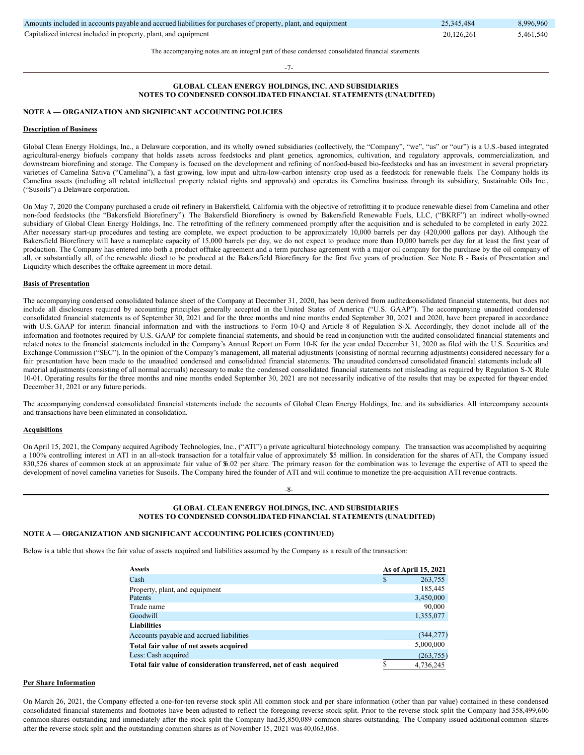| Amounts included in accounts payable and accrued liabilities for purchases of property, plant, and equipment | 25, 345, 484 | 8,996,960 |
|--------------------------------------------------------------------------------------------------------------|--------------|-----------|
| Capitalized interest included in property, plant, and equipment                                              | 20.126.261   | 5,461,540 |

The accompanying notes are an integral part of these condensed consolidated financial statements

-7-

#### **GLOBAL CLEAN ENERGY HOLDINGS, INC. AND SUBSIDIARIES NOTES TO CONDENSED CONSOLIDATED FINANCIAL STATEMENTS (UNAUDITED)**

### **NOTE A — ORGANIZATION AND SIGNIFICANT ACCOUNTING POLICIES**

#### **Description of Business**

Global Clean Energy Holdings, Inc., a Delaware corporation, and its wholly owned subsidiaries (collectively, the "Company", "we", "us" or "our") is a U.S.-based integrated agricultural-energy biofuels company that holds assets across feedstocks and plant genetics, agronomics, cultivation, and regulatory approvals, commercialization, and downstream biorefining and storage. The Company is focused on the development and refining of nonfood-based bio-feedstocks and has an investment in several proprietary varieties of Camelina Sativa ("Camelina"), a fast growing, low input and ultra-low-carbon intensity crop used as a feedstock for renewable fuels. The Company holds its Camelina assets (including all related intellectual property related rights and approvals) and operates its Camelina business through its subsidiary, Sustainable Oils Inc., ("Susoils") a Delaware corporation.

On May 7, 2020 the Company purchased a crude oil refinery in Bakersfield, California with the objective of retrofitting it to produce renewable diesel from Camelina and other non-food feedstocks (the "Bakersfield Biorefinery"). The Bakersfield Biorefinery is owned by Bakersfield Renewable Fuels, LLC, ("BKRF") an indirect wholly-owned subsidiary of Global Clean Energy Holdings, Inc. The retrofitting of the refinery commenced promptly after the acquisition and is scheduled to be completed in early 2022. After necessary start-up procedures and testing are complete, we expect production to be approximately 10,000 barrels per day (420,000 gallons per day). Although the Bakersfield Biorefinery will have a nameplate capacity of 15,000 barrels per day, we do not expect to produce more than 10,000 barrels per day for at least the first year of production. The Company has entered into both a product offtake agreement and a term purchase agreement with a major oil company for the purchase by the oil company of all, or substantially all, of the renewable diesel to be produced at the Bakersfield Biorefinery for the first five years of production. See Note B - Basis of Presentation and Liquidity which describes the offtake agreement in more detail.

#### **Basis of Presentation**

The accompanying condensed consolidated balance sheet of the Company at December 31, 2020, has been derived from auditedconsolidated financial statements, but does not include all disclosures required by accounting principles generally accepted in the United States of America ("U.S. GAAP"). The accompanying unaudited condensed consolidated financial statements as of September 30, 2021 and for the three months and nine months ended September 30, 2021 and 2020, have been prepared in accordance with U.S. GAAP for interim financial information and with the instructions to Form 10-Q and Article 8 of Regulation S-X. Accordingly, they donot include all of the information and footnotes required by U.S. GAAP for complete financial statements, and should be read in conjunction with the audited consolidated financial statements and related notes to the financial statements included in the Company's Annual Report on Form 10-K for the year ended December 31, 2020 as filed with the U.S. Securities and Exchange Commission ("SEC"). In the opinion of the Company's management, all material adjustments (consisting of normal recurring adjustments) considered necessary for a fair presentation have been made to the unaudited condensed and consolidated financial statements. The unaudited condensed consolidated financial statements include all material adjustments (consisting of all normal accruals) necessary to make the condensed consolidated financial statements not misleading as required by Regulation S-X Rule 10-01. Operating results for the three months and nine months ended September 30, 2021 are not necessarily indicative of the results that may be expected for theyear ended December 31, 2021 or any future periods.

The accompanying condensed consolidated financial statements include the accounts of Global Clean Energy Holdings, Inc. and its subsidiaries. All intercompany accounts and transactions have been eliminated in consolidation.

#### **Acquisitions**

On April 15, 2021, the Company acquired Agribody Technologies, Inc., ("ATI") a private agricultural biotechnology company. The transaction was accomplished by acquiring a 100% controlling interest in ATI in an all-stock transaction for a totalfair value of approximately \$5 million. In consideration for the shares of ATI, the Company issued 830,526 shares of common stock at an approximate fair value of \$6.02 per share. The primary reason for the combination was to leverage the expertise of ATI to speed the development of novel camelina varieties for Susoils. The Company hired the founder of ATI and will continue to monetize the pre-acquisition ATI revenue contracts.

-8-

## **GLOBAL CLEAN ENERGY HOLDINGS, INC. AND SUBSIDIARIES NOTES TO CONDENSED CONSOLIDATED FINANCIAL STATEMENTS (UNAUDITED)**

## **NOTE A — ORGANIZATION AND SIGNIFICANT ACCOUNTING POLICIES (CONTINUED)**

Below is a table that shows the fair value of assets acquired and liabilities assumed by the Company as a result of the transaction:

| <b>Assets</b>                                                       |   | As of April 15, 2021 |
|---------------------------------------------------------------------|---|----------------------|
| Cash                                                                | S | 263,755              |
| Property, plant, and equipment                                      |   | 185,445              |
| Patents                                                             |   | 3,450,000            |
| Trade name                                                          |   | 90,000               |
| Goodwill                                                            |   | 1,355,077            |
| <b>Liabilities</b>                                                  |   |                      |
| Accounts payable and accrued liabilities                            |   | (344, 277)           |
| Total fair value of net assets acquired                             |   | 5,000,000            |
| Less: Cash acquired                                                 |   | (263, 755)           |
| Total fair value of consideration transferred, net of cash acquired | S | 4.736.245            |

#### **Per Share Information**

On March 26, 2021, the Company effected a one-for-ten reverse stock split. All common stock and per share information (other than par value) contained in these condensed consolidated financial statements and footnotes have been adjusted to reflect the foregoing reverse stock split. Prior to the reverse stock split the Company had 358,499,606 common shares outstanding and immediately after the stock split the Company had35,850,089 common shares outstanding. The Company issued additional common shares after the reverse stock split and the outstanding common shares as of November 15, 2021 was 40,063,068.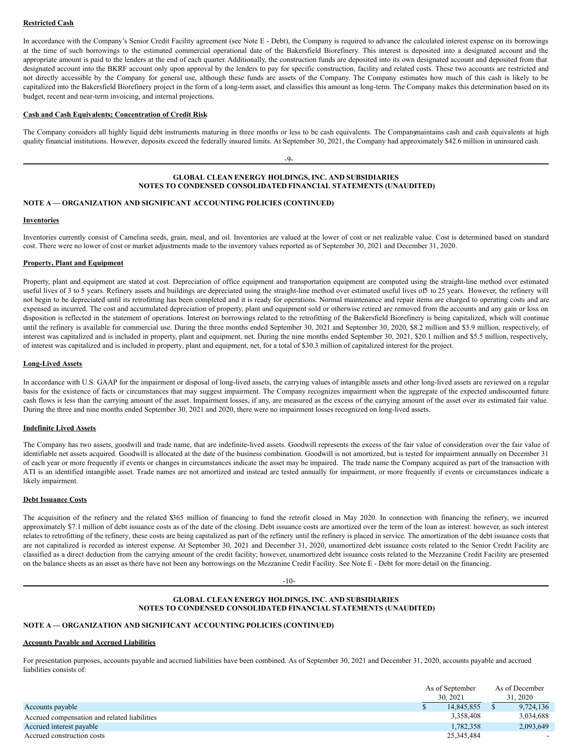## **Restricted Cash**

In accordance with the Company's Senior Credit Facility agreement (see Note E - Debt), the Company is required to advance the calculated interest expense on its borrowings at the time of such borrowings to the estimated commercial operational date of the Bakersfield Biorefinery. This interest is deposited into a designated account and the appropriate amount is paid to the lenders at the end of each quarter. Additionally, the construction funds are deposited into its own designated account and deposited from that designated account into the BKRF account only upon approval by the lenders to pay for specific construction, facility and related costs. These two accounts are restricted and not directly accessible by the Company for general use, although these funds are assets of the Company. The Company estimates how much of this cash is likely to be capitalized into the Bakersfield Biorefinery project in the form of a long-term asset, and classifies this amount as long-term. The Company makes this determination based on its budget, recent and near-term invoicing, and internal projections.

#### **Cash and Cash Equivalents; Concentration of Credit Risk**

The Company considers all highly liquid debt instruments maturing in three months or less to be cash equivalents. The Companymaintains cash and cash equivalents at high quality financial institutions. However, deposits exceed the federally insured limits. At September 30, 2021, the Company had approximately \$42.6 million in uninsured cash.

-9-

# **GLOBAL CLEAN ENERGY HOLDINGS, INC. AND SUBSIDIARIES NOTES TO CONDENSED CONSOLIDATED FINANCIAL STATEMENTS (UNAUDITED)**

### **NOTE A — ORGANIZATION AND SIGNIFICANT ACCOUNTING POLICIES (CONTINUED)**

### **Inventories**

Inventories currently consist of Camelina seeds, grain, meal, and oil. Inventories are valued at the lower of cost or net realizable value. Cost is determined based on standard cost. There were no lower of cost or market adjustments made to the inventory values reported as of September 30, 2021 and December 31, 2020.

#### **Property, Plant and Equipment**

Property, plant and equipment are stated at cost. Depreciation of office equipment and transportation equipment are computed using the straight-line method over estimated useful lives of 3 to 5 years. Refinery assets and buildings are depreciated using the straight-line method over estimated useful lives of5 to 25 years. However, the refinery will not begin to be depreciated until its retrofitting has been completed and it is ready for operations. Normal maintenance and repair items are charged to operating costs and are expensed as incurred. The cost and accumulated depreciation of property, plant and equipment sold or otherwise retired are removed from the accounts and any gain or loss on disposition is reflected in the statement of operations. Interest on borrowings related to the retrofitting of the Bakersfield Biorefinery is being capitalized, which will continue until the refinery is available for commercial use. During the three months ended September 30, 2021 and September 30, 2020, \$8.2 million and \$3.9 million, respectively, of interest was capitalized and is included in property, plant and equipment, net. During the nine months ended September 30, 2021, \$20.1 million and \$5.5 million, respectively, of interest was capitalized and is included in property, plant and equipment, net, for a total of \$30.3 million of capitalized interest for the project.

### **Long-Lived Assets**

In accordance with U.S. GAAP for the impairment or disposal of long-lived assets, the carrying values of intangible assets and other long-lived assets are reviewed on a regular basis for the existence of facts or circumstances that may suggest impairment. The Company recognizes impairment when the aggregate of the expected undiscounted future cash flows is less than the carrying amount of the asset. Impairment losses, if any, are measured as the excess of the carrying amount of the asset over its estimated fair value. During the three and nine months ended September 30, 2021 and 2020, there were no impairment losses recognized on long-lived assets.

### **Indefinite Lived Assets**

The Company has two assets, goodwill and trade name, that are indefinite-lived assets. Goodwill represents the excess of the fair value of consideration over the fair value of identifiable net assets acquired. Goodwill is allocated at the date of the business combination. Goodwill is not amortized, but is tested for impairment annually on December 31 of each year or more frequently if events or changes in circumstances indicate the asset may be impaired. The trade name the Company acquired as part of the transaction with ATI is an identified intangible asset. Trade names are not amortized and instead are tested annually for impairment, or more frequently if events or circumstances indicate a likely impairment.

## **Debt Issuance Costs**

The acquisition of the refinery and the related \$365 million of financing to fund the retrofit closed in May 2020. In connection with financing the refinery, we incurred approximately \$7.1 million of debt issuance costs as of the date of the closing. Debt issuance costs are amortized over the term of the loan as interest: however, as such interest relates to retrofitting of the refinery, these costs are being capitalized as part of the refinery until the refinery is placed in service. The amortization of the debt issuance costs that are not capitalized is recorded as interest expense. At September 30, 2021 and December 31, 2020, unamortized debt issuance costs related to the Senior Credit Facility are classified as a direct deduction from the carrying amount of the credit facility; however, unamortized debt issuance costs related to the Mezzanine Credit Facility are presented on the balance sheets as an asset as there have not been any borrowings on the Mezzanine Credit Facility. See Note E - Debt for more detail on the financing.

-10-

## **GLOBAL CLEAN ENERGY HOLDINGS, INC. AND SUBSIDIARIES NOTES TO CONDENSED CONSOLIDATED FINANCIAL STATEMENTS (UNAUDITED)**

## **NOTE A — ORGANIZATION AND SIGNIFICANT ACCOUNTING POLICIES (CONTINUED)**

## **Accounts Payable and Accrued Liabilities**

For presentation purposes, accounts payable and accrued liabilities have been combined. As of September 30, 2021 and December 31, 2020, accounts payable and accrued liabilities consists of:

|                                              |          | As of September |          | As of December |
|----------------------------------------------|----------|-----------------|----------|----------------|
|                                              | 30, 2021 |                 | 31, 2020 |                |
| Accounts payable                             |          | 14.845.855      |          | 9.724.136      |
| Accrued compensation and related liabilities |          | 3.358.408       |          | 3,034,688      |
| Accrued interest payable                     |          | 1.782.358       |          | 2,093,649      |
| Accrued construction costs                   |          | 25,345,484      |          |                |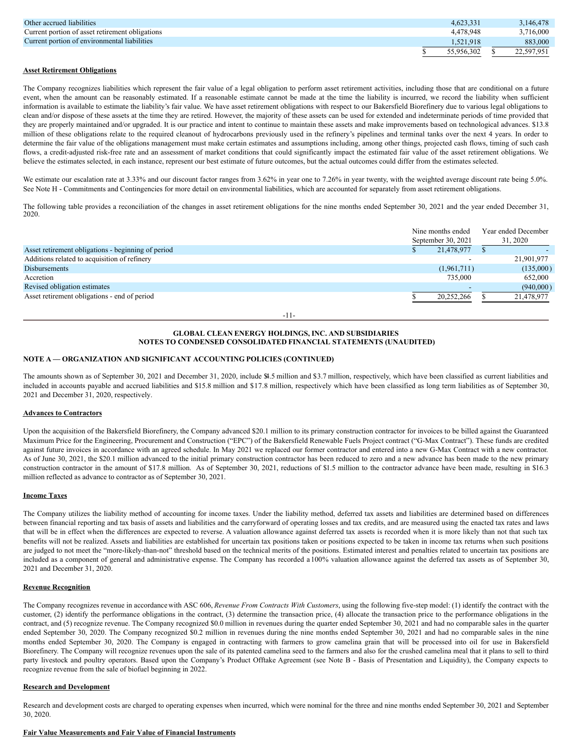| Other accrued liabilities                       | 4.623.331  | 3.146.478  |
|-------------------------------------------------|------------|------------|
| Current portion of asset retirement obligations | 4.478.948  | 3.716.000  |
| Current portion of environmental liabilities    | 1.521.918  | 883,000    |
|                                                 | 55.956.302 | 22.597.951 |

### **Asset Retirement Obligations**

The Company recognizes liabilities which represent the fair value of a legal obligation to perform asset retirement activities, including those that are conditional on a future event, when the amount can be reasonably estimated. If a reasonable estimate cannot be made at the time the liability is incurred, we record the liability when sufficient information is available to estimate the liability's fair value. We have asset retirement obligations with respect to our Bakersfield Biorefinery due to various legal obligations to clean and/or dispose of these assets at the time they are retired. However, the majority of these assets can be used for extended and indeterminate periods of time provided that they are properly maintained and/or upgraded. It is our practice and intent to continue to maintain these assets and make improvements based on technological advances. \$13.8 million of these obligations relate to the required cleanout of hydrocarbons previously used in the refinery's pipelines and terminal tanks over the next 4 years. In order to determine the fair value of the obligations management must make certain estimates and assumptions including, among other things, projected cash flows, timing of such cash flows, a credit-adjusted risk-free rate and an assessment of market conditions that could significantly impact the estimated fair value of the asset retirement obligations. We believe the estimates selected, in each instance, represent our best estimate of future outcomes, but the actual outcomes could differ from the estimates selected.

We estimate our escalation rate at 3.33% and our discount factor ranges from 3.62% in year one to 7.26% in year twenty, with the weighted average discount rate being 5.0%. See Note H - Commitments and Contingencies for more detail on environmental liabilities, which are accounted for separately from asset retirement obligations.

The following table provides a reconciliation of the changes in asset retirement obligations for the nine months ended September 30, 2021 and the year ended December 31, 2020.

|                                                    | Nine months ended |                    |  | Year ended December |
|----------------------------------------------------|-------------------|--------------------|--|---------------------|
|                                                    |                   | September 30, 2021 |  | 31, 2020            |
| Asset retirement obligations - beginning of period |                   | 21,478,977         |  |                     |
| Additions related to acquisition of refinery       |                   |                    |  | 21,901,977          |
| <b>Disbursements</b>                               |                   | (1,961,711)        |  | (135,000)           |
| Accretion                                          |                   | 735,000            |  | 652,000             |
| Revised obligation estimates                       |                   |                    |  | (940,000)           |
| Asset retirement obligations - end of period       |                   | 20.252,266         |  | 21,478,977          |

-11-

## **GLOBAL CLEAN ENERGY HOLDINGS, INC. AND SUBSIDIARIES NOTES TO CONDENSED CONSOLIDATED FINANCIAL STATEMENTS (UNAUDITED)**

#### **NOTE A — ORGANIZATION AND SIGNIFICANT ACCOUNTING POLICIES (CONTINUED)**

The amounts shown as of September 30, 2021 and December 31, 2020, include \$4.5 million and \$3.7 million, respectively, which have been classified as current liabilities and included in accounts payable and accrued liabilities and \$15.8 million and \$17.8 million, respectively which have been classified as long term liabilities as of September 30, 2021 and December 31, 2020, respectively.

#### **Advances to Contractors**

Upon the acquisition of the Bakersfield Biorefinery, the Company advanced \$20.1 million to its primary construction contractor for invoices to be billed against the Guaranteed Maximum Price for the Engineering, Procurement and Construction ("EPC") of the Bakersfield Renewable Fuels Project contract ("G-Max Contract"). These funds are credited against future invoices in accordance with an agreed schedule. In May 2021 we replaced our former contractor and entered into a new G-Max Contract with a new contractor. As of June 30, 2021, the \$20.1 million advanced to the initial primary construction contractor has been reduced to zero and a new advance has been made to the new primary construction contractor in the amount of \$17.8 million. As of September 30, 2021, reductions of \$1.5 million to the contractor advance have been made, resulting in \$16.3 million reflected as advance to contractor as of September 30, 2021.

### **Income Taxes**

The Company utilizes the liability method of accounting for income taxes. Under the liability method, deferred tax assets and liabilities are determined based on differences between financial reporting and tax basis of assets and liabilities and the carryforward of operating losses and tax credits, and are measured using the enacted tax rates and laws that will be in effect when the differences are expected to reverse. A valuation allowance against deferred tax assets is recorded when it is more likely than not that such tax benefits will not be realized. Assets and liabilities are established for uncertain tax positions taken or positions expected to be taken in income tax returns when such positions are judged to not meet the "more-likely-than-not" threshold based on the technical merits of the positions. Estimated interest and penalties related to uncertain tax positions are included as a component of general and administrative expense. The Company has recorded a 100% valuation allowance against the deferred tax assets as of September 30, 2021 and December 31, 2020.

### **Revenue Recognition**

The Company recognizes revenue in accordancewith ASC 606, *Revenue From Contracts With Customers*, using the following five-step model: (1) identify the contract with the customer, (2) identify the performance obligations in the contract, (3) determine the transaction price, (4) allocate the transaction price to the performance obligations in the contract, and (5) recognize revenue. The Company recognized \$0.0 million in revenues during the quarter ended September 30, 2021 and had no comparable sales in the quarter ended September 30, 2020. The Company recognized \$0.2 million in revenues during the nine months ended September 30, 2021 and had no comparable sales in the nine months ended September 30, 2020. The Company is engaged in contracting with farmers to grow camelina grain that will be processed into oil for use in Bakersfield Biorefinery. The Company will recognize revenues upon the sale of its patented camelina seed to the farmers and also for the crushed camelina meal that it plans to sell to third party livestock and poultry operators. Based upon the Company's Product Offtake Agreement (see Note B - Basis of Presentation and Liquidity), the Company expects to recognize revenue from the sale of biofuel beginning in 2022.

### **Research and Development**

Research and development costs are charged to operating expenses when incurred, which were nominal for the three and nine months ended September 30, 2021 and September 30, 2020.

### **Fair Value Measurements and Fair Value of Financial Instruments**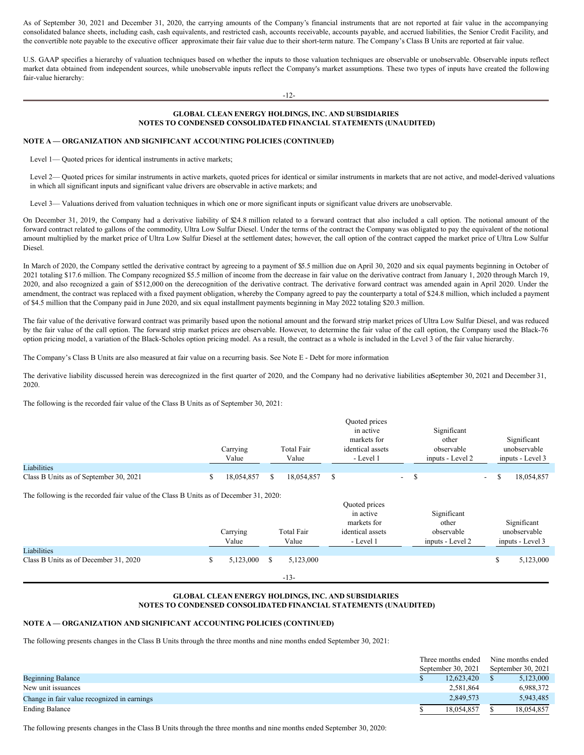As of September 30, 2021 and December 31, 2020, the carrying amounts of the Company's financial instruments that are not reported at fair value in the accompanying consolidated balance sheets, including cash, cash equivalents, and restricted cash, accounts receivable, accounts payable, and accrued liabilities, the Senior Credit Facility, and the convertible note payable to the executive officer approximate their fair value due to their short-term nature. The Company's Class B Units are reported at fair value.

U.S. GAAP specifies a hierarchy of valuation techniques based on whether the inputs to those valuation techniques are observable or unobservable. Observable inputs reflect market data obtained from independent sources, while unobservable inputs reflect the Company's market assumptions. These two types of inputs have created the following fair-value hierarchy:

-12-

# **GLOBAL CLEAN ENERGY HOLDINGS, INC. AND SUBSIDIARIES NOTES TO CONDENSED CONSOLIDATED FINANCIAL STATEMENTS (UNAUDITED)**

### **NOTE A — ORGANIZATION AND SIGNIFICANT ACCOUNTING POLICIES (CONTINUED)**

Level 1— Quoted prices for identical instruments in active markets;

Level 2— Quoted prices for similar instruments in active markets, quoted prices for identical or similar instruments in markets that are not active, and model-derived valuations in which all significant inputs and significant value drivers are observable in active markets; and

Level 3— Valuations derived from valuation techniques in which one or more significant inputs or significant value drivers are unobservable.

On December 31, 2019, the Company had a derivative liability of \$24.8 million related to a forward contract that also included a call option. The notional amount of the forward contract related to gallons of the commodity, Ultra Low Sulfur Diesel. Under the terms of the contract the Company was obligated to pay the equivalent of the notional amount multiplied by the market price of Ultra Low Sulfur Diesel at the settlement dates; however, the call option of the contract capped the market price of Ultra Low Sulfur Diesel.

In March of 2020, the Company settled the derivative contract by agreeing to a payment of \$5.5 million due on April 30, 2020 and six equal payments beginning in October of 2021 totaling \$17.6 million. The Company recognized \$5.5 million of income from the decrease in fair value on the derivative contract from January 1, 2020 through March 19, 2020, and also recognized a gain of \$512,000 on the derecognition of the derivative contract. The derivative forward contract was amended again in April 2020. Under the amendment, the contract was replaced with a fixed payment obligation, whereby the Company agreed to pay the counterparty a total of \$24.8 million, which included a payment of \$4.5 million that the Company paid in June 2020, and six equal installment payments beginning in May 2022 totaling \$20.3 million.

The fair value of the derivative forward contract was primarily based upon the notional amount and the forward strip market prices of Ultra Low Sulfur Diesel, and was reduced by the fair value of the call option. The forward strip market prices are observable. However, to determine the fair value of the call option, the Company used the Black-76 option pricing model, a variation of the Black-Scholes option pricing model. As a result, the contract as a whole is included in the Level 3 of the fair value hierarchy.

The Company's Class B Units are also measured at fair value on a recurring basis. See Note E - Debt for more information.

The derivative liability discussed herein was derecognized in the first quarter of 2020, and the Company had no derivative liabilities atSeptember 30, 2021 and December 31, 2020.

The following is the recorded fair value of the Class B Units as of September 30, 2021:

|                                        |            |            | Quoted prices    |                          |                  |        |                  |
|----------------------------------------|------------|------------|------------------|--------------------------|------------------|--------|------------------|
|                                        |            |            | in active        |                          | Significant      |        |                  |
|                                        |            |            | markets for      |                          | other            |        | Significant      |
|                                        | Carrying   | Total Fair | identical assets |                          | observable       |        | unobservable     |
|                                        | Value      | Value      | - Level 1        |                          | inputs - Level 2 |        | inputs - Level 3 |
| Liabilities                            |            |            |                  |                          |                  |        |                  |
| Class B Units as of September 30, 2021 | 18,054,857 | 18.054.857 |                  | $\overline{\phantom{0}}$ |                  | $\sim$ | 18,054,857       |

The following is the recorded fair value of the Class B Units as of December 31, 2020:

|                                       |                   |                     | Quoted prices                                             |                                                        |                                                 |
|---------------------------------------|-------------------|---------------------|-----------------------------------------------------------|--------------------------------------------------------|-------------------------------------------------|
|                                       | Carrying<br>Value | Total Fair<br>Value | in active<br>markets for<br>identical assets<br>- Level 1 | Significant<br>other<br>observable<br>inputs - Level 2 | Significant<br>unobservable<br>inputs - Level 3 |
| Liabilities                           |                   |                     |                                                           |                                                        |                                                 |
| Class B Units as of December 31, 2020 | 5,123,000         | 5,123,000           |                                                           |                                                        | 5,123,000                                       |
|                                       |                   | $\sim$              |                                                           |                                                        |                                                 |

-13-

## **GLOBAL CLEAN ENERGY HOLDINGS, INC. AND SUBSIDIARIES NOTES TO CONDENSED CONSOLIDATED FINANCIAL STATEMENTS (UNAUDITED)**

### **NOTE A — ORGANIZATION AND SIGNIFICANT ACCOUNTING POLICIES (CONTINUED)**

The following presents changes in the Class B Units through the three months and nine months ended September 30, 2021:

|                                             | Three months ended | Nine months ended |                    |  |
|---------------------------------------------|--------------------|-------------------|--------------------|--|
|                                             | September 30, 2021 |                   | September 30, 2021 |  |
| <b>Beginning Balance</b>                    | 12.623.420         |                   | 5,123,000          |  |
| New unit issuances                          | 2,581,864          |                   | 6,988,372          |  |
| Change in fair value recognized in earnings | 2.849.573          |                   | 5,943,485          |  |
| <b>Ending Balance</b>                       | 18.054.857         |                   | 18,054,857         |  |

The following presents changes in the Class B Units through the three months and nine months ended September 30, 2020: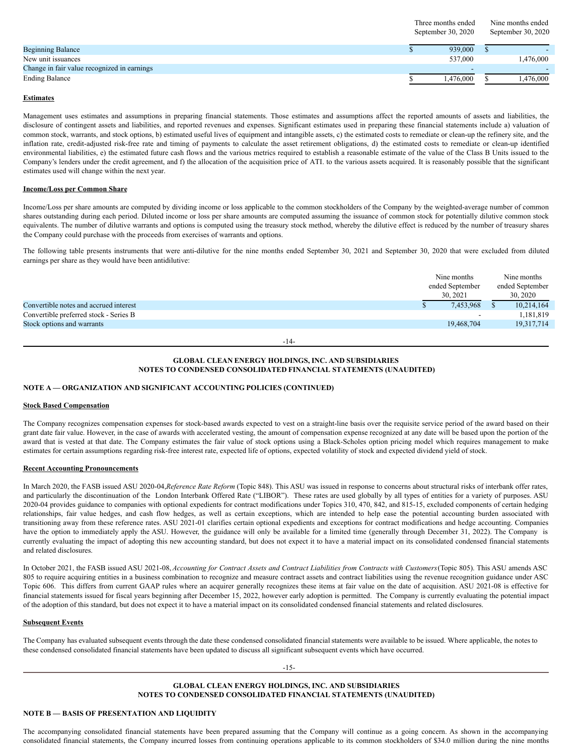|                                             | Three months ended<br>September 30, 2020 | Nine months ended<br>September 30, 2020 |  |  |
|---------------------------------------------|------------------------------------------|-----------------------------------------|--|--|
| <b>Beginning Balance</b>                    | 939,000                                  |                                         |  |  |
| New unit issuances                          | 537,000                                  | 476,000                                 |  |  |
| Change in fair value recognized in earnings |                                          |                                         |  |  |
| <b>Ending Balance</b>                       | 1,476,000                                | 1,476,000                               |  |  |

#### **Estimates**

Management uses estimates and assumptions in preparing financial statements. Those estimates and assumptions affect the reported amounts of assets and liabilities, the disclosure of contingent assets and liabilities, and reported revenues and expenses. Significant estimates used in preparing these financial statements include a) valuation of common stock, warrants, and stock options, b) estimated useful lives of equipment and intangible assets, c) the estimated costs to remediate or clean-up the refinery site, and the inflation rate, credit-adjusted risk-free rate and timing of payments to calculate the asset retirement obligations, d) the estimated costs to remediate or clean-up identified environmental liabilities, e) the estimated future cash flows and the various metrics required to establish a reasonable estimate of the value of the Class B Units issued to the Company's lenders under the credit agreement, and f) the allocation of the acquisition price of ATI. to the various assets acquired. It is reasonably possible that the significant estimates used will change within the next year.

## **Income/Loss per Common Share**

Income/Loss per share amounts are computed by dividing income or loss applicable to the common stockholders of the Company by the weighted-average number of common shares outstanding during each period. Diluted income or loss per share amounts are computed assuming the issuance of common stock for potentially dilutive common stock equivalents. The number of dilutive warrants and options is computed using the treasury stock method, whereby the dilutive effect is reduced by the number of treasury shares the Company could purchase with the proceeds from exercises of warrants and options.

The following table presents instruments that were anti-dilutive for the nine months ended September 30, 2021 and September 30, 2020 that were excluded from diluted earnings per share as they would have been antidilutive:

|                                        | Nine months              |  | Nine months     |
|----------------------------------------|--------------------------|--|-----------------|
|                                        | ended September          |  | ended September |
|                                        | 30, 2021                 |  | 30, 2020        |
| Convertible notes and accrued interest | 7.453.968                |  | 10,214,164      |
| Convertible preferred stock - Series B | $\overline{\phantom{0}}$ |  | 1,181,819       |
| Stock options and warrants             | 19,468,704               |  | 19,317,714      |
|                                        |                          |  |                 |

-14-

### **GLOBAL CLEAN ENERGY HOLDINGS, INC. AND SUBSIDIARIES NOTES TO CONDENSED CONSOLIDATED FINANCIAL STATEMENTS (UNAUDITED)**

#### **NOTE A — ORGANIZATION AND SIGNIFICANT ACCOUNTING POLICIES (CONTINUED)**

#### **Stock Based Compensation**

The Company recognizes compensation expenses for stock-based awards expected to vest on a straight-line basis over the requisite service period of the award based on their grant date fair value. However, in the case of awards with accelerated vesting, the amount of compensation expense recognized at any date will be based upon the portion of the award that is vested at that date. The Company estimates the fair value of stock options using a Black-Scholes option pricing model which requires management to make estimates for certain assumptions regarding risk-free interest rate, expected life of options, expected volatility of stock and expected dividend yield of stock.

#### **Recent Accounting Pronouncements**

In March 2020, the FASB issued ASU 2020-04,*Reference Rate Reform* (Topic 848). This ASU was issued in response to concerns about structural risks of interbank offer rates, and particularly the discontinuation of the London Interbank Offered Rate ("LIBOR"). These rates are used globally by all types of entities for a variety of purposes. ASU 2020-04 provides guidance to companies with optional expedients for contract modifications under Topics 310, 470, 842, and 815-15, excluded components of certain hedging relationships, fair value hedges, and cash flow hedges, as well as certain exceptions, which are intended to help ease the potential accounting burden associated with transitioning away from these reference rates. ASU 2021-01 clarifies certain optional expedients and exceptions for contract modifications and hedge accounting. Companies have the option to immediately apply the ASU. However, the guidance will only be available for a limited time (generally through December 31, 2022). The Company is currently evaluating the impact of adopting this new accounting standard, but does not expect it to have a material impact on its consolidated condensed financial statements and related disclosures.

In October 2021, the FASB issued ASU 2021-08, Accounting for Contract Assets and Contract Liabilities from Contracts with Customers (Topic 805). This ASU amends ASC 805 to require acquiring entities in a business combination to recognize and measure contract assets and contract liabilities using the revenue recognition guidance under ASC Topic 606. This differs from current GAAP rules where an acquirer generally recognizes these items at fair value on the date of acquisition. ASU 2021-08 is effective for financial statements issued for fiscal years beginning after December 15, 2022, however early adoption is permitted. The Company is currently evaluating the potential impact of the adoption of this standard, but does not expect it to have a material impact on its consolidated condensed financial statements and related disclosures.

#### **Subsequent Events**

The Company has evaluated subsequent events through the date these condensed consolidated financial statements were available to be issued. Where applicable, the notes to these condensed consolidated financial statements have been updated to discuss all significant subsequent events which have occurred.

-15-

## **GLOBAL CLEAN ENERGY HOLDINGS, INC. AND SUBSIDIARIES NOTES TO CONDENSED CONSOLIDATED FINANCIAL STATEMENTS (UNAUDITED)**

### **NOTE B — BASIS OF PRESENTATION AND LIQUIDITY**

The accompanying consolidated financial statements have been prepared assuming that the Company will continue as a going concern. As shown in the accompanying consolidated financial statements, the Company incurred losses from continuing operations applicable to its common stockholders of \$34.0 million during the nine months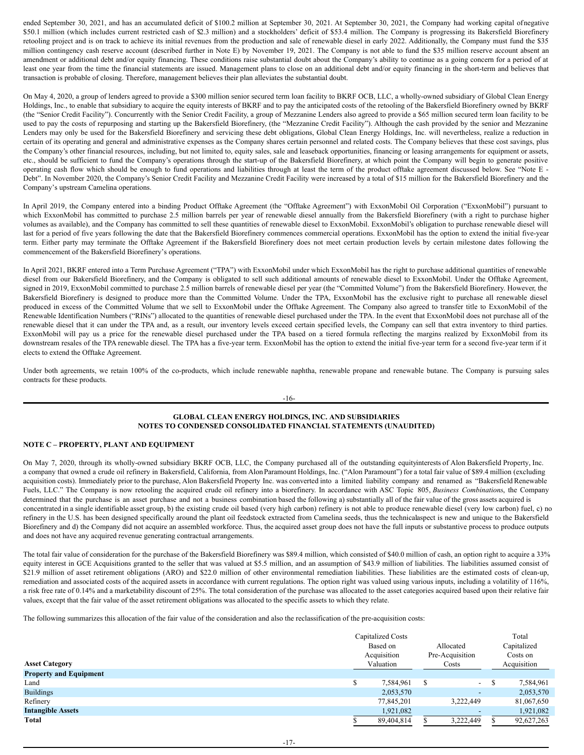ended September 30, 2021, and has an accumulated deficit of \$100.2 million at September 30, 2021. At September 30, 2021, the Company had working capital ofnegative \$50.1 million (which includes current restricted cash of \$2.3 million) and a stockholders' deficit of \$53.4 million. The Company is progressing its Bakersfield Biorefinery retooling project and is on track to achieve its initial revenues from the production and sale of renewable diesel in early 2022. Additionally, the Company must fund the \$35 million contingency cash reserve account (described further in Note E) by November 19, 2021. The Company is not able to fund the \$35 million reserve account absent an amendment or additional debt and/or equity financing. These conditions raise substantial doubt about the Company's ability to continue as a going concern for a period of at least one year from the time the financial statements are issued. Management plans to close on an additional debt and/or equity financing in the short-term and believes that transaction is probable of closing. Therefore, management believes their plan alleviates the substantial doubt.

On May 4, 2020, a group of lenders agreed to provide a \$300 million senior secured term loan facility to BKRF OCB, LLC, a wholly-owned subsidiary of Global Clean Energy Holdings, Inc., to enable that subsidiary to acquire the equity interests of BKRF and to pay the anticipated costs of the retooling of the Bakersfield Biorefinery owned by BKRF (the "Senior Credit Facility"). Concurrently with the Senior Credit Facility, a group of Mezzanine Lenders also agreed to provide a \$65 million secured term loan facility to be used to pay the costs of repurposing and starting up the Bakersfield Biorefinery, (the "Mezzanine Credit Facility"). Although the cash provided by the senior and Mezzanine Lenders may only be used for the Bakersfield Biorefinery and servicing these debt obligations, Global Clean Energy Holdings, Inc. will nevertheless, realize a reduction in certain of its operating and general and administrative expenses as the Company shares certain personnel and related costs. The Company believes that these cost savings, plus the Company's other financial resources, including, but not limited to, equity sales, sale and leaseback opportunities, financing or leasing arrangements for equipment or assets, etc., should be sufficient to fund the Company's operations through the start-up of the Bakersfield Biorefinery, at which point the Company will begin to generate positive operating cash flow which should be enough to fund operations and liabilities through at least the term of the product offtake agreement discussed below. See "Note E - Debt". In November 2020, the Company's Senior Credit Facility and Mezzanine Credit Facility were increased by a total of \$15 million for the Bakersfield Biorefinery and the Company's upstream Camelina operations.

In April 2019, the Company entered into a binding Product Offtake Agreement (the "Offtake Agreement") with ExxonMobil Oil Corporation ("ExxonMobil") pursuant to which ExxonMobil has committed to purchase 2.5 million barrels per year of renewable diesel annually from the Bakersfield Biorefinery (with a right to purchase higher volumes as available), and the Company has committed to sell these quantities of renewable diesel to ExxonMobil. ExxonMobil's obligation to purchase renewable diesel will last for a period of five years following the date that the Bakersfield Biorefinery commences commercial operations. ExxonMobil has the option to extend the initial five-year term. Either party may terminate the Offtake Agreement if the Bakersfield Biorefinery does not meet certain production levels by certain milestone dates following the commencement of the Bakersfield Biorefinery's operations.

In April 2021, BKRF entered into a Term Purchase Agreement ("TPA") with ExxonMobil under which ExxonMobil has the right to purchase additional quantities of renewable diesel from our Bakersfield Biorefinery, and the Company is obligated to sell such additional amounts of renewable diesel to ExxonMobil. Under the Offtake Agreement, signed in 2019, ExxonMobil committed to purchase 2.5 million barrels of renewable diesel per year (the "Committed Volume") from the Bakersfield Biorefinery. However, the Bakersfield Biorefinery is designed to produce more than the Committed Volume. Under the TPA, ExxonMobil has the exclusive right to purchase all renewable diesel produced in excess of the Committed Volume that we sell to ExxonMobil under the Offtake Agreement. The Company also agreed to transfer title to ExxonMobil of the Renewable Identification Numbers ("RINs") allocated to the quantities of renewable diesel purchased under the TPA. In the event that ExxonMobil does not purchase all of the renewable diesel that it can under the TPA and, as a result, our inventory levels exceed certain specified levels, the Company can sell that extra inventory to third parties. ExxonMobil will pay us a price for the renewable diesel purchased under the TPA based on a tiered formula reflecting the margins realized by ExxonMobil from its downstream resales of the TPA renewable diesel. The TPA has a five-year term. ExxonMobil has the option to extend the initial five-year term for a second five-year term if it elects to extend the Offtake Agreement.

Under both agreements, we retain 100% of the co-products, which include renewable naphtha, renewable propane and renewable butane. The Company is pursuing sales contracts for these products.

-16-

## **GLOBAL CLEAN ENERGY HOLDINGS, INC. AND SUBSIDIARIES NOTES TO CONDENSED CONSOLIDATED FINANCIAL STATEMENTS (UNAUDITED)**

## **NOTE C – PROPERTY, PLANT AND EQUIPMENT**

On May 7, 2020, through its wholly-owned subsidiary BKRF OCB, LLC, the Company purchased all of the outstanding equityinterests of Alon Bakersfield Property, Inc. a company that owned a crude oil refinery in Bakersfield, California, from Alon Paramount Holdings, Inc. ("Alon Paramount") for a total fair value of \$89.4 million (excluding acquisition costs). Immediately prior to the purchase, Alon Bakersfield Property Inc. was converted into a limited liability company and renamed as "Bakersfield Renewable Fuels, LLC." The Company is now retooling the acquired crude oil refinery into a biorefinery. In accordance with ASC Topic 805, *Business Combinations*, the Company determined that the purchase is an asset purchase and not a business combination based the following a) substantially all of the fair value of the gross assets acquired is concentrated in a single identifiable asset group, b) the existing crude oil based (very high carbon) refinery is not able to produce renewable diesel (very low carbon) fuel, c) no refinery in the U.S. has been designed specifically around the plant oil feedstock extracted from Camelina seeds, thus the technicalaspect is new and unique to the Bakersfield Biorefinery and d) the Company did not acquire an assembled workforce. Thus, the acquired asset group does not have the full inputs or substantive process to produce outputs and does not have any acquired revenue generating contractual arrangements.

The total fair value of consideration for the purchase of the Bakersfield Biorefinery was \$89.4 million, which consisted of \$40.0 million of cash, an option right to acquire a 33% equity interest in GCE Acquisitions granted to the seller that was valued at \$5.5 million, and an assumption of \$43.9 million of liabilities. The liabilities assumed consist of \$21.9 million of asset retirement obligations (ARO) and \$22.0 million of other environmental remediation liabilities. These liabilities are the estimated costs of clean-up, remediation and associated costs of the acquired assets in accordance with current regulations. The option right was valued using various inputs, including a volatility of 116%, a risk free rate of 0.14% and a marketability discount of 25%. The total consideration of the purchase was allocated to the asset categories acquired based upon their relative fair values, except that the fair value of the asset retirement obligations was allocated to the specific assets to which they relate.

The following summarizes this allocation of the fair value of the consideration and also the reclassification of the pre-acquisition costs:

|                               | Capitalized Costs     |             |                 |                          | Total       |             |
|-------------------------------|-----------------------|-------------|-----------------|--------------------------|-------------|-------------|
|                               | Based on<br>Allocated |             |                 |                          | Capitalized |             |
|                               |                       | Acquisition | Pre-Acquisition |                          |             | Costs on    |
| <b>Asset Category</b>         |                       | Valuation   |                 | Costs                    |             | Acquisition |
| <b>Property and Equipment</b> |                       |             |                 |                          |             |             |
| Land                          |                       | 7,584,961   |                 | $\sim$                   | ъ           | 7,584,961   |
| <b>Buildings</b>              |                       | 2,053,570   |                 | $\overline{\phantom{0}}$ |             | 2,053,570   |
| Refinery                      |                       | 77,845,201  |                 | 3,222,449                |             | 81,067,650  |
| <b>Intangible Assets</b>      |                       | 1,921,082   |                 | $\overline{\phantom{0}}$ |             | 1,921,082   |
| Total                         |                       | 89,404,814  |                 | 3,222,449                |             | 92,627,263  |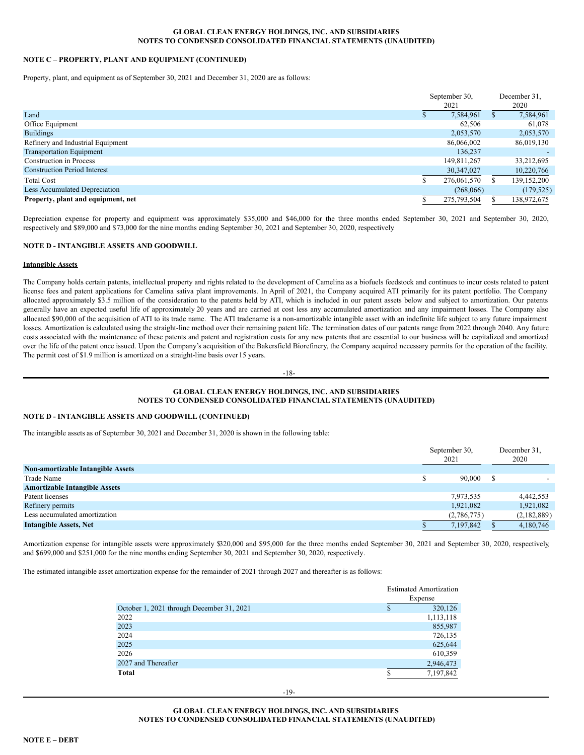## **GLOBAL CLEAN ENERGY HOLDINGS, INC. AND SUBSIDIARIES NOTES TO CONDENSED CONSOLIDATED FINANCIAL STATEMENTS (UNAUDITED)**

## **NOTE C – PROPERTY, PLANT AND EQUIPMENT (CONTINUED)**

Property, plant, and equipment as of September 30, 2021 and December 31, 2020 are as follows:

|                                     | September 30, |  | December 31,  |
|-------------------------------------|---------------|--|---------------|
|                                     | 2021          |  | 2020          |
| Land                                | 7,584,961     |  | 7,584,961     |
| Office Equipment                    | 62.506        |  | 61,078        |
| <b>Buildings</b>                    | 2,053,570     |  | 2,053,570     |
| Refinery and Industrial Equipment   | 86,066,002    |  | 86,019,130    |
| <b>Transportation Equipment</b>     | 136.237       |  |               |
| <b>Construction in Process</b>      | 149,811,267   |  | 33,212,695    |
| <b>Construction Period Interest</b> | 30,347,027    |  | 10,220,766    |
| <b>Total Cost</b>                   | 276,061,570   |  | 139, 152, 200 |
| Less Accumulated Depreciation       | (268,066)     |  | (179, 525)    |
| Property, plant and equipment, net  | 275,793,504   |  | 138,972,675   |

Depreciation expense for property and equipment was approximately \$35,000 and \$46,000 for the three months ended September 30, 2021 and September 30, 2020, respectively and \$89,000 and \$73,000 for the nine months ending September 30, 2021 and September 30, 2020, respectively.

## **NOTE D - INTANGIBLE ASSETS AND GOODWILL**

## **Intangible Assets**

The Company holds certain patents, intellectual property and rights related to the development of Camelina as a biofuels feedstock and continues to incur costs related to patent license fees and patent applications for Camelina sativa plant improvements. In April of 2021, the Company acquired ATI primarily for its patent portfolio. The Company allocated approximately \$3.5 million of the consideration to the patents held by ATI, which is included in our patent assets below and subject to amortization. Our patents generally have an expected useful life of approximately 20 years and are carried at cost less any accumulated amortization and any impairment losses. The Company also allocated \$90,000 of the acquisition of ATI to its trade name. The ATI tradename is a non-amortizable intangible asset with an indefinite life subject to any future impairment losses. Amortization is calculated using the straight-line method over their remaining patent life. The termination dates of our patents range from 2022 through 2040. Any future costs associated with the maintenance of these patents and patent and registration costs for any new patents that are essential to our business will be capitalized and amortized over the life of the patent once issued. Upon the Company's acquisition of the Bakersfield Biorefinery, the Company acquired necessary permits for the operation of the facility. The permit cost of \$1.9 million is amortized on a straight-line basis over15 years.

-18-

## **GLOBAL CLEAN ENERGY HOLDINGS, INC. AND SUBSIDIARIES NOTES TO CONDENSED CONSOLIDATED FINANCIAL STATEMENTS (UNAUDITED)**

### **NOTE D - INTANGIBLE ASSETS AND GOODWILL (CONTINUED)**

The intangible assets as of September 30, 2021 and December 31, 2020 is shown in the following table:

|                                          | September 30,<br>2021 |  | December 31,<br>2020 |  |
|------------------------------------------|-----------------------|--|----------------------|--|
| <b>Non-amortizable Intangible Assets</b> |                       |  |                      |  |
| Trade Name                               | 90,000                |  |                      |  |
| <b>Amortizable Intangible Assets</b>     |                       |  |                      |  |
| Patent licenses                          | 7,973,535             |  | 4,442,553            |  |
| Refinery permits                         | 1,921,082             |  | 1,921,082            |  |
| Less accumulated amortization            | (2,786,775)           |  | (2,182,889)          |  |
| <b>Intangible Assets, Net</b>            | 7.197.842             |  | 4.180.746            |  |

Amortization expense for intangible assets were approximately \$320,000 and \$95,000 for the three months ended September 30, 2021 and September 30, 2020, respectively, and \$699,000 and \$251,000 for the nine months ending September 30, 2021 and September 30, 2020, respectively.

The estimated intangible asset amortization expense for the remainder of 2021 through 2027 and thereafter is as follows:

|                                           | <b>Estimated Amortization</b> |           |  |
|-------------------------------------------|-------------------------------|-----------|--|
|                                           | Expense                       |           |  |
| October 1, 2021 through December 31, 2021 | \$                            | 320,126   |  |
| 2022                                      |                               | 1,113,118 |  |
| 2023                                      |                               | 855,987   |  |
| 2024                                      |                               | 726,135   |  |
| 2025                                      |                               | 625,644   |  |
| 2026                                      |                               | 610,359   |  |
| 2027 and Thereafter                       |                               | 2,946,473 |  |
| Total                                     |                               | 7,197,842 |  |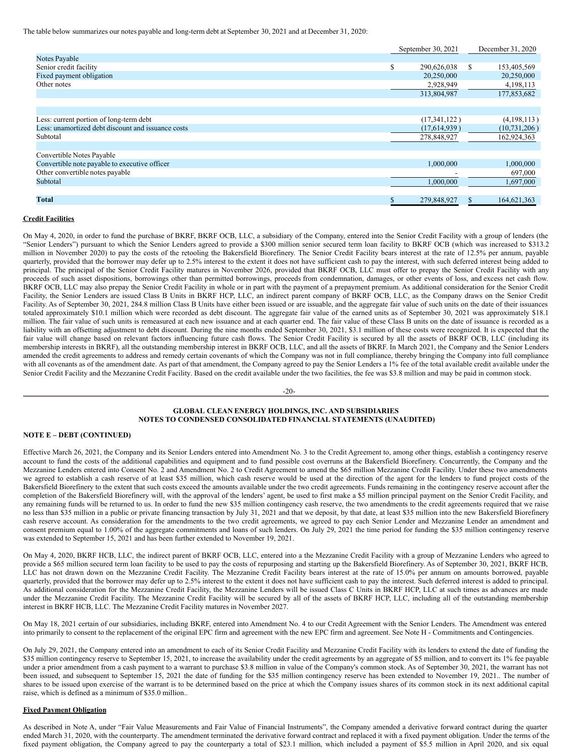The table below summarizes our notes payable and long-term debt at September 30, 2021 and at December 31, 2020:

|                                                    |   | September 30, 2021 |    | December 31, 2020 |
|----------------------------------------------------|---|--------------------|----|-------------------|
| Notes Payable                                      |   |                    |    |                   |
| Senior credit facility                             | S | 290,626,038        | S  | 153,405,569       |
| Fixed payment obligation                           |   | 20,250,000         |    | 20,250,000        |
| Other notes                                        |   | 2,928,949          |    | 4,198,113         |
|                                                    |   | 313,804,987        |    | 177,853,682       |
|                                                    |   |                    |    |                   |
|                                                    |   |                    |    |                   |
| Less: current portion of long-term debt            |   | (17, 341, 122)     |    | (4,198,113)       |
| Less: unamortized debt discount and issuance costs |   | (17,614,939)       |    | (10, 731, 206)    |
| Subtotal                                           |   | 278,848,927        |    | 162,924,363       |
|                                                    |   |                    |    |                   |
| Convertible Notes Payable                          |   |                    |    |                   |
| Convertible note payable to executive officer      |   | 1,000,000          |    | 1,000,000         |
| Other convertible notes payable                    |   |                    |    | 697,000           |
| Subtotal                                           |   | 1,000,000          |    | 1,697,000         |
|                                                    |   |                    |    |                   |
| Total                                              | ъ | 279,848,927        | \$ | 164,621,363       |

## **Credit Facilities**

On May 4, 2020, in order to fund the purchase of BKRF, BKRF OCB, LLC, a subsidiary of the Company, entered into the Senior Credit Facility with a group of lenders (the "Senior Lenders") pursuant to which the Senior Lenders agreed to provide a \$300 million senior secured term loan facility to BKRF OCB (which was increased to \$313.2 million in November 2020) to pay the costs of the retooling the Bakersfield Biorefinery. The Senior Credit Facility bears interest at the rate of 12.5% per annum, payable quarterly, provided that the borrower may defer up to 2.5% interest to the extent it does not have sufficient cash to pay the interest, with such deferred interest being added to principal. The principal of the Senior Credit Facility matures in November 2026, provided that BKRF OCB, LLC must offer to prepay the Senior Credit Facility with any proceeds of such asset dispositions, borrowings other than permitted borrowings, proceeds from condemnation, damages, or other events of loss, and excess net cash flow. BKRF OCB, LLC may also prepay the Senior Credit Facility in whole or in part with the payment of a prepayment premium. As additional consideration for the Senior Credit Facility, the Senior Lenders are issued Class B Units in BKRF HCP, LLC, an indirect parent company of BKRF OCB, LLC, as the Company draws on the Senior Credit Facility. As of September 30, 2021, 284.8 million Class B Units have either been issued or are issuable, and the aggregate fair value of such units on the date of their issuances totaled approximately \$10.1 million which were recorded as debt discount. The aggregate fair value of the earned units as of September 30, 2021 was approximately \$18.1 million. The fair value of such units is remeasured at each new issuance and at each quarter end. The fair value of these Class B units on the date of issuance is recorded as a liability with an offsetting adjustment to debt discount. During the nine months ended September 30, 2021, \$3.1 million of these costs were recognized. It is expected that the fair value will change based on relevant factors influencing future cash flows. The Senior Credit Facility is secured by all the assets of BKRF OCB, LLC (including its membership interests in BKRF), all the outstanding membership interest in BKRF OCB, LLC, and all the assets of BKRF. In March 2021, the Company and the Senior Lenders amended the credit agreements to address and remedy certain covenants of which the Company was not in full compliance, thereby bringing the Company into full compliance with all covenants as of the amendment date. As part of that amendment, the Company agreed to pay the Senior Lenders a 1% fee of the total available credit available under the Senior Credit Facility and the Mezzanine Credit Facility. Based on the credit available under the two facilities, the fee was \$3.8 million and may be paid in common stock.

#### -20-

### **GLOBAL CLEAN ENERGY HOLDINGS, INC. AND SUBSIDIARIES NOTES TO CONDENSED CONSOLIDATED FINANCIAL STATEMENTS (UNAUDITED)**

#### **NOTE E – DEBT (CONTINUED)**

Effective March 26, 2021, the Company and its Senior Lenders entered into Amendment No. 3 to the Credit Agreement to, among other things, establish a contingency reserve account to fund the costs of the additional capabilities and equipment and to fund possible cost overruns at the Bakersfield Biorefinery. Concurrently, the Company and the Mezzanine Lenders entered into Consent No. 2 and Amendment No. 2 to Credit Agreement to amend the \$65 million Mezzanine Credit Facility. Under these two amendments we agreed to establish a cash reserve of at least \$35 million, which cash reserve would be used at the direction of the agent for the lenders to fund project costs of the Bakersfield Biorefinery to the extent that such costs exceed the amounts available under the two credit agreements. Funds remaining in the contingency reserve account after the completion of the Bakersfield Biorefinery will, with the approval of the lenders' agent, be used to first make a \$5 million principal payment on the Senior Credit Facility, and any remaining funds will be returned to us. In order to fund the new \$35 million contingency cash reserve, the two amendments to the credit agreements required that we raise no less than \$35 million in a public or private financing transaction by July 31, 2021 and that we deposit, by that date, at least \$35 million into the new Bakersfield Biorefinery cash reserve account. As consideration for the amendments to the two credit agreements, we agreed to pay each Senior Lender and Mezzanine Lender an amendment and consent premium equal to 1.00% of the aggregate commitments and loans of such lenders. On July 29, 2021 the time period for funding the \$35 million contingency reserve was extended to September 15, 2021 and has been further extended to November 19, 2021.

On May 4, 2020, BKRF HCB, LLC, the indirect parent of BKRF OCB, LLC, entered into a the Mezzanine Credit Facility with a group of Mezzanine Lenders who agreed to provide a \$65 million secured term loan facility to be used to pay the costs of repurposing and starting up the Bakersfield Biorefinery. As of September 30, 2021, BKRF HCB, LLC has not drawn down on the Mezzanine Credit Facility. The Mezzanine Credit Facility bears interest at the rate of 15.0% per annum on amounts borrowed, payable quarterly, provided that the borrower may defer up to 2.5% interest to the extent it does not have sufficient cash to pay the interest. Such deferred interest is added to principal. As additional consideration for the Mezzanine Credit Facility, the Mezzanine Lenders will be issued Class C Units in BKRF HCP, LLC at such times as advances are made under the Mezzanine Credit Facility. The Mezzanine Credit Facility will be secured by all of the assets of BKRF HCP, LLC, including all of the outstanding membership interest in BKRF HCB, LLC. The Mezzanine Credit Facility matures in November 2027.

On May 18, 2021 certain of our subsidiaries, including BKRF, entered into Amendment No. 4 to our Credit Agreement with the Senior Lenders. The Amendment was entered into primarily to consent to the replacement of the original EPC firm and agreement with the new EPC firm and agreement. See Note H - Commitments and Contingencies.

On July 29, 2021, the Company entered into an amendment to each of its Senior Credit Facility and Mezzanine Credit Facility with its lenders to extend the date of funding the \$35 million contingency reserve to September 15, 2021, to increase the availability under the credit agreements by an aggregate of \$5 million, and to convert its 1% fee payable under a prior amendment from a cash payment to a warrant to purchase \$3.8 million in value of the Company's common stock. As of September 30, 2021, the warrant has not been issued, and subsequent to September 15, 2021 the date of funding for the \$35 million contingency reserve has been extended to November 19, 2021.. The number of shares to be issued upon exercise of the warrant is to be determined based on the price at which the Company issues shares of its common stock in its next additional capital raise, which is defined as a minimum of \$35.0 million..

### **Fixed Payment Obligation**

As described in Note A, under "Fair Value Measurements and Fair Value of Financial Instruments", the Company amended a derivative forward contract during the quarter ended March 31, 2020, with the counterparty. The amendment terminated the derivative forward contract and replaced it with a fixed payment obligation. Under the terms of the fixed payment obligation, the Company agreed to pay the counterparty a total of \$23.1 million, which included a payment of \$5.5 million in April 2020, and six equal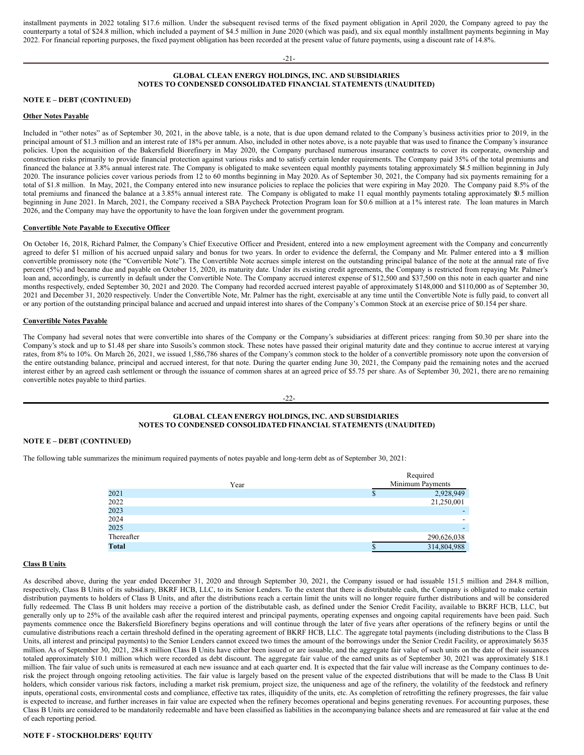installment payments in 2022 totaling \$17.6 million. Under the subsequent revised terms of the fixed payment obligation in April 2020, the Company agreed to pay the counterparty a total of \$24.8 million, which included a payment of \$4.5 million in June 2020 (which was paid), and six equal monthly installment payments beginning in May 2022. For financial reporting purposes, the fixed payment obligation has been recorded at the present value of future payments, using a discount rate of 14.8%.

-21-

## **GLOBAL CLEAN ENERGY HOLDINGS, INC. AND SUBSIDIARIES NOTES TO CONDENSED CONSOLIDATED FINANCIAL STATEMENTS (UNAUDITED)**

### **NOTE E – DEBT (CONTINUED)**

#### **Other Notes Payable**

Included in "other notes" as of September 30, 2021, in the above table, is a note, that is due upon demand related to the Company's business activities prior to 2019, in the principal amount of \$1.3 million and an interest rate of 18% per annum. Also, included in other notes above, is a note payable that was used to finance the Company's insurance policies. Upon the acquisition of the Bakersfield Biorefinery in May 2020, the Company purchased numerous insurance contracts to cover its corporate, ownership and construction risks primarily to provide financial protection against various risks and to satisfy certain lender requirements. The Company paid 35% of the total premiums and financed the balance at 3.8% annual interest rate. The Company is obligated to make seventeen equal monthly payments totaling approximately \$4.5 million beginning in July 2020. The insurance policies cover various periods from 12 to 60 months beginning in May 2020. As of September 30, 2021, the Company had six payments remaining for a total of \$1.8 million. In May, 2021, the Company entered into new insurance policies to replace the policies that were expiring in May 2020. The Company paid 8.5% of the total premiums and financed the balance at a 3.85% annual interest rate. The Company is obligated to make 11 equal monthly payments totaling approximately \$0.5 million beginning in June 2021. In March, 2021, the Company received a SBA Paycheck Protection Program loan for \$0.6 million at a 1% interest rate. The loan matures in March 2026, and the Company may have the opportunity to have the loan forgiven under the government program.

### **Convertible Note Payable to Executive Officer**

On October 16, 2018, Richard Palmer, the Company's Chief Executive Officer and President, entered into a new employment agreement with the Company and concurrently agreed to defer \$1 million of his accrued unpaid salary and bonus for two years. In order to evidence the deferral, the Company and Mr. Palmer entered into a \$1 million convertible promissory note (the "Convertible Note"). The Convertible Note accrues simple interest on the outstanding principal balance of the note at the annual rate of five percent (5%) and became due and payable on October 15, 2020, its maturity date. Under its existing credit agreements, the Company is restricted from repaying Mr. Palmer's loan and, accordingly, is currently in default under the Convertible Note. The Company accrued interest expense of \$12,500 and \$37,500 on this note in each quarter and nine months respectively, ended September 30, 2021 and 2020. The Company had recorded accrued interest payable of approximately \$148,000 and \$110,000 as of September 30, 2021 and December 31, 2020 respectively. Under the Convertible Note, Mr. Palmer has the right, exercisable at any time until the Convertible Note is fully paid, to convert all or any portion of the outstanding principal balance and accrued and unpaid interest into shares of the Company's Common Stock at an exercise price of \$0.154 per share.

#### **Convertible Notes Payable**

The Company had several notes that were convertible into shares of the Company or the Company's subsidiaries at different prices: ranging from \$0.30 per share into the Company's stock and up to \$1.48 per share into Susoils's common stock. These notes have passed their original maturity date and they continue to accrue interest at varying rates, from 8% to 10%. On March 26, 2021, we issued 1,586,786 shares of the Company's common stock to the holder of a convertible promissory note upon the conversion of the entire outstanding balance, principal and accrued interest, for that note. During the quarter ending June 30, 2021, the Company paid the remaining notes and the accrued interest either by an agreed cash settlement or through the issuance of common shares at an agreed price of \$5.75 per share. As of September 30, 2021, there are no remaining convertible notes payable to third parties.

#### -22-

### **GLOBAL CLEAN ENERGY HOLDINGS, INC. AND SUBSIDIARIES NOTES TO CONDENSED CONSOLIDATED FINANCIAL STATEMENTS (UNAUDITED)**

### **NOTE E – DEBT (CONTINUED)**

The following table summarizes the minimum required payments of notes payable and long-term debt as of September 30, 2021:

|              |      |   | Required         |
|--------------|------|---|------------------|
|              | Year |   | Minimum Payments |
| 2021         |      | Φ | 2,928,949        |
| 2022         |      |   | 21,250,001       |
| 2023         |      |   |                  |
| 2024         |      |   |                  |
| 2025         |      |   |                  |
| Thereafter   |      |   | 290,626,038      |
| <b>Total</b> |      |   | 314,804,988      |

#### **Class B Units**

As described above, during the year ended December 31, 2020 and through September 30, 2021, the Company issued or had issuable 151.5 million and 284.8 million, respectively, Class B Units of its subsidiary, BKRF HCB, LLC, to its Senior Lenders. To the extent that there is distributable cash, the Company is obligated to make certain distribution payments to holders of Class B Units, and after the distributions reach a certain limit the units will no longer require further distributions and will be considered fully redeemed. The Class B unit holders may receive a portion of the distributable cash, as defined under the Senior Credit Facility, available to BKRF HCB, LLC, but generally only up to 25% of the available cash after the required interest and principal payments, operating expenses and ongoing capital requirements have been paid. Such payments commence once the Bakersfield Biorefinery begins operations and will continue through the later of five years after operations of the refinery begins or until the cumulative distributions reach a certain threshold defined in the operating agreement of BKRF HCB, LLC. The aggregate total payments (including distributions to the Class B Units, all interest and principal payments) to the Senior Lenders cannot exceed two times the amount of the borrowings under the Senior Credit Facility, or approximately \$635 million. As of September 30, 2021, 284.8 million Class B Units have either been issued or are issuable, and the aggregate fair value of such units on the date of their issuances totaled approximately \$10.1 million which were recorded as debt discount. The aggregate fair value of the earned units as of September 30, 2021 was approximately \$18.1 million. The fair value of such units is remeasured at each new issuance and at each quarter end. It is expected that the fair value will increase as the Company continues to derisk the project through ongoing retooling activities. The fair value is largely based on the present value of the expected distributions that will be made to the Class B Unit holders, which consider various risk factors, including a market risk premium, project size, the uniqueness and age of the refinery, the volatility of the feedstock and refinery inputs, operational costs, environmental costs and compliance, effective tax rates, illiquidity of the units, etc. As completion of retrofitting the refinery progresses, the fair value is expected to increase, and further increases in fair value are expected when the refinery becomes operational and begins generating revenues. For accounting purposes, these Class B Units are considered to be mandatorily redeemable and have been classified as liabilities in the accompanying balance sheets and are remeasured at fair value at the end of each reporting period.

### **NOTE F - STOCKHOLDERS' EQUITY**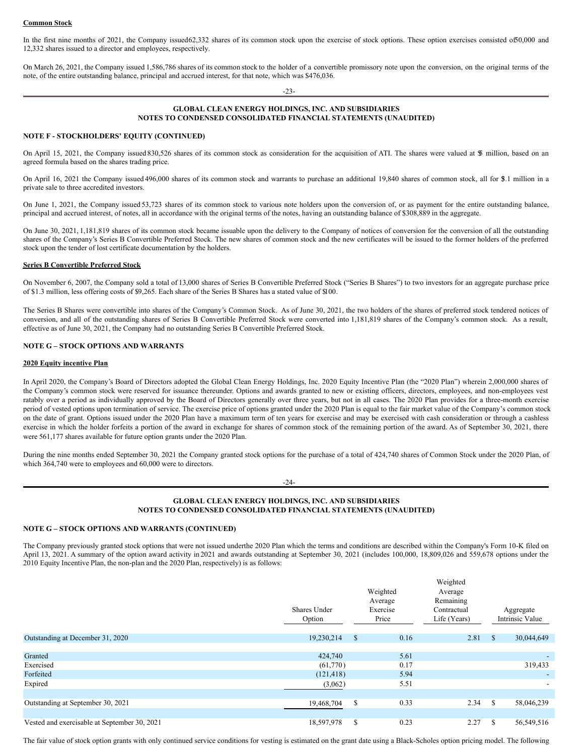#### **Common Stock**

In the first nine months of 2021, the Company issued62,332 shares of its common stock upon the exercise of stock options. These option exercises consisted of 50,000 and 12,332 shares issued to a director and employees, respectively.

On March 26, 2021, the Company issued 1,586,786 shares of its common stock to the holder of a convertible promissory note upon the conversion, on the original terms of the note, of the entire outstanding balance, principal and accrued interest, for that note, which was \$476,036.

-23-

### **GLOBAL CLEAN ENERGY HOLDINGS, INC. AND SUBSIDIARIES NOTES TO CONDENSED CONSOLIDATED FINANCIAL STATEMENTS (UNAUDITED)**

#### **NOTE F - STOCKHOLDERS' EQUITY (CONTINUED)**

On April 15, 2021, the Company issued 830,526 shares of its common stock as consideration for the acquisition of ATI. The shares were valued at \$5 million, based on an agreed formula based on the shares trading price.

On April 16, 2021 the Company issued 496,000 shares of its common stock and warrants to purchase an additional 19,840 shares of common stock, all for \$.1 million in a private sale to three accredited investors.

On June 1, 2021, the Company issued 53,723 shares of its common stock to various note holders upon the conversion of, or as payment for the entire outstanding balance, principal and accrued interest, of notes, all in accordance with the original terms of the notes, having an outstanding balance of \$308,889 in the aggregate.

On June 30, 2021, 1,181,819 shares of its common stock became issuable upon the delivery to the Company of notices of conversion for the conversion of all the outstanding shares of the Company's Series B Convertible Preferred Stock. The new shares of common stock and the new certificates will be issued to the former holders of the preferred stock upon the tender of lost certificate documentation by the holders.

#### **Series B Convertible Preferred Stock**

On November 6, 2007, the Company sold a total of 13,000 shares of Series B Convertible Preferred Stock ("Series B Shares") to two investors for an aggregate purchase price of \$1.3 million, less offering costs of \$9,265. Each share of the Series B Shares has a stated value of \$100.

The Series B Shares were convertible into shares of the Company's Common Stock. As of June 30, 2021, the two holders of the shares of preferred stock tendered notices of conversion, and all of the outstanding shares of Series B Convertible Preferred Stock were converted into 1,181,819 shares of the Company's common stock. As a result, effective as of June 30, 2021, the Company had no outstanding Series B Convertible Preferred Stock.

### **NOTE G – STOCK OPTIONS AND WARRANTS**

#### **2020 Equity incentive Plan**

In April 2020, the Company's Board of Directors adopted the Global Clean Energy Holdings, Inc. 2020 Equity Incentive Plan (the "2020 Plan") wherein 2,000,000 shares of the Company's common stock were reserved for issuance thereunder. Options and awards granted to new or existing officers, directors, employees, and non-employees vest ratably over a period as individually approved by the Board of Directors generally over three years, but not in all cases. The 2020 Plan provides for a three-month exercise period of vested options upon termination of service. The exercise price of options granted under the 2020 Plan is equal to the fair market value of the Company's common stock on the date of grant. Options issued under the 2020 Plan have a maximum term of ten years for exercise and may be exercised with cash consideration or through a cashless exercise in which the holder forfeits a portion of the award in exchange for shares of common stock of the remaining portion of the award. As of September 30, 2021, there were 561,177 shares available for future option grants under the 2020 Plan.

During the nine months ended September 30, 2021 the Company granted stock options for the purchase of a total of 424,740 shares of Common Stock under the 2020 Plan, of which 364,740 were to employees and 60,000 were to directors.

-24-

## **GLOBAL CLEAN ENERGY HOLDINGS, INC. AND SUBSIDIARIES NOTES TO CONDENSED CONSOLIDATED FINANCIAL STATEMENTS (UNAUDITED)**

#### **NOTE G – STOCK OPTIONS AND WARRANTS (CONTINUED)**

The Company previously granted stock options that were not issued underthe 2020 Plan which the terms and conditions are described within the Company's Form 10-K filed on April 13, 2021. A summary of the option award activity in 2021 and awards outstanding at September 30, 2021 (includes 100,000, 18,809,026 and 559,678 options under the 2010 Equity Incentive Plan, the non-plan and the 2020 Plan, respectively) is as follows:

|                                              | <b>Shares Under</b><br>Option |              | Weighted<br>Average<br>Exercise<br>Price | Weighted<br>Average<br>Remaining<br>Contractual<br>Life (Years) |              | Aggregate<br>Intrinsic Value |
|----------------------------------------------|-------------------------------|--------------|------------------------------------------|-----------------------------------------------------------------|--------------|------------------------------|
| Outstanding at December 31, 2020             | 19,230,214                    | $\mathbb{S}$ | 0.16                                     | 2.81                                                            | $\mathbb{S}$ | 30,044,649                   |
| Granted                                      | 424,740                       |              | 5.61                                     |                                                                 |              | $\overline{\phantom{a}}$     |
| Exercised                                    | (61,770)                      |              | 0.17                                     |                                                                 |              | 319,433                      |
| Forfeited                                    | (121, 418)                    |              | 5.94                                     |                                                                 |              |                              |
| Expired                                      | (3,062)                       |              | 5.51                                     |                                                                 |              |                              |
|                                              |                               |              |                                          |                                                                 |              |                              |
| Outstanding at September 30, 2021            | 19,468,704                    | \$           | 0.33                                     | 2.34                                                            | S            | 58,046,239                   |
|                                              |                               |              |                                          |                                                                 |              |                              |
| Vested and exercisable at September 30, 2021 | 18,597,978                    | S            | 0.23                                     | 2.27                                                            |              | 56,549,516                   |

The fair value of stock option grants with only continued service conditions for vesting is estimated on the grant date using a Black-Scholes option pricing model. The following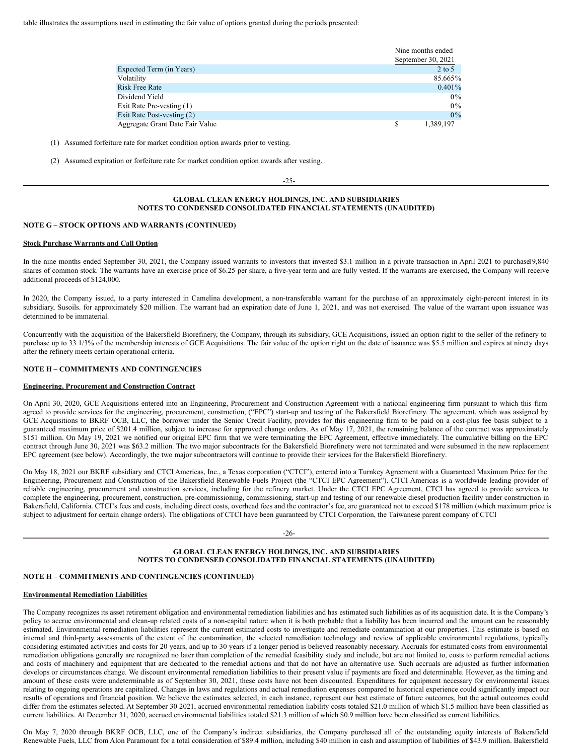table illustrates the assumptions used in estimating the fair value of options granted during the periods presented:

|                                 | Nine months ended  |
|---------------------------------|--------------------|
|                                 | September 30, 2021 |
| Expected Term (in Years)        | $2$ to 5           |
| Volatility                      | 85.665%            |
| <b>Risk Free Rate</b>           | $0.401\%$          |
| Dividend Yield                  | $0\%$              |
| Exit Rate Pre-vesting (1)       | $0\%$              |
| Exit Rate Post-vesting (2)      | 0%                 |
| Aggregate Grant Date Fair Value | \$<br>1,389,197    |

(1) Assumed forfeiture rate for market condition option awards prior to vesting.

(2) Assumed expiration or forfeiture rate for market condition option awards after vesting.

## **GLOBAL CLEAN ENERGY HOLDINGS, INC. AND SUBSIDIARIES NOTES TO CONDENSED CONSOLIDATED FINANCIAL STATEMENTS (UNAUDITED)**

#### **NOTE G – STOCK OPTIONS AND WARRANTS (CONTINUED)**

#### **Stock Purchase Warrants and Call Option**

In the nine months ended September 30, 2021, the Company issued warrants to investors that invested \$3.1 million in a private transaction in April 2021 to purchase19,840 shares of common stock. The warrants have an exercise price of \$6.25 per share, a five-year term and are fully vested. If the warrants are exercised, the Company will receive additional proceeds of \$124,000.

In 2020, the Company issued, to a party interested in Camelina development, a non-transferable warrant for the purchase of an approximately eight-percent interest in its subsidiary, Susoils. for approximately \$20 million. The warrant had an expiration date of June 1, 2021, and was not exercised. The value of the warrant upon issuance was determined to be immaterial.

Concurrently with the acquisition of the Bakersfield Biorefinery, the Company, through its subsidiary, GCE Acquisitions, issued an option right to the seller of the refinery to purchase up to 33 1/3% of the membership interests of GCE Acquisitions. The fair value of the option right on the date of issuance was \$5.5 million and expires at ninety days after the refinery meets certain operational criteria.

#### **NOTE H – COMMITMENTS AND CONTINGENCIES**

#### **Engineering, Procurement and Construction Contract**

On April 30, 2020, GCE Acquisitions entered into an Engineering, Procurement and Construction Agreement with a national engineering firm pursuant to which this firm agreed to provide services for the engineering, procurement, construction, ("EPC") start-up and testing of the Bakersfield Biorefinery. The agreement, which was assigned by GCE Acquisitions to BKRF OCB, LLC, the borrower under the Senior Credit Facility, provides for this engineering firm to be paid on a cost-plus fee basis subject to a guaranteed maximum price of \$201.4 million, subject to increase for approved change orders. As of May 17, 2021, the remaining balance of the contract was approximately \$151 million. On May 19, 2021 we notified our original EPC firm that we were terminating the EPC Agreement, effective immediately. The cumulative billing on the EPC contract through June 30, 2021 was \$63.2 million. The two major subcontracts for the Bakersfield Biorefinery were not terminated and were subsumed in the new replacement EPC agreement (see below). Accordingly, the two major subcontractors will continue to provide their services for the Bakersfield Biorefinery.

On May 18, 2021 our BKRF subsidiary and CTCI Americas, Inc., a Texas corporation ("CTCI"), entered into a Turnkey Agreement with a Guaranteed Maximum Price for the Engineering, Procurement and Construction of the Bakersfield Renewable Fuels Project (the "CTCI EPC Agreement"). CTCI Americas is a worldwide leading provider of reliable engineering, procurement and construction services, including for the refinery market. Under the CTCI EPC Agreement, CTCI has agreed to provide services to complete the engineering, procurement, construction, pre-commissioning, commissioning, start-up and testing of our renewable diesel production facility under construction in Bakersfield, California. CTCI's fees and costs, including direct costs, overhead fees and the contractor's fee, are guaranteed not to exceed \$178 million (which maximum price is subject to adjustment for certain change orders). The obligations of CTCI have been guaranteed by CTCI Corporation, the Taiwanese parent company of CTCI

-26-

## **GLOBAL CLEAN ENERGY HOLDINGS, INC. AND SUBSIDIARIES NOTES TO CONDENSED CONSOLIDATED FINANCIAL STATEMENTS (UNAUDITED)**

### **NOTE H – COMMITMENTS AND CONTINGENCIES (CONTINUED)**

#### **Environmental Remediation Liabilities**

The Company recognizes its asset retirement obligation and environmental remediation liabilities and has estimated such liabilities as of its acquisition date. It is the Company's policy to accrue environmental and clean-up related costs of a non-capital nature when it is both probable that a liability has been incurred and the amount can be reasonably estimated. Environmental remediation liabilities represent the current estimated costs to investigate and remediate contamination at our properties. This estimate is based on internal and third-party assessments of the extent of the contamination, the selected remediation technology and review of applicable environmental regulations, typically considering estimated activities and costs for 20 years, and up to 30 years if a longer period is believed reasonably necessary. Accruals for estimated costs from environmental remediation obligations generally are recognized no later than completion of the remedial feasibility study and include, but are not limited to, costs to perform remedial actions and costs of machinery and equipment that are dedicated to the remedial actions and that do not have an alternative use. Such accruals are adjusted as further information develops or circumstances change. We discount environmental remediation liabilities to their present value if payments are fixed and determinable. However, as the timing and amount of these costs were undeterminable as of September 30, 2021, these costs have not been discounted. Expenditures for equipment necessary for environmental issues relating to ongoing operations are capitalized. Changes in laws and regulations and actual remediation expenses compared to historical experience could significantly impact our results of operations and financial position. We believe the estimates selected, in each instance, represent our best estimate of future outcomes, but the actual outcomes could differ from the estimates selected. At September 30 2021, accrued environmental remediation liability costs totaled \$21.0 million of which \$1.5 million have been classified as current liabilities. At December 31, 2020, accrued environmental liabilities totaled \$21.3 million of which \$0.9 million have been classified as current liabilities.

On May 7, 2020 through BKRF OCB, LLC, one of the Company's indirect subsidiaries, the Company purchased all of the outstanding equity interests of Bakersfield Renewable Fuels, LLC from Alon Paramount for a total consideration of \$89.4 million, including \$40 million in cash and assumption of liabilities of \$43.9 million. Bakersfield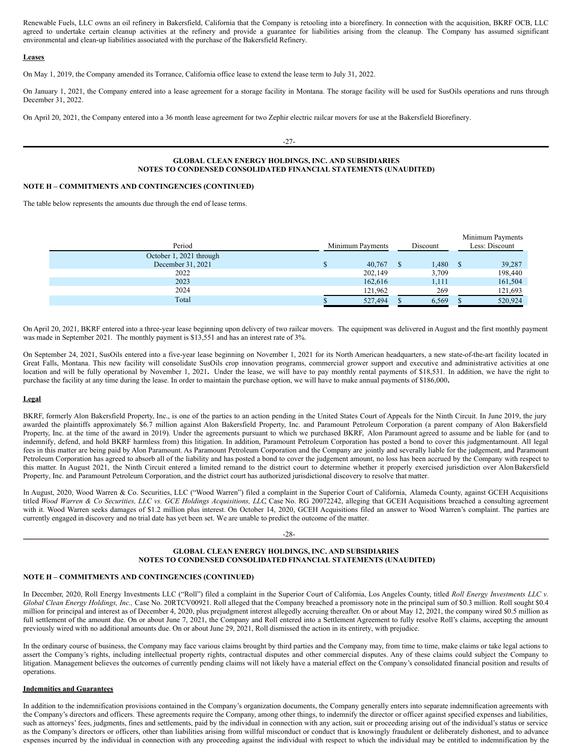Renewable Fuels, LLC owns an oil refinery in Bakersfield, California that the Company is retooling into a biorefinery. In connection with the acquisition, BKRF OCB, LLC agreed to undertake certain cleanup activities at the refinery and provide a guarantee for liabilities arising from the cleanup. The Company has assumed significant environmental and clean-up liabilities associated with the purchase of the Bakersfield Refinery.

#### **Leases**

On May 1, 2019, the Company amended its Torrance, California office lease to extend the lease term to July 31, 2022.

On January 1, 2021, the Company entered into a lease agreement for a storage facility in Montana. The storage facility will be used for SusOils operations and runs through December 31, 2022.

On April 20, 2021, the Company entered into a 36 month lease agreement for two Zephir electric railcar movers for use at the Bakersfield Biorefinery.

-27-

## **GLOBAL CLEAN ENERGY HOLDINGS, INC. AND SUBSIDIARIES NOTES TO CONDENSED CONSOLIDATED FINANCIAL STATEMENTS (UNAUDITED)**

#### **NOTE H – COMMITMENTS AND CONTINGENCIES (CONTINUED)**

The table below represents the amounts due through the end of lease terms.

| Period                  | Minimum Payments | Discount | Minimum Payments<br>Less: Discount |
|-------------------------|------------------|----------|------------------------------------|
| October 1, 2021 through |                  |          |                                    |
| December 31, 2021       | 40,767           | 1,480    | 39,287                             |
| 2022                    | 202,149          | 3,709    | 198,440                            |
| 2023                    | 162,616          | 1,111    | 161,504                            |
| 2024                    | 121,962          | 269      | 121,693                            |
| Total                   | 527,494          | 6,569    | 520,924                            |

On April 20, 2021, BKRF entered into a three-year lease beginning upon delivery of two railcar movers. The equipment was delivered in August and the first monthly payment was made in September 2021. The monthly payment is \$13,551 and has an interest rate of 3%.

On September 24, 2021, SusOils entered into a five-year lease beginning on November 1, 2021 for its North American headquarters, a new state-of-the-art facility located in Great Falls, Montana. This new facility will consolidate SusOils crop innovation programs, commercial grower support and executive and administrative activities at one location and will be fully operational by November 1, 2021**.** Under the lease, we will have to pay monthly rental payments of \$18,531. In addition, we have the right to purchase the facility at any time during the lease. In order to maintain the purchase option, we will have to make annual payments of \$186,000**.**

### **Legal**

BKRF, formerly Alon Bakersfield Property, Inc., is one of the parties to an action pending in the United States Court of Appeals for the Ninth Circuit. In June 2019, the jury awarded the plaintiffs approximately \$6.7 million against Alon Bakersfield Property, Inc. and Paramount Petroleum Corporation (a parent company of Alon Bakersfield Property, Inc. at the time of the award in 2019). Under the agreements pursuant to which we purchased BKRF, Alon Paramount agreed to assume and be liable for (and to indemnify, defend, and hold BKRF harmless from) this litigation. In addition, Paramount Petroleum Corporation has posted a bond to cover this judgmentamount. All legal fees in this matter are being paid by Alon Paramount. As Paramount Petroleum Corporation and the Company are jointly and severally liable for the judgement, and Paramount Petroleum Corporation has agreed to absorb all of the liability and has posted a bond to cover the judgement amount, no loss has been accrued by the Company with respect to this matter. In August 2021, the Ninth Circuit entered a limited remand to the district court to determine whether it properly exercised jurisdiction over AlonBakersfield Property, Inc. and Paramount Petroleum Corporation, and the district court has authorized jurisdictional discovery to resolve that matter.

In August, 2020, Wood Warren & Co. Securities, LLC ("Wood Warren") filed a complaint in the Superior Court of California, Alameda County, against GCEH Acquisitions titled Wood Warren & Co Securities, LLC vs. GCE Holdings Acquisitions, LLC Case No. RG 20072242, alleging that GCEH Acquisitions breached a consulting agreement with it. Wood Warren seeks damages of \$1.2 million plus interest. On October 14, 2020, GCEH Acquisitions filed an answer to Wood Warren's complaint. The parties are currently engaged in discovery and no trial date has yet been set. We are unable to predict the outcome of the matter.

#### -28-

## **GLOBAL CLEAN ENERGY HOLDINGS, INC. AND SUBSIDIARIES NOTES TO CONDENSED CONSOLIDATED FINANCIAL STATEMENTS (UNAUDITED)**

### **NOTE H – COMMITMENTS AND CONTINGENCIES (CONTINUED)**

In December, 2020, Roll Energy Investments LLC ("Roll") filed a complaint in the Superior Court of California, Los Angeles County, titled *Roll Energy Investments LLC v. Global Clean Energy Holdings, Inc.,* Case No. 20RTCV00921. Roll alleged that the Company breached a promissory note in the principal sum of \$0.3 million. Roll sought \$0.4 million for principal and interest as of December 4, 2020, plus prejudgment interest allegedly accruing thereafter. On or about May 12, 2021, the company wired \$0.5 million as full settlement of the amount due. On or about June 7, 2021, the Company and Roll entered into a Settlement Agreement to fully resolve Roll's claims, accepting the amount previously wired with no additional amounts due. On or about June 29, 2021, Roll dismissed the action in its entirety, with prejudice.

In the ordinary course of business, the Company may face various claims brought by third parties and the Company may, from time to time, make claims or take legal actions to assert the Company's rights, including intellectual property rights, contractual disputes and other commercial disputes. Any of these claims could subject the Company to litigation. Management believes the outcomes of currently pending claims will not likely have a material effect on the Company's consolidated financial position and results of operations.

### **Indemnities and Guarantees**

In addition to the indemnification provisions contained in the Company's organization documents, the Company generally enters into separate indemnification agreements with the Company's directors and officers. These agreements require the Company, among other things, to indemnify the director or officer against specified expenses and liabilities, such as attorneys' fees, judgments, fines and settlements, paid by the individual in connection with any action, suit or proceeding arising out of the individual's status or service as the Company's directors or officers, other than liabilities arising from willful misconduct or conduct that is knowingly fraudulent or deliberately dishonest, and to advance expenses incurred by the individual in connection with any proceeding against the individual with respect to which the individual may be entitled to indemnification by the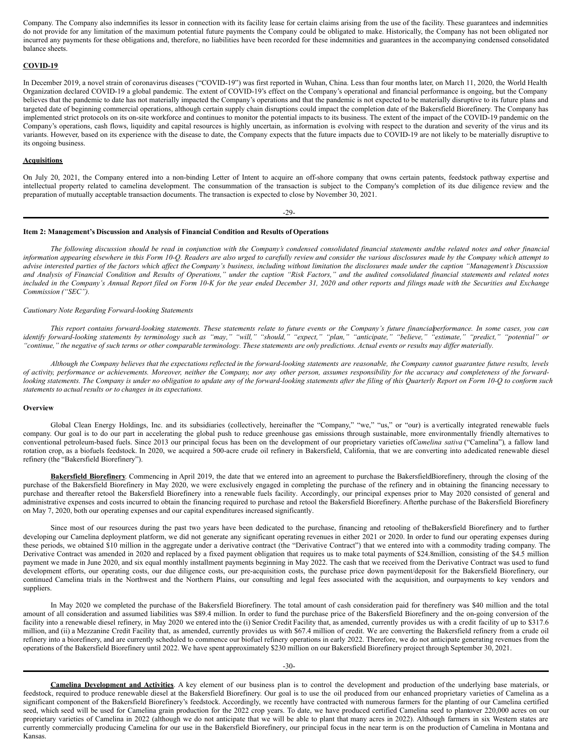Company. The Company also indemnifies its lessor in connection with its facility lease for certain claims arising from the use of the facility. These guarantees and indemnities do not provide for any limitation of the maximum potential future payments the Company could be obligated to make. Historically, the Company has not been obligated nor incurred any payments for these obligations and, therefore, no liabilities have been recorded for these indemnities and guarantees in the accompanying condensed consolidated balance sheets.

#### **COVID-19**

In December 2019, a novel strain of coronavirus diseases ("COVID-19") was first reported in Wuhan, China. Less than four months later, on March 11, 2020, the World Health Organization declared COVID-19 a global pandemic. The extent of COVID-19's effect on the Company's operational and financial performance is ongoing, but the Company believes that the pandemic to date has not materially impacted the Company's operations and that the pandemic is not expected to be materially disruptive to its future plans and targeted date of beginning commercial operations, although certain supply chain disruptions could impact the completion date of the Bakersfield Biorefinery. The Company has implemented strict protocols on its on-site workforce and continues to monitor the potential impacts to its business. The extent of the impact of the COVID-19 pandemic on the Company's operations, cash flows, liquidity and capital resources is highly uncertain, as information is evolving with respect to the duration and severity of the virus and its variants. However, based on its experience with the disease to date, the Company expects that the future impacts due to COVID-19 are not likely to be materially disruptive to its ongoing business.

#### **Acquisitions**

On July 20, 2021, the Company entered into a non-binding Letter of Intent to acquire an off-shore company that owns certain patents, feedstock pathway expertise and intellectual property related to camelina development. The consummation of the transaction is subject to the Company's completion of its due diligence review and the preparation of mutually acceptable transaction documents. The transaction is expected to close by November 30, 2021.

-29-

#### <span id="page-16-0"></span>**Item 2: Management's Discussion and Analysis of Financial Condition and Results of Operations**

The following discussion should be read in conjunction with the Company's condensed consolidated financial statements and the related notes and other financial information appearing elsewhere in this Form 10-Q. Readers are also urged to carefully review and consider the various disclosures made by the Company which attempt to advise interested parties of the factors which affect the Company's business, including without limitation the disclosures made under the caption "Management's Discussion and Analysis of Financial Condition and Results of Operations," under the caption "Risk Factors," and the audited consolidated financial statements and related notes included in the Company's Annual Report filed on Form 10-K for the year ended December 31, 2020 and other reports and filings made with the Securities and Exchange *Commission ("SEC").*

### *Cautionary Note Regarding Forward-looking Statements*

This report contains forward-looking statements. These statements relate to future events or the Company's future financialperformance. In some cases, you can identify forward-looking statements by terminology such as "may," "will," "should," "expect," "plan," "anticipate," "believe," "estimate," "predict," "potential" or "continue," the negative of such terms or other comparable terminology. These statements are only predictions. Actual events or results may differ materially.

Although the Company believes that the expectations reflected in the forward-looking statements are reasonable, the Company cannot guarantee future results, levels of activity, performance or achievements. Moreover, neither the Company, nor any other person, assumes responsibility for the accuracy and completeness of the forwardlooking statements. The Company is under no obligation to update any of the forward-looking statements after the filing of this Quarterly Report on Form 10-O to conform such *statements to actual results or to changes in its expectations.*

### **Overview**

Global Clean Energy Holdings, Inc. and its subsidiaries (collectively, hereinafter the "Company," "we," "us," or "our) is a vertically integrated renewable fuels company. Our goal is to do our part in accelerating the global push to reduce greenhouse gas emissions through sustainable, more environmentally friendly alternatives to conventional petroleum-based fuels. Since 2013 our principal focus has been on the development of our proprietary varieties of*Camelina sativa* ("Camelina")*,* a fallow land rotation crop, as a biofuels feedstock. In 2020, we acquired a 500-acre crude oil refinery in Bakersfield, California, that we are converting into adedicated renewable diesel refinery (the "Bakersfield Biorefinery").

**Bakersfield Biorefinery**. Commencing in April 2019, the date that we entered into an agreement to purchase the BakersfieldBiorefinery, through the closing of the purchase of the Bakersfield Biorefinery in May 2020, we were exclusively engaged in completing the purchase of the refinery and in obtaining the financing necessary to purchase and thereafter retool the Bakersfield Biorefinery into a renewable fuels facility. Accordingly, our principal expenses prior to May 2020 consisted of general and administrative expenses and costs incurred to obtain the financing required to purchase and retool the Bakersfield Biorefinery. Afterthe purchase of the Bakersfield Biorefinery on May 7, 2020, both our operating expenses and our capital expenditures increased significantly.

Since most of our resources during the past two years have been dedicated to the purchase, financing and retooling of theBakersfield Biorefinery and to further developing our Camelina deployment platform, we did not generate any significant operating revenues in either 2021 or 2020. In order to fund our operating expenses during these periods, we obtained \$10 million in the aggregate under a derivative contract (the "Derivative Contract") that we entered into with a commodity trading company. The Derivative Contract was amended in 2020 and replaced by a fixed payment obligation that requires us to make total payments of \$24.8million, consisting of the \$4.5 million payment we made in June 2020, and six equal monthly installment payments beginning in May 2022. The cash that we received from the Derivative Contract was used to fund development efforts, our operating costs, our due diligence costs, our pre-acquisition costs, the purchase price down payment/deposit for the Bakersfield Biorefinery, our continued Camelina trials in the Northwest and the Northern Plains, our consulting and legal fees associated with the acquisition, and ourpayments to key vendors and suppliers.

In May 2020 we completed the purchase of the Bakersfield Biorefinery. The total amount of cash consideration paid for therefinery was \$40 million and the total amount of all consideration and assumed liabilities was \$89.4 million. In order to fund the purchase price of the Bakersfield Biorefinery and the on-going conversion of the facility into a renewable diesel refinery, in May 2020 we entered into the (i) Senior Credit Facility that, as amended, currently provides us with a credit facility of up to \$317.6 million, and (ii) a Mezzanine Credit Facility that, as amended, currently provides us with \$67.4 million of credit. We are converting the Bakersfield refinery from a crude oil refinery into a biorefinery, and are currently scheduled to commence our biofuel refinery operations in early 2022. Therefore, we do not anticipate generating revenues from the operations of the Bakersfield Biorefinery until 2022. We have spent approximately \$230 million on our Bakersfield Biorefinery project through September 30, 2021.

| _<br>ı<br>. .<br>٠<br>$\sim$<br>۰.<br>., |
|------------------------------------------|
|------------------------------------------|

**Camelina Development and Activities**. A key element of our business plan is to control the development and production of the underlying base materials, or feedstock, required to produce renewable diesel at the Bakersfield Biorefinery. Our goal is to use the oil produced from our enhanced proprietary varieties of Camelina as a significant component of the Bakersfield Biorefinery's feedstock. Accordingly, we recently have contracted with numerous farmers for the planting of our Camelina certified seed, which seed will be used for Camelina grain production for the 2022 crop years. To date, we have produced certified Camelina seed to plantover 220,000 acres on our proprietary varieties of Camelina in 2022 (although we do not anticipate that we will be able to plant that many acres in 2022). Although farmers in six Western states are currently commercially producing Camelina for our use in the Bakersfield Biorefinery, our principal focus in the near term is on the production of Camelina in Montana and Kansas.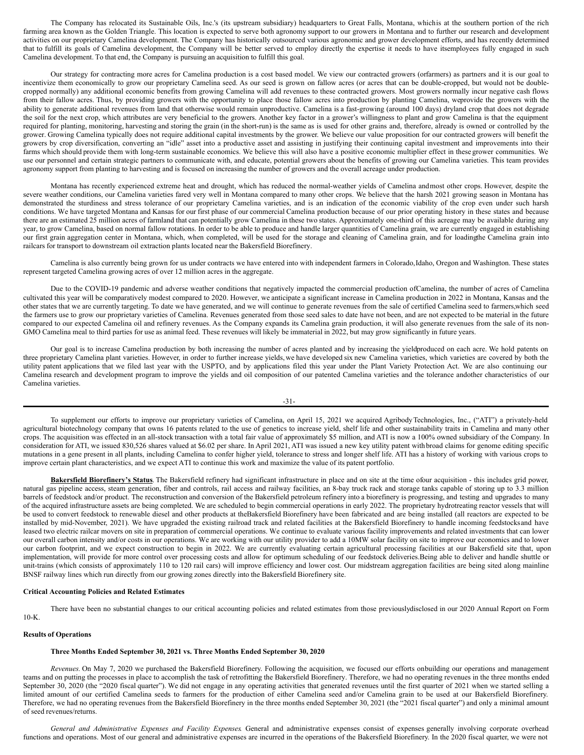The Company has relocated its Sustainable Oils, Inc.'s (its upstream subsidiary) headquarters to Great Falls, Montana, whichis at the southern portion of the rich farming area known as the Golden Triangle. This location is expected to serve both agronomy support to our growers in Montana and to further our research and development activities on our proprietary Camelina development. The Company has historically outsourced various agronomic and grower development efforts, and has recently determined that to fulfill its goals of Camelina development, the Company will be better served to employ directly the expertise it needs to have itsemployees fully engaged in such Camelina development. To that end, the Company is pursuing an acquisition to fulfill this goal.

Our strategy for contracting more acres for Camelina production is a cost based model. We view our contracted growers (orfarmers) as partners and it is our goal to incentivize them economically to grow our proprietary Camelina seed. As our seed is grown on fallow acres (or acres that can be double-cropped, but would not be doublecropped normally) any additional economic benefits from growing Camelina will add revenues to these contracted growers. Most growers normally incur negative cash flows from their fallow acres. Thus, by providing growers with the opportunity to place those fallow acres into production by planting Camelina, weprovide the growers with the ability to generate additional revenues from land that otherwise would remain unproductive. Camelina is a fast-growing (around 100 days) dryland crop that does not degrade the soil for the next crop, which attributes are very beneficial to the growers. Another key factor in a grower's willingness to plant and grow Camelina is that the equipment required for planting, monitoring, harvesting and storing the grain (in the short-run) is the same as is used for other grains and, therefore, already is owned or controlled by the grower. Growing Camelina typically does not require additional capital investments by the grower. We believe our value proposition for our contracted growers will benefit the growers by crop diversification, converting an "idle" asset into a productive asset and assisting in justifying their continuing capital investment and improvements into their farms which should provide them with long-term sustainable economics. We believe this will also have a positive economic multiplier effect in these grower communities. We use our personnel and certain strategic partners to communicate with, and educate, potential growers about the benefits of growing our Camelina varieties. This team provides agronomy support from planting to harvesting and is focused on increasing the number of growers and the overall acreage under production.

Montana has recently experienced extreme heat and drought, which has reduced the normal-weather yields of Camelina andmost other crops. However, despite the severe weather conditions, our Camelina varieties fared very well in Montana compared to many other crops. We believe that the harsh 2021 growing season in Montana has demonstrated the sturdiness and stress tolerance of our proprietary Camelina varieties, and is an indication of the economic viability of the crop even under such harsh conditions. We have targeted Montana and Kansas for our first phase of our commercial Camelina production because of our prior operating history in these states and because there are an estimated 25 million acres of farmland that can potentially grow Camelina in these two states. Approximately one-third of this acreage may be available during any year, to grow Camelina, based on normal fallow rotations. In order to be able to produce and handle larger quantities of Camelina grain, we are currently engaged in establishing our first grain aggregation center in Montana, which, when completed, will be used for the storage and cleaning of Camelina grain, and for loadingthe Camelina grain into railcars for transport to downstream oil extraction plants located near the Bakersfield Biorefinery.

Camelina is also currently being grown for us under contracts we have entered into with independent farmers in Colorado,Idaho, Oregon and Washington. These states represent targeted Camelina growing acres of over 12 million acres in the aggregate.

Due to the COVID-19 pandemic and adverse weather conditions that negatively impacted the commercial production ofCamelina, the number of acres of Camelina cultivated this year will be comparatively modest compared to 2020. However, we anticipate a significant increase in Camelina production in 2022 in Montana, Kansas and the other states that we are currently targeting. To date we have generated, and we will continue to generate revenues from the sale of certified Camelina seed to farmers,which seed the farmers use to grow our proprietary varieties of Camelina. Revenues generated from those seed sales to date have not been, and are not expected to be material in the future compared to our expected Camelina oil and refinery revenues. As the Company expands its Camelina grain production, it will also generate revenues from the sale of its non-GMO Camelina meal to third parties for use as animal feed. These revenues will likely be immaterial in 2022, but may grow significantly in future years.

Our goal is to increase Camelina production by both increasing the number of acres planted and by increasing the yieldproduced on each acre. We hold patents on three proprietary Camelina plant varieties. However, in order to further increase yields,we have developed six new Camelina varieties, which varieties are covered by both the utility patent applications that we filed last year with the USPTO, and by applications filed this year under the Plant Variety Protection Act. We are also continuing our Camelina research and development program to improve the yields and oil composition of our patented Camelina varieties and the tolerance andother characteristics of our Camelina varieties.

#### -31-

To supplement our efforts to improve our proprietary varieties of Camelina, on April 15, 2021 we acquired AgribodyTechnologies, Inc., ("ATI") a privately-held agricultural biotechnology company that owns 16 patents related to the use of genetics to increase yield, shelf life and other sustainability traits in Camelina and many other crops. The acquisition was effected in an all-stock transaction with a total fair value of approximately \$5 million, and ATI is now a 100% owned subsidiary of the Company. In consideration for ATI, we issued 830,526 shares valued at \$6.02 per share. In April 2021, ATI was issued a new key utility patent withbroad claims for genome editing specific mutations in a gene present in all plants, including Camelina to confer higher yield, tolerance to stress and longer shelf life. ATI has a history of working with various crops to improve certain plant characteristics, and we expect ATI to continue this work and maximize the value of its patent portfolio.

**Bakersfield Biorefinery's Status**. The Bakersfield refinery had significant infrastructure in place and on site at the time ofour acquisition - this includes grid power, natural gas pipeline access, steam generation, fiber and controls, rail access and railway facilities, an 8-bay truck rack and storage tanks capable of storing up to 3.3 million barrels of feedstock and/or product. The reconstruction and conversion of the Bakersfield petroleum refinery into a biorefinery is progressing, and testing and upgrades to many of the acquired infrastructure assets are being completed. We are scheduled to begin commercial operations in early 2022. The proprietary hydrotreating reactor vessels that will be used to convert feedstock to renewable diesel and other products at theBakersfield Biorefinery have been fabricated and are being installed (all reactors are expected to be installed by mid-November, 2021). We have upgraded the existing railroad track and related facilities at the Bakersfield Biorefinery to handle incoming feedstocksand have leased two electric railcar movers on site in preparation of commercial operations. We continue to evaluate various facility improvements and related investments that can lower our overall carbon intensity and/or costs in our operations. We are working with our utility provider to add a 10MW solar facility on site to improve our economics and to lower our carbon footprint, and we expect construction to begin in 2022. We are currently evaluating certain agricultural processing facilities at our Bakersfield site that, upon implementation, will provide for more control over processing costs and allow for optimum scheduling of our feedstock deliveries.Being able to deliver and handle shuttle or unit-trains (which consists of approximately 110 to 120 rail cars) will improve efficiency and lower cost. Our midstream aggregation facilities are being sited along mainline BNSF railway lines which run directly from our growing zones directly into the Bakersfield Biorefinery site.

#### **Critical Accounting Policies and Related Estimates**

There have been no substantial changes to our critical accounting policies and related estimates from those previouslydisclosed in our 2020 Annual Report on Form  $10-K$ 

#### **Results of Operations**

## **Three Months Ended September 30, 2021 vs. Three Months Ended September 30, 2020**

*Revenues.* On May 7, 2020 we purchased the Bakersfield Biorefinery. Following the acquisition, we focused our efforts onbuilding our operations and management teams and on putting the processes in place to accomplish the task of retrofitting the Bakersfield Biorefinery. Therefore, we had no operating revenues in the three months ended September 30, 2020 (the "2020 fiscal quarter"). We did not engage in any operating activities that generated revenues until the first quarter of 2021 when we started selling a limited amount of our certified Camelina seeds to farmers for the production of either Camelina seed and/or Camelina grain to be used at our Bakersfield Biorefinery. Therefore, we had no operating revenues from the Bakersfield Biorefinery in the three months ended September 30, 2021 (the "2021 fiscal quarter") and only a minimal amount of seed revenues/returns.

*General and Administrative Expenses and Facility Expenses*. General and administrative expenses consist of expenses generally involving corporate overhead functions and operations. Most of our general and administrative expenses are incurred in the operations of the Bakersfield Biorefinery. In the 2020 fiscal quarter, we were not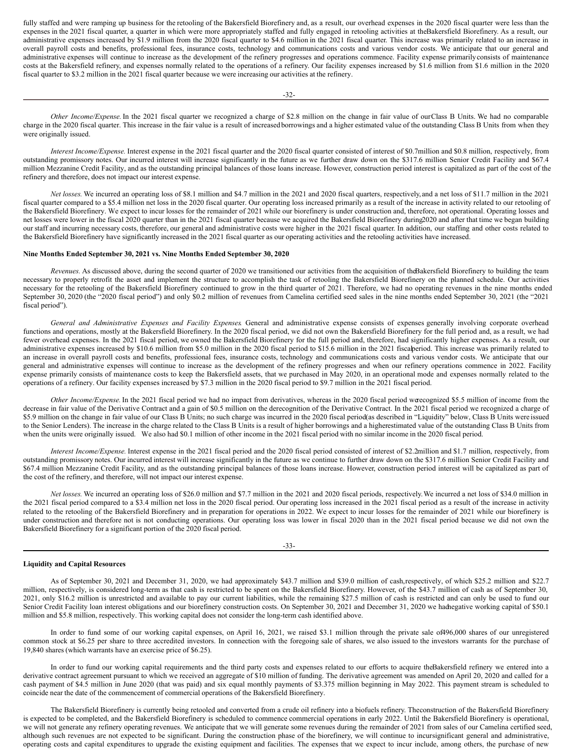fully staffed and were ramping up business for the retooling of the Bakersfield Biorefinery and, as a result, our overhead expenses in the 2020 fiscal quarter were less than the expenses in the 2021 fiscal quarter, a quarter in which were more appropriately staffed and fully engaged in retooling activities at theBakersfield Biorefinery. As a result, our administrative expenses increased by \$1.9 million from the 2020 fiscal quarter to \$4.6 million in the 2021 fiscal quarter. This increase was primarily related to an increase in overall payroll costs and benefits, professional fees, insurance costs, technology and communications costs and various vendor costs. We anticipate that our general and administrative expenses will continue to increase as the development of the refinery progresses and operations commence. Facility expense primarilyconsists of maintenance costs at the Bakersfield refinery, and expenses normally related to the operations of a refinery. Our facility expenses increased by \$1.6 million from \$1.6 million in the 2020 fiscal quarter to \$3.2 million in the 2021 fiscal quarter because we were increasing our activities at the refinery.

*Other Income/Expense.*In the 2021 fiscal quarter we recognized a charge of \$2.8 million on the change in fair value of ourClass B Units. We had no comparable charge in the 2020 fiscal quarter. This increase in the fair value is a result of increasedborrowings and a higher estimated value of the outstanding Class B Units from when they were originally issued.

*Interest Income/Expense.* Interest expense in the 2021 fiscal quarter and the 2020 fiscal quarter consisted of interest of \$0.7million and \$0.8 million, respectively, from outstanding promissory notes. Our incurred interest will increase significantly in the future as we further draw down on the \$317.6 million Senior Credit Facility and \$67.4 million Mezzanine Credit Facility, and as the outstanding principal balances of those loans increase. However, construction period interest is capitalized as part of the cost of the refinery and therefore, does not impact our interest expense.

*Net losses.* We incurred an operating loss of \$8.1 million and \$4.7 million in the 2021 and 2020 fiscal quarters, respectively, and a net loss of \$11.7 million in the 2021 fiscal quarter compared to a \$5.4 million net loss in the 2020 fiscal quarter. Our operating loss increased primarily as a result of the increase in activity related to our retooling of the Bakersfield Biorefinery. We expect to incur losses for the remainder of 2021 while our biorefinery is under construction and, therefore, not operational. Operating losses and net losses were lower in the fiscal 2020 quarter than in the 2021 fiscal quarter because we acquired the Bakersfield Biorefinery during2020 and after that time we began building our staff and incurring necessary costs, therefore, our general and administrative costs were higher in the 2021 fiscal quarter. In addition, our staffing and other costs related to the Bakersfield Biorefinery have significantly increased in the 2021 fiscal quarter as our operating activities and the retooling activities have increased.

#### **Nine Months Ended September 30, 2021 vs. Nine Months Ended September 30, 2020**

*Revenues.* As discussed above, during the second quarter of 2020 we transitioned our activities from the acquisition of theBakersfield Biorefinery to building the team necessary to properly retrofit the asset and implement the structure to accomplish the task of retooling the Bakersfield Biorefinery on the planned schedule. Our activities necessary for the retooling of the Bakersfield Biorefinery continued to grow in the third quarter of 2021. Therefore, we had no operating revenues in the nine months ended September 30, 2020 (the "2020 fiscal period") and only \$0.2 million of revenues from Camelina certified seed sales in the nine months ended September 30, 2021 (the "2021 fiscal period").

*General and Administrative Expenses and Facility Expenses*. General and administrative expense consists of expenses generally involving corporate overhead functions and operations, mostly at the Bakersfield Biorefinery. In the 2020 fiscal period, we did not own the Bakersfield Biorefinery for the full period and, as a result, we had fewer overhead expenses. In the 2021 fiscal period, we owned the Bakersfield Biorefinery for the full period and, therefore, had significantly higher expenses. As a result, our administrative expenses increased by \$10.6 million from \$5.0 million in the 2020 fiscal period to \$15.6 million in the 2021 fiscalperiod. This increase was primarily related to an increase in overall payroll costs and benefits, professional fees, insurance costs, technology and communications costs and various vendor costs. We anticipate that our general and administrative expenses will continue to increase as the development of the refinery progresses and when our refinery operations commence in 2022. Facility expense primarily consists of maintenance costs to keep the Bakersfield assets, that we purchased in May 2020, in an operational mode and expenses normally related to the operations of a refinery. Our facility expenses increased by \$7.3 million in the 2020 fiscal period to \$9.7 million in the 2021 fiscal period.

*Other Income/Expense.*In the 2021 fiscal period we had no impact from derivatives, whereas in the 2020 fiscal period werecognized \$5.5 million of income from the decrease in fair value of the Derivative Contract and a gain of \$0.5 million on the derecognition of the Derivative Contract. In the 2021 fiscal period we recognized a charge of \$5.9 million on the change in fair value of our Class B Units; no such charge was incurred in the 2020 fiscal period(as described in "Liquidity" below, Class B Units were issued to the Senior Lenders). The increase in the charge related to the Class B Units is a result of higher borrowings and a higherestimated value of the outstanding Class B Units from when the units were originally issued. We also had \$0.1 million of other income in the 2021 fiscal period with no similar income in the 2020 fiscal period.

*Interest Income/Expense.* Interest expense in the 2021 fiscal period and the 2020 fiscal period consisted of interest of \$2.2million and \$1.7 million, respectively, from outstanding promissory notes. Our incurred interest will increase significantly in the future as we continue to further draw down on the \$317.6 million Senior Credit Facility and \$67.4 million Mezzanine Credit Facility, and as the outstanding principal balances of those loans increase. However, construction period interest will be capitalized as part of the cost of the refinery, and therefore, will not impact our interest expense.

*Net losses.* We incurred an operating loss of \$26.0 million and \$7.7 million in the 2021 and 2020 fiscal periods, respectively.We incurred a net loss of \$34.0 million in the 2021 fiscal period compared to a \$3.4 million net loss in the 2020 fiscal period. Our operating loss increased in the 2021 fiscal period as a result of the increase in activity related to the retooling of the Bakersfield Biorefinery and in preparation for operations in 2022. We expect to incur losses for the remainder of 2021 while our biorefinery is under construction and therefore not is not conducting operations. Our operating loss was lower in fiscal 2020 than in the 2021 fiscal period because we did not own the Bakersfield Biorefinery for a significant portion of the 2020 fiscal period.

#### -33-

### **Liquidity and Capital Resources**

As of September 30, 2021 and December 31, 2020, we had approximately \$43.7 million and \$39.0 million of cash,respectively, of which \$25.2 million and \$22.7 million, respectively, is considered long-term as that cash is restricted to be spent on the Bakersfield Biorefinery. However, of the \$43.7 million of cash as of September 30, 2021, only \$16.2 million is unrestricted and available to pay our current liabilities, while the remaining \$27.5 million of cash is restricted and can only be used to fund our Senior Credit Facility loan interest obligations and our biorefinery construction costs. On September 30, 2021 and December 31, 2020 we hadnegative working capital of \$50.1 million and \$5.8 million, respectively. This working capital does not consider the long-term cash identified above.

In order to fund some of our working capital expenses, on April 16, 2021, we raised \$3.1 million through the private sale of496,000 shares of our unregistered common stock at \$6.25 per share to three accredited investors. In connection with the foregoing sale of shares, we also issued to the investors warrants for the purchase of 19,840 shares (which warrants have an exercise price of \$6.25).

In order to fund our working capital requirements and the third party costs and expenses related to our efforts to acquire theBakersfield refinery we entered into a derivative contract agreement pursuant to which we received an aggregate of \$10 million of funding. The derivative agreement was amended on April 20, 2020 and called for a cash payment of \$4.5 million in June 2020 (that was paid) and six equal monthly payments of \$3.375 million beginning in May 2022. This payment stream is scheduled to coincide near the date of the commencement of commercial operations of the Bakersfield Biorefinery.

The Bakersfield Biorefinery is currently being retooled and converted from a crude oil refinery into a biofuels refinery. Theconstruction of the Bakersfield Biorefinery is expected to be completed, and the Bakersfield Biorefinery is scheduled to commence commercial operations in early 2022. Until the Bakersfield Biorefinery is operational, we will not generate any refinery operating revenues. We anticipate that we will generate some revenues during the remainder of 2021 from sales of our Camelina certified seed, although such revenues are not expected to be significant. During the construction phase of the biorefinery, we will continue to incursignificant general and administrative, operating costs and capital expenditures to upgrade the existing equipment and facilities. The expenses that we expect to incur include, among others, the purchase of new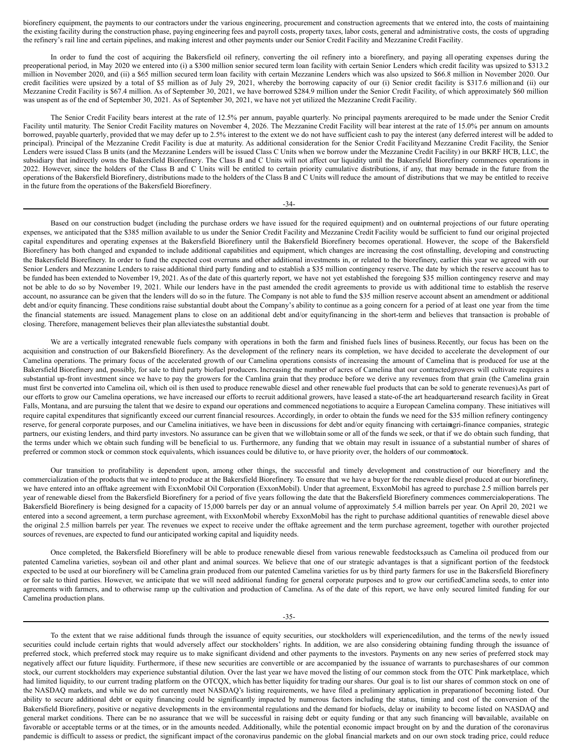biorefinery equipment, the payments to our contractors under the various engineering, procurement and construction agreements that we entered into, the costs of maintaining the existing facility during the construction phase, paying engineering fees and payroll costs, property taxes, labor costs, general and administrative costs, the costs of upgrading the refinery's rail line and certain pipelines, and making interest and other payments under our Senior Credit Facility and Mezzanine Credit Facility.

In order to fund the cost of acquiring the Bakersfield oil refinery, converting the oil refinery into a biorefinery, and paying all operating expenses during the preoperational period, in May 2020 we entered into (i) a \$300 million senior secured term loan facility with certain Senior Lenders which credit facility was upsized to \$313.2 million in November 2020, and (ii) a \$65 million secured term loan facility with certain Mezzanine Lenders which was also upsized to \$66.8 million in November 2020. Our credit facilities were upsized by a total of \$5 million as of July 29, 2021, whereby the borrowing capacity of our (i) Senior credit facility is \$317.6 million and (ii) our Mezzanine Credit Facility is \$67.4 million. As of September 30, 2021, we have borrowed \$284.9 million under the Senior Credit Facility, of which approximately \$60 million was unspent as of the end of September 30, 2021. As of September 30, 2021, we have not yet utilized the Mezzanine Credit Facility.

The Senior Credit Facility bears interest at the rate of 12.5% per annum, payable quarterly. No principal payments arerequired to be made under the Senior Credit Facility until maturity. The Senior Credit Facility matures on November 4, 2026. The Mezzanine Credit Facility will bear interest at the rate of 15.0% per annum on amounts borrowed, payable quarterly, provided that we may defer up to 2.5% interest to the extent we do not have sufficient cash to pay the interest (any deferred interest will be added to principal). Principal of the Mezzanine Credit Facility is due at maturity. As additional consideration for the Senior Credit Facilityand Mezzanine Credit Facility, the Senior Lenders were issued Class B units (and the Mezzanine Lenders will be issued Class C Units when we borrow under the Mezzanine Credit Facility) in our BKRF HCB, LLC, the subsidiary that indirectly owns the Bakersfield Biorefinery. The Class B and C Units will not affect our liquidity until the Bakersfield Biorefinery commences operations in 2022. However, since the holders of the Class B and C Units will be entitled to certain priority cumulative distributions, if any, that may bemade in the future from the operations of the Bakersfield Biorefinery, distributions made to the holders of the Class B and C Units will reduce the amount of distributions that we may be entitled to receive in the future from the operations of the Bakersfield Biorefinery.

-34-

Based on our construction budget (including the purchase orders we have issued for the required equipment) and on ourinternal projections of our future operating expenses, we anticipated that the \$385 million available to us under the Senior Credit Facility and Mezzanine Credit Facility would be sufficient to fund our original projected capital expenditures and operating expenses at the Bakersfield Biorefinery until the Bakersfield Biorefinery becomes operational. However, the scope of the Bakersfield Biorefinery has both changed and expanded to include additional capabilities and equipment, which changes are increasing the cost ofinstalling, developing and constructing the Bakersfield Biorefinery. In order to fund the expected cost overruns and other additional investments in, or related to the biorefinery, earlier this year we agreed with our Senior Lenders and Mezzanine Lenders to raise additional third party funding and to establish a \$35 million contingency reserve. The date by which the reserve account has to be funded has been extended to November 19, 2021. As of the date of this quarterly report, we have not yet established the foregoing \$35 million contingency reserve and may not be able to do so by November 19, 2021. While our lenders have in the past amended the credit agreements to provide us with additional time to establish the reserve account, no assurance can be given that the lenders will do so in the future. The Company is not able to fund the \$35 million reserve account absent an amendment or additional debt and/or equity financing. These conditions raise substantial doubt about the Company's ability to continue as a going concern for a period of at least one year from the time the financial statements are issued. Management plans to close on an additional debt and/or equityfinancing in the short-term and believes that transaction is probable of closing. Therefore, management believes their plan alleviatesthe substantial doubt.

We are a vertically integrated renewable fuels company with operations in both the farm and finished fuels lines of business.Recently, our focus has been on the acquisition and construction of our Bakersfield Biorefinery. As the development of the refinery nears its completion, we have decided to accelerate the development of our Camelina operations. The primary focus of the accelerated growth of our Camelina operations consists of increasing the amount of Camelina that is produced for use at the Bakersfield Biorefinery and, possibly, for sale to third party biofuel producers. Increasing the number of acres of Camelina that our contractedgrowers will cultivate requires a substantial up-front investment since we have to pay the growers for the Camlina grain that they produce before we derive any revenues from that grain (the Camelina grain must first be converted into Camelina oil, which oil is then used to produce renewable diesel and other renewable fuel products that can be sold to generate revenues).As part of our efforts to grow our Camelina operations, we have increased our efforts to recruit additional growers, have leased a state-of-the art headquartersand research facility in Great Falls, Montana, and are pursuing the talent that we desire to expand our operations and commenced negotiations to acquire a European Camelina company. These initiatives will require capital expenditures that significantly exceed our current financial resources. Accordingly, in order to obtain the funds we need for the \$35 million refinery contingency reserve, for general corporate purposes, and our Camelina initiatives, we have been in discussions for debt and/or equity financing with certainagri-finance companies, strategic partners, our existing lenders, and third party investors. No assurance can be given that we willobtain some or all of the funds we seek, or that if we do obtain such funding, that the terms under which we obtain such funding will be beneficial to us. Furthermore, any funding that we obtain may result in issuance of a substantial number of shares of preferred or common stock or common stock equivalents, which issuances could be dilutive to, or have priority over, the holders of our commonstock.

Our transition to profitability is dependent upon, among other things, the successful and timely development and construction of our biorefinery and the commercialization of the products that we intend to produce at the Bakersfield Biorefinery. To ensure that we have a buyer for the renewable diesel produced at our biorefinery, we have entered into an offtake agreement with ExxonMobil Oil Corporation (ExxonMobil). Under that agreement, ExxonMobil has agreed to purchase 2.5 million barrels per year of renewable diesel from the Bakersfield Biorefinery for a period of five years following the date that the Bakersfield Biorefinery commences commercialoperations. The Bakersfield Biorefinery is being designed for a capacity of 15,000 barrels per day or an annual volume of approximately 5.4 million barrels per year. On April 20, 2021 we entered into a second agreement, a term purchase agreement, with ExxonMobil whereby ExxonMobil has the right to purchase additional quantities of renewable diesel above the original 2.5 million barrels per year. The revenues we expect to receive under the offtake agreement and the term purchase agreement, together with ourother projected sources of revenues, are expected to fund our anticipated working capital and liquidity needs.

Once completed, the Bakersfield Biorefinery will be able to produce renewable diesel from various renewable feedstocks,such as Camelina oil produced from our patented Camelina varieties, soybean oil and other plant and animal sources. We believe that one of our strategic advantages is that a significant portion of the feedstock expected to be used at our biorefinery will be Camelina grain produced from our patented Camelina varieties for us by third party farmers for use in the Bakersfield Biorefinery or for sale to third parties. However, we anticipate that we will need additional funding for general corporate purposes and to grow our certifiedCamelina seeds, to enter into agreements with farmers, and to otherwise ramp up the cultivation and production of Camelina. As of the date of this report, we have only secured limited funding for our Camelina production plans.

To the extent that we raise additional funds through the issuance of equity securities, our stockholders will experiencedilution, and the terms of the newly issued securities could include certain rights that would adversely affect our stockholders' rights. In addition, we are also considering obtaining funding through the issuance of preferred stock, which preferred stock may require us to make significant dividend and other payments to the investors. Payments on any new series of preferred stock may negatively affect our future liquidity. Furthermore, if these new securities are convertible or are accompanied by the issuance of warrants to purchaseshares of our common stock, our current stockholders may experience substantial dilution. Over the last year we have moved the listing of our common stock from the OTC Pink marketplace, which had limited liquidity, to our current trading platform on the OTCQX, which has better liquidity for trading our shares. Our goal is to list our shares of common stock on one of the NASDAQ markets, and while we do not currently meet NASDAQ's listing requirements, we have filed a preliminary application in preparationof becoming listed. Our ability to secure additional debt or equity financing could be significantly impacted by numerous factors including the status, timing and cost of the conversion of the Bakersfield Biorefinery, positive or negative developments in the environmental regulations and the demand for biofuels, delay or inability to become listed on NASDAQ and general market conditions. There can be no assurance that we will be successful in raising debt or equity funding or that any such financing will bevailable, available on favorable or acceptable terms or at the times, or in the amounts needed. Additionally, while the potential economic impact brought on by and the duration of the coronavirus pandemic is difficult to assess or predict, the significant impact of the coronavirus pandemic on the global financial markets and on our own stock trading price, could reduce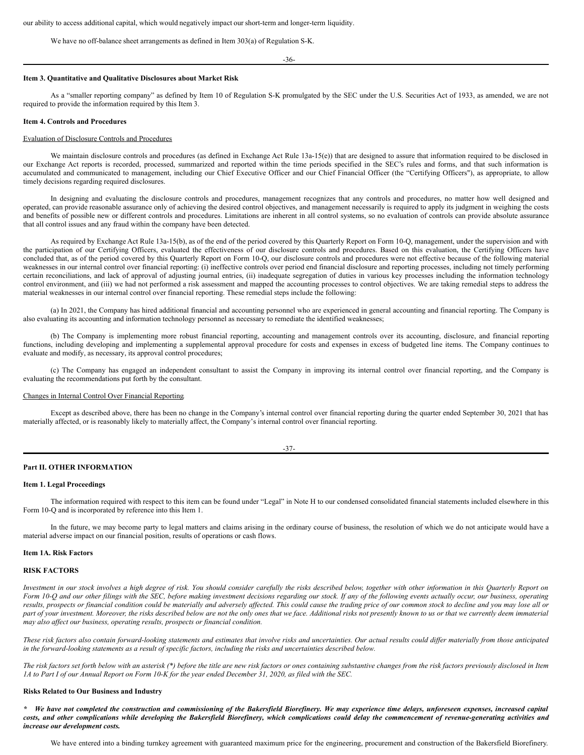our ability to access additional capital, which would negatively impact our short-term and longer-term liquidity.

We have no off-balance sheet arrangements as defined in Item 303(a) of Regulation S-K.

-36-

### <span id="page-20-0"></span>**Item 3. Quantitative and Qualitative Disclosures about Market Risk**

As a "smaller reporting company" as defined by Item 10 of Regulation S-K promulgated by the SEC under the U.S. Securities Act of 1933, as amended, we are not required to provide the information required by this Item 3.

#### <span id="page-20-1"></span>**Item 4. Controls and Procedures**

#### Evaluation of Disclosure Controls and Procedures

We maintain disclosure controls and procedures (as defined in Exchange Act Rule 13a-15(e)) that are designed to assure that information required to be disclosed in our Exchange Act reports is recorded, processed, summarized and reported within the time periods specified in the SEC's rules and forms, and that such information is accumulated and communicated to management, including our Chief Executive Officer and our Chief Financial Officer (the "Certifying Officers"), as appropriate, to allow timely decisions regarding required disclosures.

In designing and evaluating the disclosure controls and procedures, management recognizes that any controls and procedures, no matter how well designed and operated, can provide reasonable assurance only of achieving the desired control objectives, and management necessarily is required to apply its judgment in weighing the costs and benefits of possible new or different controls and procedures. Limitations are inherent in all control systems, so no evaluation of controls can provide absolute assurance that all control issues and any fraud within the company have been detected.

As required by Exchange Act Rule 13a-15(b), as of the end of the period covered by this Quarterly Report on Form 10-Q, management, under the supervision and with the participation of our Certifying Officers, evaluated the effectiveness of our disclosure controls and procedures. Based on this evaluation, the Certifying Officers have concluded that, as of the period covered by this Quarterly Report on Form 10-Q, our disclosure controls and procedures were not effective because of the following material weaknesses in our internal control over financial reporting: (i) ineffective controls over period end financial disclosure and reporting processes, including not timely performing certain reconciliations, and lack of approval of adjusting journal entries, (ii) inadequate segregation of duties in various key processes including the information technology control environment, and (iii) we had not performed a risk assessment and mapped the accounting processes to control objectives. We are taking remedial steps to address the material weaknesses in our internal control over financial reporting. These remedial steps include the following:

(a) In 2021, the Company has hired additional financial and accounting personnel who are experienced in general accounting and financial reporting. The Company is also evaluating its accounting and information technology personnel as necessary to remediate the identified weaknesses;

(b) The Company is implementing more robust financial reporting, accounting and management controls over its accounting, disclosure, and financial reporting functions, including developing and implementing a supplemental approval procedure for costs and expenses in excess of budgeted line items. The Company continues to evaluate and modify, as necessary, its approval control procedures;

(c) The Company has engaged an independent consultant to assist the Company in improving its internal control over financial reporting, and the Company is evaluating the recommendations put forth by the consultant.

#### Changes in Internal Control Over Financial Reporting.

Except as described above, there has been no change in the Company's internal control over financial reporting during the quarter ended September 30, 2021 that has materially affected, or is reasonably likely to materially affect, the Company's internal control over financial reporting.

### -37-

### <span id="page-20-2"></span>**Part II. OTHER INFORMATION**

#### <span id="page-20-3"></span>**Item 1. Legal Proceedings**

The information required with respect to this item can be found under "Legal" in Note H to our condensed consolidated financial statements included elsewhere in this Form 10-Q and is incorporated by reference into this Item 1.

In the future, we may become party to legal matters and claims arising in the ordinary course of business, the resolution of which we do not anticipate would have a material adverse impact on our financial position, results of operations or cash flows.

#### <span id="page-20-4"></span>**Item 1A. Risk Factors**

### **RISK FACTORS**

Investment in our stock involves a high degree of risk. You should consider carefully the risks described below, together with other information in this Quarterly Report on Form 10-Q and our other filings with the SEC, before making investment decisions regarding our stock. If any of the following events actually occur, our business, operating results, prospects or financial condition could be materially and adversely affected. This could cause the trading price of our common stock to decline and you may lose all or part of your investment. Moreover, the risks described below are not the only ones that we face. Additional risks not presently known to us or that we currently deem immaterial *may also af ect our business, operating results, prospects or financial condition.*

These risk factors also contain forward-looking statements and estimates that involve risks and uncertainties. Our actual results could differ materially from those anticipated in the forward-looking statements as a result of specific factors, including the risks and uncertainties described below.

The risk factors set forth below with an asterisk (\*) before the title are new risk factors or ones containing substantive changes from the risk factors previously disclosed in Item 1A to Part I of our Annual Report on Form 10-K for the year ended December 31, 2020, as filed with the SEC.

#### **Risks Related to Our Business and Industry**

\* We have not completed the construction and commissioning of the Bakersfield Biorefinery. We may experience time delays, unforeseen expenses, increased capital costs, and other complications while developing the Bakersfield Biorefinery, which complications could delay the commencement of revenue-generating activities and *increase our development costs.*

We have entered into a binding turnkey agreement with guaranteed maximum price for the engineering, procurement and construction of the Bakersfield Biorefinery.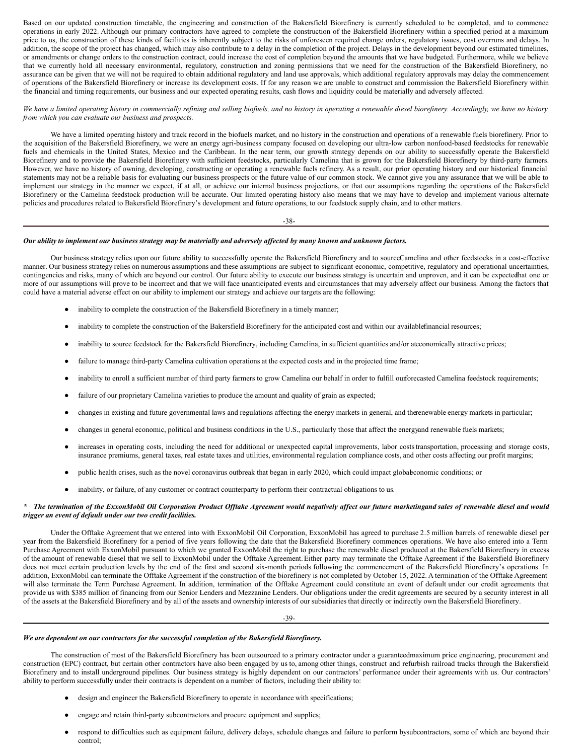Based on our updated construction timetable, the engineering and construction of the Bakersfield Biorefinery is currently scheduled to be completed, and to commence operations in early 2022. Although our primary contractors have agreed to complete the construction of the Bakersfield Biorefinery within a specified period at a maximum price to us, the construction of these kinds of facilities is inherently subject to the risks of unforeseen required change orders, regulatory issues, cost overruns and delays. In addition, the scope of the project has changed, which may also contribute to a delay in the completion of the project. Delays in the development beyond our estimated timelines, or amendments or change orders to the construction contract, could increase the cost of completion beyond the amounts that we have budgeted. Furthermore, while we believe that we currently hold all necessary environmental, regulatory, construction and zoning permissions that we need for the construction of the Bakersfield Biorefinery, no assurance can be given that we will not be required to obtain additional regulatory and land use approvals, which additional regulatory approvals may delay the commencement of operations of the Bakersfield Biorefinery or increase its development costs. If for any reason we are unable to construct and commission the Bakersfield Biorefinery within the financial and timing requirements, our business and our expected operating results, cash flows and liquidity could be materially and adversely affected.

### We have a limited operating history in commercially refining and selling biofuels, and no history in operating a renewable diesel biorefinery. Accordingly, we have no history *from which you can evaluate our business and prospects.*

We have a limited operating history and track record in the biofuels market, and no history in the construction and operations of a renewable fuels biorefinery. Prior to the acquisition of the Bakersfield Biorefinery, we were an energy agri-business company focused on developing our ultra-low carbon nonfood-based feedstocks for renewable fuels and chemicals in the United States, Mexico and the Caribbean. In the near term, our growth strategy depends on our ability to successfully operate the Bakersfield Biorefinery and to provide the Bakersfield Biorefinery with sufficient feedstocks, particularly Camelina that is grown for the Bakersfield Biorefinery by third-party farmers. However, we have no history of owning, developing, constructing or operating a renewable fuels refinery. As a result, our prior operating history and our historical financial statements may not be a reliable basis for evaluating our business prospects or the future value of our common stock. We cannot give you any assurance that we will be able to implement our strategy in the manner we expect, if at all, or achieve our internal business projections, or that our assumptions regarding the operations of the Bakersfield Biorefinery or the Camelina feedstock production will be accurate. Our limited operating history also means that we may have to develop and implement various alternate policies and procedures related to Bakersfield Biorefinery's development and future operations, to our feedstock supply chain, and to other matters.

-38-

#### Our ability to implement our business strategy may be materially and adversely affected by many known and unknown factors.

Our business strategy relies upon our future ability to successfully operate the Bakersfield Biorefinery and to sourceCamelina and other feedstocks in a cost-effective manner. Our business strategy relies on numerous assumptions and these assumptions are subject to significant economic, competitive, regulatory and operational uncertainties, contingencies and risks, many of which are beyond our control. Our future ability to execute our business strategy is uncertain and unproven, and it can be expectedthat one or more of our assumptions will prove to be incorrect and that we will face unanticipated events and circumstances that may adversely affect our business. Among the factors that could have a material adverse effect on our ability to implement our strategy and achieve our targets are the following:

- inability to complete the construction of the Bakersfield Biorefinery in a timely manner;
- inability to complete the construction of the Bakersfield Biorefinery for the anticipated cost and within our availablefinancial resources;
- inability to source feedstock for the Bakersfield Biorefinery, including Camelina, in sufficient quantities and/or ateconomically attractive prices;
- failure to manage third-party Camelina cultivation operations at the expected costs and in the projected time frame;
- inability to enroll a sufficient number of third party farmers to grow Camelina our behalf in order to fulfill ourforecasted Camelina feedstock requirements;
- failure of our proprietary Camelina varieties to produce the amount and quality of grain as expected;
- changes in existing and future governmental laws and regulations affecting the energy markets in general, and therenewable energy markets in particular;
- changes in general economic, political and business conditions in the U.S., particularly those that affect the energyand renewable fuels markets;
- increases in operating costs, including the need for additional or unexpected capital improvements, labor costs transportation, processing and storage costs, insurance premiums, general taxes, real estate taxes and utilities, environmental regulation compliance costs, and other costs affecting our profit margins;
- public health crises, such as the novel coronavirus outbreak that began in early 2020, which could impact global conditions; or
- inability, or failure, of any customer or contract counterparty to perform their contractual obligations to us.

### \* The termination of the ExxonMobil Oil Corporation Product Offtake Agreement would negatively affect our future marketingand sales of renewable diesel and would *trigger an event of default under our two credit facilities.*

Under the Offtake Agreement that we entered into with ExxonMobil Oil Corporation, ExxonMobil has agreed to purchase 2.5 million barrels of renewable diesel per year from the Bakersfield Biorefinery for a period of five years following the date that the Bakersfield Biorefinery commences operations. We have also entered into a Term Purchase Agreement with ExxonMobil pursuant to which we granted ExxonMobil the right to purchase the renewable diesel produced at the Bakersfield Biorefinery in excess of the amount of renewable diesel that we sell to ExxonMobil under the Offtake Agreement.Either party may terminate the Offtake Agreement if the Bakersfield Biorefinery does not meet certain production levels by the end of the first and second six-month periods following the commencement of the Bakersfield Biorefinery's operations. In addition, ExxonMobil can terminate the Offtake Agreement if the construction of the biorefinery is not completed by October 15, 2022. A termination of the Offtake Agreement will also terminate the Term Purchase Agreement. In addition, termination of the Offtake Agreement could constitute an event of default under our credit agreements that provide us with \$385 million of financing from our Senior Lenders and Mezzanine Lenders. Our obligations under the credit agreements are secured by a security interest in all of the assets at the Bakersfield Biorefinery and by all of the assets and ownership interests of our subsidiaries that directly or indirectly own the Bakersfield Biorefinery.

#### -39-

## *We are dependent on our contractors for the successful completion of the Bakersfield Biorefinery.*

The construction of most of the Bakersfield Biorefinery has been outsourced to a primary contractor under a guaranteedmaximum price engineering, procurement and construction (EPC) contract, but certain other contractors have also been engaged by us to, among other things, construct and refurbish railroad tracks through the Bakersfield Biorefinery and to install underground pipelines. Our business strategy is highly dependent on our contractors' performance under their agreements with us. Our contractors' ability to perform successfully under their contracts is dependent on a number of factors, including their ability to:

- design and engineer the Bakersfield Biorefinery to operate in accordance with specifications;
- engage and retain third-party subcontractors and procure equipment and supplies;
- respond to difficulties such as equipment failure, delivery delays, schedule changes and failure to perform bysubcontractors, some of which are beyond their control;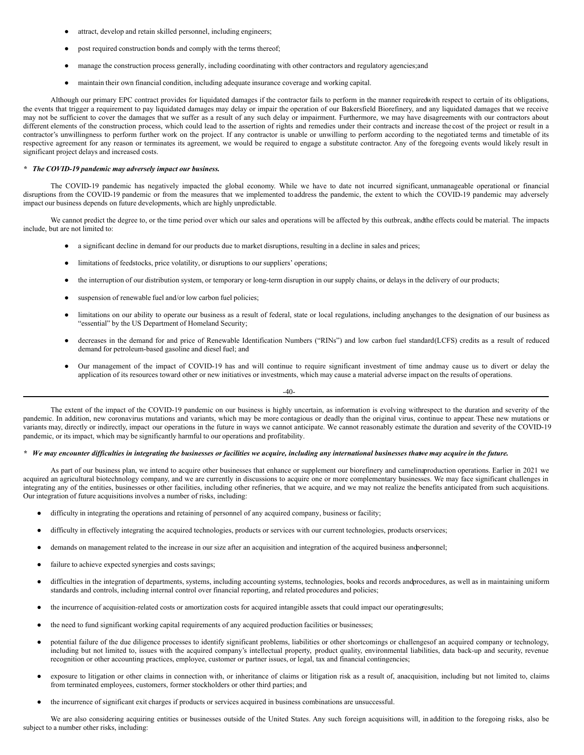- attract, develop and retain skilled personnel, including engineers;
- post required construction bonds and comply with the terms thereof;
- manage the construction process generally, including coordinating with other contractors and regulatory agencies;and
- maintain their own financial condition, including adequate insurance coverage and working capital.

Although our primary EPC contract provides for liquidated damages if the contractor fails to perform in the manner requiredwith respect to certain of its obligations, the events that trigger a requirement to pay liquidated damages may delay or impair the operation of our Bakersfield Biorefinery, and any liquidated damages that we receive may not be sufficient to cover the damages that we suffer as a result of any such delay or impairment. Furthermore, we may have disagreements with our contractors about different elements of the construction process, which could lead to the assertion of rights and remedies under their contracts and increase the cost of the project or result in a contractor's unwillingness to perform further work on the project. If any contractor is unable or unwilling to perform according to the negotiated terms and timetable of its respective agreement for any reason or terminates its agreement, we would be required to engage a substitute contractor. Any of the foregoing events would likely result in significant project delays and increased costs.

### *\* The COVID-19 pandemic may adversely impact our business.*

The COVID-19 pandemic has negatively impacted the global economy. While we have to date not incurred significant, unmanageable operational or financial disruptions from the COVID-19 pandemic or from the measures that we implemented to address the pandemic, the extent to which the COVID-19 pandemic may adversely impact our business depends on future developments, which are highly unpredictable.

We cannot predict the degree to, or the time period over which our sales and operations will be affected by this outbreak, andthe effects could be material. The impacts include, but are not limited to:

- a significant decline in demand for our products due to market disruptions, resulting in a decline in sales and prices;
- limitations of feedstocks, price volatility, or disruptions to our suppliers' operations;
- the interruption of our distribution system, or temporary or long-term disruption in our supply chains, or delays in the delivery of our products;
- suspension of renewable fuel and/or low carbon fuel policies;
- limitations on our ability to operate our business as a result of federal, state or local regulations, including anychanges to the designation of our business as "essential" by the US Department of Homeland Security;
- decreases in the demand for and price of Renewable Identification Numbers ("RINs") and low carbon fuel standard(LCFS) credits as a result of reduced demand for petroleum-based gasoline and diesel fuel; and
- Our management of the impact of COVID-19 has and will continue to require significant investment of time andmay cause us to divert or delay the application of its resources toward other or new initiatives or investments, which may cause a material adverse impact on the results of operations.

-40-

The extent of the impact of the COVID-19 pandemic on our business is highly uncertain, as information is evolving withrespect to the duration and severity of the pandemic. In addition, new coronavirus mutations and variants, which may be more contagious or deadly than the original virus, continue to appear. These new mutations or variants may, directly or indirectly, impact our operations in the future in ways we cannot anticipate. We cannot reasonably estimate the duration and severity of the COVID-19 pandemic, or its impact, which may be significantly harmful to our operations and profitability.

#### \* We may encounter difficulties in integrating the businesses or facilities we acquire, including any international businesses that we may acquire in the future.

As part of our business plan, we intend to acquire other businesses that enhance or supplement our biorefinery and camelinaproduction operations. Earlier in 2021 we acquired an agricultural biotechnology company, and we are currently in discussions to acquire one or more complementary businesses. We may face significant challenges in integrating any of the entities, businesses or other facilities, including other refineries, that we acquire, and we may not realize the benefits anticipated from such acquisitions. Our integration of future acquisitions involves a number of risks, including:

- difficulty in integrating the operations and retaining of personnel of any acquired company, business or facility;
- difficulty in effectively integrating the acquired technologies, products or services with our current technologies, products orservices;
- demands on management related to the increase in our size after an acquisition and integration of the acquired business andpersonnel;
- failure to achieve expected synergies and costs savings;
- difficulties in the integration of departments, systems, including accounting systems, technologies, books and records andprocedures, as well as in maintaining uniform standards and controls, including internal control over financial reporting, and related procedures and policies;
- the incurrence of acquisition-related costs or amortization costs for acquired intangible assets that could impact our operating esults;
- the need to fund significant working capital requirements of any acquired production facilities or businesses;
- potential failure of the due diligence processes to identify significant problems, liabilities or other shortcomings or challengesof an acquired company or technology, including but not limited to, issues with the acquired company's intellectual property, product quality, environmental liabilities, data back-up and security, revenue recognition or other accounting practices, employee, customer or partner issues, or legal, tax and financial contingencies;
- exposure to litigation or other claims in connection with, or inheritance of claims or litigation risk as a result of, anacquisition, including but not limited to, claims from terminated employees, customers, former stockholders or other third parties; and
- the incurrence of significant exit charges if products or services acquired in business combinations are unsuccessful.

We are also considering acquiring entities or businesses outside of the United States. Any such foreign acquisitions will, in addition to the foregoing risks, also be subject to a number other risks, including: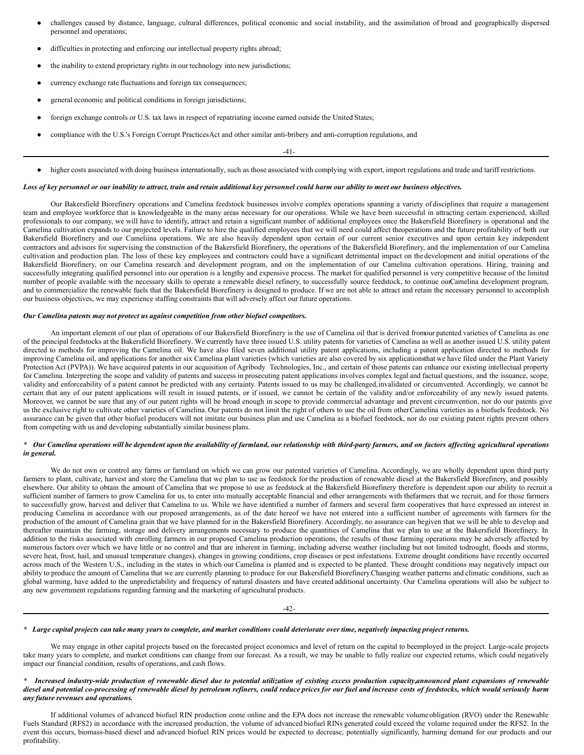- challenges caused by distance, language, cultural differences, political economic and social instability, and the assimilation of broad and geographically dispersed personnel and operations;
- difficulties in protecting and enforcing our intellectual property rights abroad;
- the inability to extend proprietary rights in our technology into new jurisdictions;
- currency exchange rate fluctuations and foreign tax consequences;
- general economic and political conditions in foreign jurisdictions;
- foreign exchange controls or U.S. tax laws in respect of repatriating income earned outside the United States;
- compliance with the U.S.'s Foreign Corrupt PracticesAct and other similar anti-bribery and anti-corruption regulations, and

-41-

higher costs associated with doing business internationally, such as those associated with complying with export, import regulations and trade and tariff restrictions.

### Loss of key personnel or our inability to attract, train and retain additional key personnel could harm our ability to meet our business objectives.

Our Bakersfield Biorefinery operations and Camelina feedstock businesses involve complex operations spanning a variety of disciplines that require a management team and employee workforce that is knowledgeable in the many areas necessary for our operations. While we have been successful in attracting certain experienced, skilled professionals to our company, we will have to identify, attract and retain a significant number of additional employees once the Bakersfield Biorefinery is operational and the Camelina cultivation expands to our projected levels. Failure to hire the qualified employees that we will need could affect theoperations and the future profitability of both our Bakersfield Biorefinery and our Cameliina operations. We are also heavily dependent upon certain of our current senior executives and upon certain key independent contractors and advisors for supervising the construction of the Bakersfield Biorefinery, the operations of the Bakersfield Biorefinery, and the implementation of our Camelina cultivation and production plan. The loss of these key employees and contractors could have a significant detrimental impact on the development and initial operations of the Bakersfield Biorefinery, on our Camelina research and development program, and on the implementation of our Camelina cultivation operations. Hiring, training and successfully integrating qualified personnel into our operation is a lengthy and expensive process. The market for qualified personnel is very competitive because of the limited number of people available with the necessary skills to operate a renewable diesel refinery, to successfully source feedstock, to continue ourCamelina development program, and to commercialize the renewable fuels that the Bakersfield Biorefinery is designed to produce. If we are not able to attract and retain the necessary personnel to accomplish our business objectives, we may experience staffing constraints that will adversely affect our future operations.

#### *Our Camelina patents may not protect us against competition from other biofuel competitors.*

An important element of our plan of operations of our Bakersfield Biorefinery is the use of Camelina oil that is derived fromour patented varieties of Camelina as one of the principal feedstocks at the Bakersfield Biorefinery. We currently have three issued U.S. utility patents for varieties of Camelina as well as another issued U.S. utility patent directed to methods for improving the Camelina oil. We have also filed seven additional utility patent applications, including a patent application directed to methods for improving Camelina oil, and applications for another six Camelina plant varieties (which varieties are also covered by six applicationsthat we have filed under the Plant Variety Protection Act (PVPA)). We have acquired patents in our acquisition of Agribody Technologies, Inc., and certain of those patents can enhance our existing intellectual property for Camelina. Interpreting the scope and validity of patents and success in prosecuting patent applications involves complex legal and factual questions, and the issuance, scope, validity and enforceability of a patent cannot be predicted with any certainty. Patents issued to us may be challenged,invalidated or circumvented. Accordingly, we cannot be certain that any of our patent applications will result in issued patents, or if issued, we cannot be certain of the validity and/or enforceability of any newly issued patents. Moreover, we cannot be sure that any of our patent rights will be broad enough in scope to provide commercial advantage and prevent circumvention, nor do our patents give us the exclusive right to cultivate other varieties of Camelina. Our patents do not limit the right of others to use the oil from otherCamelina varieties as a biofuels feedstock. No assurance can be given that other biofuel producers will not imitate our business plan and use Camelina as a biofuel feedstock, nor do our existing patent rights prevent others from competing with us and developing substantially similar business plans.

### \* Our Camelina operations will be dependent upon the availability of farmland, our relationship with third-party farmers, and on factors affecting agricultural operations *in general.*

We do not own or control any farms or farmland on which we can grow our patented varieties of Camelina. Accordingly, we are wholly dependent upon third party farmers to plant, cultivate, harvest and store the Camelina that we plan to use as feedstock for the production of renewable diesel at the Bakersfield Biorefinery, and possibly elsewhere. Our ability to obtain the amount of Camelina that we propose to use as feedstock at the Bakersfield Biorefinery therefore is dependent upon our ability to recruit a sufficient number of farmers to grow Camelina for us, to enter into mutually acceptable financial and other arrangements with thefarmers that we recruit, and for those farmers to successfully grow, harvest and deliver that Camelina to us. While we have identified a number of farmers and several farm cooperatives that have expressed an interest in producing Camelina in accordance with our proposed arrangements, as of the date hereof we have not entered into a sufficient number of agreements with farmers for the production of the amount of Camelina grain that we have planned for in the Bakersfield Biorefinery. Accordingly, no assurance can begiven that we will be able to develop and thereafter maintain the farming, storage and delivery arrangements necessary to produce the quantities of Camelina that we plan to use at the Bakersfield Biorefinery. In addition to the risks associated with enrolling farmers in our proposed Camelina production operations, the results of those farming operations may be adversely affected by numerous factors over which we have little or no control and that are inherent in farming, including adverse weather (including but not limited todrought, floods and storms, severe heat, frost, hail, and unusual temperature changes), changes in growing conditions, crop diseases or pest infestations. Extreme drought conditions have recently occurred across much of the Western U.S., including in the states in which our Camelina is planted and is expected to be planted. These drought conditions may negatively impact our ability to produce the amount of Camelina that we are currently planning to produce for our Bakersfield Biorefinery.Changing weather patterns and climatic conditions, such as global warming, have added to the unpredictability and frequency of natural disasters and have created additional uncertainty. Our Camelina operations will also be subject to any new government regulations regarding farming and the marketing of agricultural products.

### \* Large capital projects can take many years to complete, and market conditions could deteriorate over time, negatively impacting project returns.

We may engage in other capital projects based on the forecasted project economics and level of return on the capital to beemployed in the project. Large-scale projects take many years to complete, and market conditions can change from our forecast. As a result, we may be unable to fully realize our expected returns, which could negatively impact our financial condition, results of operations, and cash flows.

### \* Increased industry-wide production of renewable diesel due to potential utilization of existing excess production capacity, announced plant expansions of renewable diesel and potential co-processing of renewable diesel by petroleum refiners, could reduce prices for our fuel and increase costs of feedstocks, which would seriously harm *any future revenues and operations.*

If additional volumes of advanced biofuel RIN production come online and the EPA does not increase the renewable volumeobligation (RVO) under the Renewable Fuels Standard (RFS2) in accordance with the increased production, the volume of advanced biofuel RINs generated could exceed the volume required under the RFS2. In the event this occurs, biomass-based diesel and advanced biofuel RIN prices would be expected to decrease, potentially significantly, harming demand for our products and our profitability.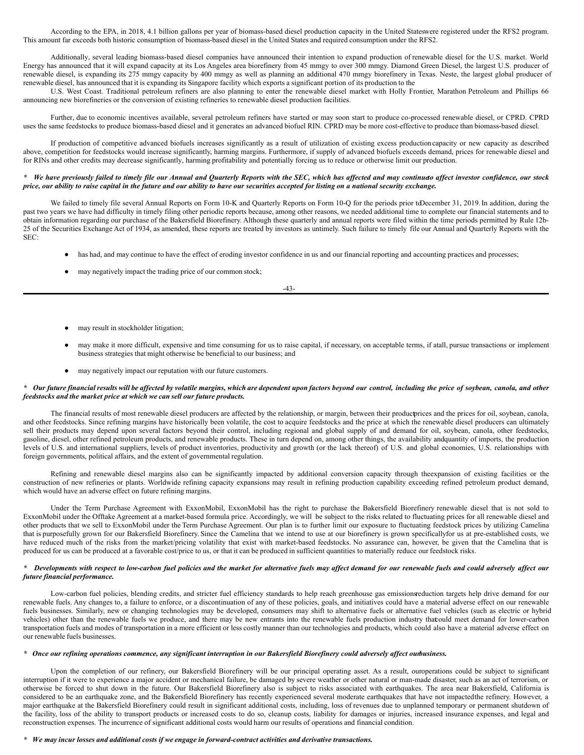According to the EPA, in 2018, 4.1 billion gallons per year of biomass-based diesel production capacity in the United Stateswere registered under the RFS2 program. This amount far exceeds both historic consumption of biomass-based diesel in the United States and required consumption under the RFS2.

Additionally, several leading biomass-based diesel companies have announced their intention to expand production of renewable diesel for the U.S. market. World Energy has announced that it will expand capacity at its Los Angeles area biorefinery from 45 mmgy to over 300 mmgy. Diamond Green Diesel, the largest U.S. producer of renewable diesel, is expanding its 275 mmgy capacity by 400 mmgy as well as planning an additional 470 mmgy biorefinery in Texas. Neste, the largest global producer of renewable diesel, has announced that it is expanding its Singapore facility which exports a significant portion of its production to the

U.S. West Coast. Traditional petroleum refiners are also planning to enter the renewable diesel market with Holly Frontier, Marathon Petroleum and Phillips 66 announcing new biorefineries or the conversion of existing refineries to renewable diesel production facilities.

Further, due to economic incentives available, several petroleum refiners have started or may soon start to produce co-processed renewable diesel, or CPRD. CPRD uses the same feedstocks to produce biomass-based diesel and it generates an advanced biofuel RIN. CPRD may be more cost-effective to produce than biomass-based diesel.

If production of competitive advanced biofuels increases significantly as a result of utilization of existing excess productioncapacity or new capacity as described above, competition for feedstocks would increase significantly, harming margins. Furthermore, if supply of advanced biofuels exceeds demand, prices for renewable diesel and for RINs and other credits may decrease significantly, harming profitability and potentially forcing us to reduce or otherwise limit our production.

#### \* We have previously failed to timely file our Annual and Quarterly Reports with the SEC, which has affected and may continuao affect investor confidence, our stock price, our ability to raise capital in the future and our ability to have our securities accepted for listing on a national security exchange.

We failed to timely file several Annual Reports on Form 10-K and Quarterly Reports on Form 10-Q for the periods prior toDecember 31, 2019. In addition, during the past two years we have had difficulty in timely filing other periodic reports because, among other reasons, we needed additional time to complete our financial statements and to obtain information regarding our purchase of the Bakersfield Biorefinery. Although these quarterly and annual reports were filed within the time periods permitted by Rule 12b-25 of the Securities Exchange Act of 1934, as amended, these reports are treated by investors as untimely. Such failure to timely file our Annual and Quarterly Reports with the SEC:

- has had, and may continue to have the effect of eroding investor confidence in us and our financial reporting and accounting practices and processes;
- may negatively impact the trading price of our common stock;

- may result in stockholder litigation;
- may make it more difficult, expensive and time consuming for us to raise capital, if necessary, on acceptable terms, if atall, pursue transactions or implement business strategies that might otherwise be beneficial to our business; and
- may negatively impact our reputation with our future customers.

### \* Our future financial results will be affected by volatile margins, which are dependent upon factors beyond our control, including the price of soybean, canola, and other *feedstocks and the market price at which we can sell our future products.*

The financial results of most renewable diesel producers are affected by the relationship, or margin, between their productprices and the prices for oil, soybean, canola, and other feedstocks. Since refining margins have historically been volatile, the cost to acquire feedstocks and the price at which the renewable diesel producers can ultimately sell their products may depend upon several factors beyond their control, including regional and global supply of and demand for oil, soybean, canola, other feedstocks, gasoline, diesel, other refined petroleum products, and renewable products. These in turn depend on, among other things, the availability andquantity of imports, the production levels of U.S. and international suppliers, levels of product inventories, productivity and growth (or the lack thereof) of U.S. and global economies, U.S. relationships with foreign governments, political affairs, and the extent of governmental regulation.

Refining and renewable diesel margins also can be significantly impacted by additional conversion capacity through theexpansion of existing facilities or the construction of new refineries or plants. Worldwide refining capacity expansions may result in refining production capability exceeding refined petroleum product demand, which would have an adverse effect on future refining margins.

Under the Term Purchase Agreement with ExxonMobil, ExxonMobil has the right to purchase the Bakersfield Biorefinery renewable diesel that is not sold to ExxonMobil under the Offtake Agreement at a market-based formula price. Accordingly, we will be subject to the risks related to fluctuating prices for all renewable diesel and other products that we sell to ExxonMobil under the Term Purchase Agreement. Our plan is to further limit our exposure to fluctuating feedstock prices by utilizing Camelina that is purposefully grown for our Bakersfield Biorefinery. Since the Camelina that we intend to use at our biorefinery is grown specificallyfor us at pre-established costs, we have reduced much of the risks from the market/pricing volatility that exist with market-based feedstocks. No assurance can, however, be given that the Camelina that is produced for us can be produced at a favorable cost/price to us, or that it can be produced in sufficient quantities to materially reduce our feedstock risks.

#### \* Developments with respect to low-carbon fuel policies and the market for alternative fuels may affect demand for our renewable fuels and could adversely affect our *future financial performance.*

Low-carbon fuel policies, blending credits, and stricter fuel efficiency standards to help reach greenhouse gas emissionsreduction targets help drive demand for our renewable fuels. Any changes to, a failure to enforce, or a discontinuation of any of these policies, goals, and initiatives could have a material adverse effect on our renewable fuels businesses. Similarly, new or changing technologies may be developed, consumers may shift to alternative fuels or alternative fuel vehicles (such as electric or hybrid vehicles) other than the renewable fuels we produce, and there may be new entrants into the renewable fuels production industry thatcould meet demand for lower-carbon transportation fuels and modes of transportation in a more efficient or less costly manner than our technologies and products, which could also have a material adverse effect on our renewable fuels businesses.

## \* Once our refining operations commence, any significant interruption in our Bakersfield Biorefinery could adversely affect ourbusiness.

Upon the completion of our refinery, our Bakersfield Biorefinery will be our principal operating asset. As a result, ouroperations could be subject to significant interruption if it were to experience a major accident or mechanical failure, be damaged by severe weather or other natural or man-made disaster, such as an act of terrorism, or otherwise be forced to shut down in the future. Our Bakersfield Biorefinery also is subject to risks associated with earthquakes. The area near Bakersfield, California is considered to be an earthquake zone, and the Bakersfield Biorefinery has recently experienced several moderate earthquakes that have not impactedthe refinery. However, a major earthquake at the Bakersfield Biorefinery could result in significant additional costs, including, loss of revenues due to unplanned temporary or permanent shutdown of the facility, loss of the ability to transport products or increased costs to do so, cleanup costs, liability for damages or injuries, increased insurance expenses, and legal and reconstruction expenses. The incurrence of significant additional costs would harm our results of operations and financial condition.

#### \* We may incur losses and additional costs if we engage in forward-contract activities and derivative transactions.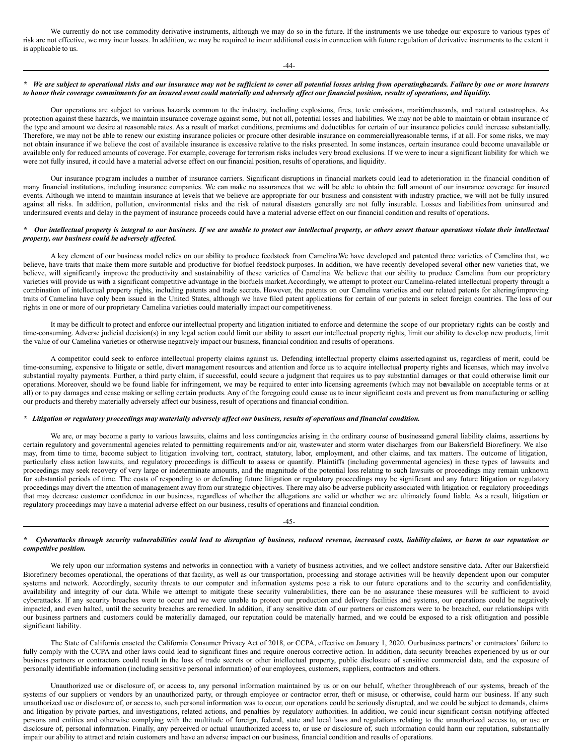We currently do not use commodity derivative instruments, although we may do so in the future. If the instruments we use tohedge our exposure to various types of risk are not effective, we may incur losses. In addition, we may be required to incur additional costs in connection with future regulation of derivative instruments to the extent it is applicable to us.

-44-

### \* We are subject to operational risks and our insurance may not be sufficient to cover all potential losses arising from operatinghazards. Failure by one or more insurers to honor their coverage commitments for an insured event could materially and adversely affect our financial position, results of operations, and liquidity.

Our operations are subject to various hazards common to the industry, including explosions, fires, toxic emissions, maritimehazards, and natural catastrophes. As protection against these hazards, we maintain insurance coverage against some, but not all, potential losses and liabilities. We may not be able to maintain or obtain insurance of the type and amount we desire at reasonable rates. As a result of market conditions, premiums and deductibles for certain of our insurance policies could increase substantially. Therefore, we may not be able to renew our existing insurance policies or procure other desirable insurance on commerciallyreasonable terms, if at all. For some risks, we may not obtain insurance if we believe the cost of available insurance is excessive relative to the risks presented. In some instances, certain insurance could become unavailable or available only for reduced amounts of coverage. For example, coverage for terrorism risks includes very broad exclusions. If we were to incur a significant liability for which we were not fully insured, it could have a material adverse effect on our financial position, results of operations, and liquidity.

Our insurance program includes a number of insurance carriers. Significant disruptions in financial markets could lead to adeterioration in the financial condition of many financial institutions, including insurance companies. We can make no assurances that we will be able to obtain the full amount of our insurance coverage for insured events. Although we intend to maintain insurance at levels that we believe are appropriate for our business and consistent with industry practice, we will not be fully insured against all risks. In addition, pollution, environmental risks and the risk of natural disasters generally are not fully insurable. Losses and liabilities from uninsured and underinsured events and delay in the payment of insurance proceeds could have a material adverse effect on our financial condition and results of operations.

## \* Our intellectual property is integral to our business. If we are unable to protect our intellectual property, or others assert thatour operations violate their intellectual *property, our business could be adversely af ected.*

A key element of our business model relies on our ability to produce feedstock from Camelina.We have developed and patented three varieties of Camelina that, we believe, have traits that make them more suitable and productive for biofuel feedstock purposes. In addition, we have recently developed several other new varieties that, we believe, will significantly improve the productivity and sustainability of these varieties of Camelina. We believe that our ability to produce Camelina from our proprietary varieties will provide us with a significant competitive advantage in the biofuels market.Accordingly, we attempt to protect ourCamelina-related intellectual property through a combination of intellectual property rights, including patents and trade secrets. However, the patents on our Camelina varieties and our related patents for altering/improving traits of Camelina have only been issued in the United States, although we have filed patent applications for certain of our patents in select foreign countries. The loss of our rights in one or more of our proprietary Camelina varieties could materially impact our competitiveness.

It may be difficult to protect and enforce our intellectual property and litigation initiated to enforce and determine the scope of our proprietary rights can be costly and time-consuming. Adverse judicial decision(s) in any legal action could limit our ability to assert our intellectual property rights, limit our ability to develop new products, limit the value of our Camelina varieties or otherwise negatively impact our business, financial condition and results of operations.

A competitor could seek to enforce intellectual property claims against us. Defending intellectual property claims asserted against us, regardless of merit, could be time-consuming, expensive to litigate or settle, divert management resources and attention and force us to acquire intellectual property rights and licenses, which may involve substantial royalty payments. Further, a third party claim, if successful, could secure a judgment that requires us to pay substantial damages or that could otherwise limit our operations. Moreover, should we be found liable for infringement, we may be required to enter into licensing agreements (which may not beavailable on acceptable terms or at all) or to pay damages and cease making or selling certain products. Any of the foregoing could cause us to incur significant costs and prevent us from manufacturing or selling our products and thereby materially adversely affect our business, result of operations and financial condition.

## \* Litigation or regulatory proceedings may materially adversely affect our business, results of operations and financial condition.

We are, or may become a party to various lawsuits, claims and loss contingencies arising in the ordinary course of businessand general liability claims, assertions by certain regulatory and governmental agencies related to permitting requirements and/or air, wastewater and storm water discharges from our Bakersfield Biorefinery. We also may, from time to time, become subject to litigation involving tort, contract, statutory, labor, employment, and other claims, and tax matters. The outcome of litigation, particularly class action lawsuits, and regulatory proceedings is difficult to assess or quantify. Plaintiffs (including governmental agencies) in these types of lawsuits and proceedings may seek recovery of very large or indeterminate amounts, and the magnitude of the potential loss relating to such lawsuits or proceedings may remain unknown for substantial periods of time. The costs of responding to or defending future litigation or regulatory proceedings may be significant and any future litigation or regulatory proceedings may divert the attention of management away from our strategic objectives. There may also be adverse publicity associated with litigation or regulatory proceedings that may decrease customer confidence in our business, regardless of whether the allegations are valid or whether we are ultimately found liable. As a result, litigation or regulatory proceedings may have a material adverse effect on our business, results of operations and financial condition.

-45-

### \* Cyberattacks through security vulnerabilities could lead to disruption of business, reduced revenue, increased costs, liability claims, or harm to our reputation or *competitive position.*

We rely upon our information systems and networks in connection with a variety of business activities, and we collect andstore sensitive data. After our Bakersfield Biorefinery becomes operational, the operations of that facility, as well as our transportation, processing and storage activities will be heavily dependent upon our computer systems and network. Accordingly, security threats to our computer and information systems pose a risk to our future operations and to the security and confidentiality, availability and integrity of our data. While we attempt to mitigate these security vulnerabilities, there can be no assurance these measures will be sufficient to avoid cyberattacks. If any security breaches were to occur and we were unable to protect our production and delivery facilities and systems, our operations could be negatively impacted, and even halted, until the security breaches are remedied. In addition, if any sensitive data of our partners or customers were to be breached, our relationships with our business partners and customers could be materially damaged, our reputation could be materially harmed, and we could be exposed to a risk oflitigation and possible significant liability.

The State of California enacted the California Consumer Privacy Act of 2018, or CCPA, effective on January 1, 2020. Ourbusiness partners' or contractors' failure to fully comply with the CCPA and other laws could lead to significant fines and require onerous corrective action. In addition, data security breaches experienced by us or our business partners or contractors could result in the loss of trade secrets or other intellectual property, public disclosure of sensitive commercial data, and the exposure of personally identifiable information (including sensitive personal information) of our employees, customers, suppliers, contractors and others.

Unauthorized use or disclosure of, or access to, any personal information maintained by us or on our behalf, whether throughbreach of our systems, breach of the systems of our suppliers or vendors by an unauthorized party, or through employee or contractor error, theft or misuse, or otherwise, could harm our business. If any such unauthorized use or disclosure of, or access to, such personal information was to occur, our operations could be seriously disrupted, and we could be subject to demands, claims and litigation by private parties, and investigations, related actions, and penalties by regulatory authorities. In addition, we could incur significant costsin notifying affected persons and entities and otherwise complying with the multitude of foreign, federal, state and local laws and regulations relating to the unauthorized access to, or use or disclosure of, personal information. Finally, any perceived or actual unauthorized access to, or use or disclosure of, such information could harm our reputation, substantially impair our ability to attract and retain customers and have an adverse impact on our business, financial condition and results of operations.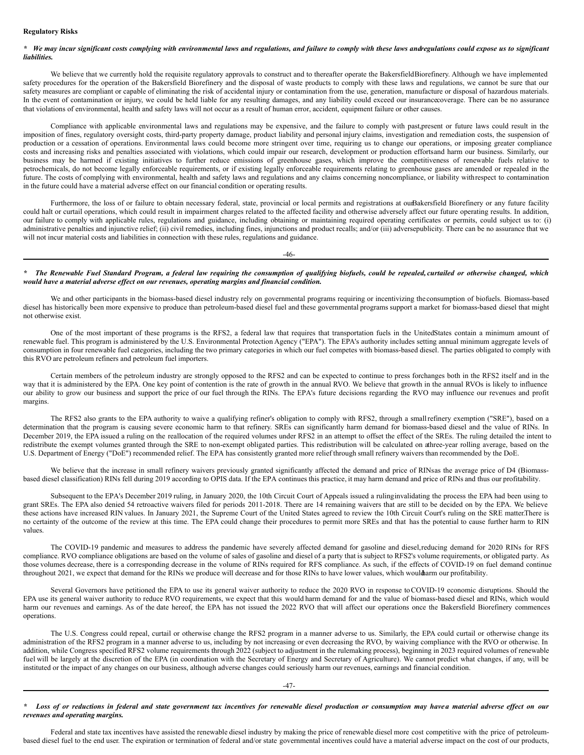#### **Regulatory Risks**

### \* We may incur significant costs complying with environmental laws and regulations, and failure to comply with these laws andregulations could expose us to significant *liabilities.*

We believe that we currently hold the requisite regulatory approvals to construct and to thereafter operate the BakersfieldBiorefinery. Although we have implemented safety procedures for the operation of the Bakersfield Biorefinery and the disposal of waste products to comply with these laws and regulations, we cannot be sure that our safety measures are compliant or capable of eliminating the risk of accidental injury or contamination from the use, generation, manufacture or disposal of hazardous materials. In the event of contamination or injury, we could be held liable for any resulting damages, and any liability could exceed our insurancecoverage. There can be no assurance that violations of environmental, health and safety laws will not occur as a result of human error, accident, equipment failure or other causes.

Compliance with applicable environmental laws and regulations may be expensive, and the failure to comply with past,present or future laws could result in the imposition of fines, regulatory oversight costs, third-party property damage, product liability and personal injury claims, investigation and remediation costs, the suspension of production or a cessation of operations. Environmental laws could become more stringent over time, requiring us to change our operations, or imposing greater compliance costs and increasing risks and penalties associated with violations, which could impair our research, development or production effortsand harm our business. Similarly, our business may be harmed if existing initiatives to further reduce emissions of greenhouse gases, which improve the competitiveness of renewable fuels relative to petrochemicals, do not become legally enforceable requirements, or if existing legally enforceable requirements relating to greenhouse gases are amended or repealed in the future. The costs of complying with environmental, health and safety laws and regulations and any claims concerning noncompliance, or liability withrespect to contamination in the future could have a material adverse effect on our financial condition or operating results.

Furthermore, the loss of or failure to obtain necessary federal, state, provincial or local permits and registrations at ourBakersfield Biorefinery or any future facility could halt or curtail operations, which could result in impairment charges related to the affected facility and otherwise adversely affect our future operating results. In addition, our failure to comply with applicable rules, regulations and guidance, including obtaining or maintaining required operating certificates or permits, could subject us to: (i) administrative penalties and injunctive relief; (ii) civil remedies, including fines, injunctions and product recalls; and/or (iii) adversepublicity. There can be no assurance that we will not incur material costs and liabilities in connection with these rules, regulations and guidance.

#### -46-

## \* The Renewable Fuel Standard Program, a federal law requiring the consumption of qualifying biofuels, could be repealed, curtailed or otherwise changed, which *would have a material adverse ef ect on our revenues, operating margins and financial condition.*

We and other participants in the biomass-based diesel industry rely on governmental programs requiring or incentivizing the consumption of biofuels. Biomass-based diesel has historically been more expensive to produce than petroleum-based diesel fuel and these governmental programs support a market for biomass-based diesel that might not otherwise exist.

One of the most important of these programs is the RFS2, a federal law that requires that transportation fuels in the UnitedStates contain a minimum amount of renewable fuel. This program is administered by the U.S. Environmental Protection Agency ("EPA"). The EPA's authority includes setting annual minimum aggregate levels of consumption in four renewable fuel categories, including the two primary categories in which our fuel competes with biomass-based diesel. The parties obligated to comply with this RVO are petroleum refiners and petroleum fuel importers.

Certain members of the petroleum industry are strongly opposed to the RFS2 and can be expected to continue to press forchanges both in the RFS2 itself and in the way that it is administered by the EPA. One key point of contention is the rate of growth in the annual RVO. We believe that growth in the annual RVOs is likely to influence our ability to grow our business and support the price of our fuel through the RINs. The EPA's future decisions regarding the RVO may influence our revenues and profit margins.

The RFS2 also grants to the EPA authority to waive a qualifying refiner's obligation to comply with RFS2, through a smallrefinery exemption ("SRE"), based on a determination that the program is causing severe economic harm to that refinery. SREs can significantly harm demand for biomass-based diesel and the value of RINs. In December 2019, the EPA issued a ruling on the reallocation of the required volumes under RFS2 in an attempt to offset the effect of the SREs. The ruling detailed the intent to redistribute the exempt volumes granted through the SRE to non-exempt obligated parties. This redistribution will be calculated on athree-year rolling average, based on the U.S. Department of Energy ("DoE") recommended relief. The EPA has consistently granted more relief through small refinery waivers than recommended by the DoE.

We believe that the increase in small refinery waivers previously granted significantly affected the demand and price of RINsas the average price of D4 (Biomassbased diesel classification) RINs fell during 2019 according to OPIS data. If the EPA continues this practice, it may harm demand and price of RINs and thus our profitability.

Subsequent to the EPA's December 2019 ruling, in January 2020, the 10th Circuit Court of Appeals issued a rulinginvalidating the process the EPA had been using to grant SREs. The EPA also denied 54 retroactive waivers filed for periods 2011-2018. There are 14 remaining waivers that are still to be decided on by the EPA. We believe these actions have increased RIN values. In January 2021, the Supreme Court of the United States agreed to review the 10th Circuit Court's ruling on the SRE matter.There is no certainty of the outcome of the review at this time. The EPA could change their procedures to permit more SREs and that has the potential to cause further harm to RIN values.

The COVID-19 pandemic and measures to address the pandemic have severely affected demand for gasoline and diesel,reducing demand for 2020 RINs for RFS compliance. RVO compliance obligations are based on the volume of sales of gasoline and diesel of a party that is subject to RFS2's volume requirements, or obligated party. As those volumes decrease, there is a corresponding decrease in the volume of RINs required for RFS compliance. As such, if the effects of COVID-19 on fuel demand continue throughout 2021, we expect that demand for the RINs we produce will decrease and for those RINs to have lower values, which wouldharm our profitability.

Several Governors have petitioned the EPA to use its general waiver authority to reduce the 2020 RVO in response toCOVID-19 economic disruptions. Should the EPA use its general waiver authority to reduce RVO requirements, we expect that this would harm demand for and the value of biomass-based diesel and RINs, which would harm our revenues and earnings. As of the date hereof, the EPA has not issued the 2022 RVO that will affect our operations once the Bakersfield Biorefinery commences operations.

The U.S. Congress could repeal, curtail or otherwise change the RFS2 program in a manner adverse to us. Similarly, the EPA could curtail or otherwise change its administration of the RFS2 program in a manner adverse to us, including by not increasing or even decreasing the RVO, by waiving compliance with the RVO or otherwise. In addition, while Congress specified RFS2 volume requirements through 2022 (subject to adjustment in the rulemaking process), beginning in 2023 required volumes of renewable fuel will be largely at the discretion of the EPA (in coordination with the Secretary of Energy and Secretary of Agriculture). We cannot predict what changes, if any, will be instituted or the impact of any changes on our business, although adverse changes could seriously harm our revenues, earnings and financial condition.

-47-

\* Loss of or reductions in federal and state government tax incentives for renewable diesel production or consumption may havea material adverse effect on our *revenues and operating margins.*

Federal and state tax incentives have assisted the renewable diesel industry by making the price of renewable diesel more cost competitive with the price of petroleumbased diesel fuel to the end user. The expiration or termination of federal and/or state governmental incentives could have a material adverse impact on the cost of our products,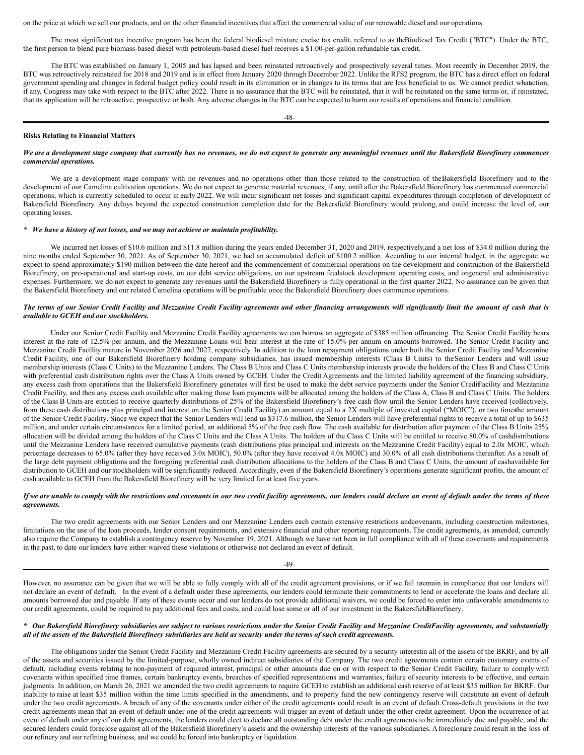on the price at which we sell our products, and on the other financial incentives that affect the commercial value of our renewable diesel and our operations.

The most significant tax incentive program has been the federal biodiesel mixture excise tax credit, referred to as theBiodiesel Tax Credit ("BTC"). Under the BTC, the first person to blend pure biomass-based diesel with petroleum-based diesel fuel receives a \$1.00-per-gallon refundable tax credit.

The BTC was established on January 1, 2005 and has lapsed and been reinstated retroactively and prospectively several times. Most recently in December 2019, the BTC was retroactively reinstated for 2018 and 2019 and is in effect from January 2020 through December 2022. Unlike the RFS2 program, the BTC has a direct effect on federal government spending and changes in federal budget policy could result in its elimination or in changes to its terms that are less beneficial to us. We cannot predict whataction, if any, Congress may take with respect to the BTC after 2022. There is no assurance that the BTC will be reinstated, that it will be reinstated on the same terms or, if reinstated, that its application will be retroactive, prospective or both. Any adverse changes in the BTC can be expected to harm our results of operations and financial condition.

-48-

#### **Risks Relating to Financial Matters**

#### We are a development stage company that currently has no revenues, we do not expect to generate any meaningful revenues until the Bakersfield Biorefinery commences *commercial operations.*

We are a development stage company with no revenues and no operations other than those related to the construction of theBakersfield Biorefinery and to the development of our Camelina cultivation operations. We do not expect to generate material revenues, if any, until after the Bakersfield Biorefinery has commenced commercial operations, which is currently scheduled to occur in early 2022. We will incur significant net losses and significant capital expenditures through completion of development of Bakersfield Biorefinery. Any delays beyond the expected construction completion date for the Bakersfield Biorefinery would prolong, and could increase the level of, our operating losses.

## *\* We have a history of net losses, and we may not achieve or maintain profitability.*

We incurred net losses of \$10.6 million and \$11.8 million during the years ended December 31, 2020 and 2019, respectively, and a net loss of \$34.0 million during the nine months ended September 30, 2021. As of September 30, 2021, we had an accumulated deficit of \$100.2 million. According to our internal budget, in the aggregate we expect to spend approximately \$190 million between the date hereof and the commencement of commercial operations on the development and construction of the Bakersfield Biorefinery, on pre-operational and start-up costs, on our debt service obligations, on our upstream feedstock development operating costs, and ongeneral and administrative expenses. Furthermore, we do not expect to generate any revenues until the Bakersfield Biorefinery is fully operational in the first quarter 2022. No assurance can be given that the Bakersfield Biorefinery and our related Camelina operations will be profitable once the Bakersfield Biorefinery does commence operations.

#### The terms of our Senior Credit Facility and Mezzanine Credit Facility agreements and other financing arrangements will significantly limit the amount of cash that is *available to GCEH and our stockholders.*

Under our Senior Credit Facility and Mezzanine Credit Facility agreements we can borrow an aggregate of \$385 million offinancing. The Senior Credit Facility bears interest at the rate of 12.5% per annum, and the Mezzanine Loans will bear interest at the rate of 15.0% per annum on amounts borrowed. The Senior Credit Facility and Mezzanine Credit Facility mature in November 2026 and 2027, respectively. In addition to the loan repayment obligations under both the Senior Credit Facility and Mezzanine Credit Facility, one of our Bakersfield Biorefinery holding company subsidiaries, has issued membership interests (Class B Units) to theSenior Lenders and will issue membership interests (Class C Units) to the Mezzanine Lenders. The Class B Units and Class C Units membership interests provide the holders of the Class B and Class C Units with preferential cash distribution rights over the Class A Units owned by GCEH. Under the Credit Agreements and the limited liability agreement of the financing subsidiary, any excess cash from operations that the Bakersfield Biorefinery generates will first be used to make the debt service payments under the Senior Crediffacility and Mezzanine Credit Facility, and then any excess cash available after making those loan payments will be allocated among the holders of the Class A, Class B and Class C Units. The holders of the Class B Units are entitled to receive quarterly distributions of 25% of the Bakersfield Biorefinery's free cash flow until the Senior Lenders have received (collectively, from these cash distributions plus principal and interest on the Senior Credit Facility) an amount equal to a 2X multiple of invested capital ("MOIC"), or two timeshe amount of the Senior Credit Facility. Since we expect that the Senior Lenders will lend us \$317.6 million, the Senior Lenders will have preferential rights to receive a total of up to \$635 million, and under certain circumstances for a limited period, an additional 5% of the free cash flow. The cash available for distribution after payment of the Class B Units 25% allocation will be divided among the holders of the Class C Units and the Class A Units. The holders of the Class C Units will be entitled to receive 80.0% of cashdistributions until the Mezzanine Lenders have received cumulative payments (cash distributions plus principal and interests on the Mezzanine Credit Facility) equal to 2.0x MOIC, which percentage decreases to 65.0% (after they have received 3.0x MOIC), 50.0% (after they have received 4.0x MOIC) and 30.0% of all cash distributions thereafter. As a result of the large debt payment obligations and the foregoing preferential cash distribution allocations to the holders of the Class B and Class C Units, the amount of cashavailable for distribution to GCEH and our stockholders will be significantly reduced. Accordingly, even if the Bakersfield Biorefinery's operations generate significant profits, the amount of cash available to GCEH from the Bakersfield Biorefinery will be very limited for at least five years.

#### If we are unable to comply with the restrictions and covenants in our two credit facility agreements, our lenders could declare an event of default under the terms of these *agreements.*

The two credit agreements with our Senior Lenders and our Mezzanine Lenders each contain extensive restrictions andcovenants, including construction milestones, limitations on the use of the loan proceeds, lender consent requirements, and extensive financial and other reporting requirements. The credit agreements, as amended, currently also require the Company to establish a contingency reserve by November 19, 2021. Although we have not been in full compliance with all of these covenants and requirements in the past, to date our lenders have either waived these violations or otherwise not declared an event of default.

-49-

However, no assurance can be given that we will be able to fully comply with all of the credit agreement provisions, or if we fail toremain in compliance that our lenders will not declare an event of default. In the event of a default under these agreements, our lenders could terminate their commitments to lend or accelerate the loans and declare all amounts borrowed due and payable. If any of these events occur and our lenders do not provide additional waivers, we could be forced to enter into unfavorable amendments to our credit agreements, could be required to pay additional fees and costs, and could lose some or all of our investment in the BakersfieldBiorefinery.

### \* Our Bakersfield Biorefinery subsidiaries are subject to various restrictions under the Senior Credit Facility and Mezzanine CreditFacility agreements, and substantially all of the assets of the Bakersfield Biorefinery subsidiaries are held as security under the terms of such credit agreements.

The obligations under the Senior Credit Facility and Mezzanine Credit Facility agreements are secured by a security interestin all of the assets of the BKRF, and by all of the assets and securities issued by the limited-purpose, wholly owned indirect subsidiaries of the Company. The two credit agreements contain certain customary events of default, including events relating to non-payment of required interest, principal or other amounts due on or with respect to the Senior Credit Facility, failure to comply with covenants within specified time frames, certain bankruptcy events, breaches of specified representations and warranties, failure of security interests to be effective, and certain judgments. In addition, on March 26, 2021 we amended the two credit agreements to require GCEH to establish an additional cash reserve of at least \$35 million for BKRF. Our inability to raise at least \$35 million within the time limits specified in the amendments, and to properly fund the new contingency reserve will constitute an event of default under the two credit agreements. A breach of any of the covenants under either of the credit agreements could result in an event of default.Cross-default provisions in the two credit agreements mean that an event of default under one of the credit agreements will trigger an event of default under the other credit agreement. Upon the occurrence of an event of default under any of our debt agreements, the lenders could elect to declare all outstanding debt under the credit agreements to be immediately due and payable, and the secured lenders could foreclose against all of the Bakersfield Biorefinery's assets and the ownership interests of the various subsidiaries. Aforeclosure could result in the loss of our refinery and our refining business, and we could be forced into bankruptcy or liquidation.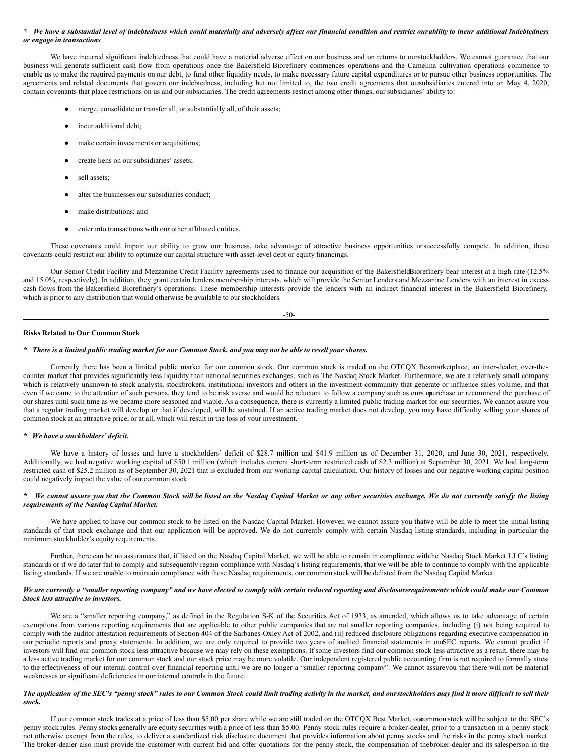### \* We have a substantial level of indebtedness which could materially and adversely affect our financial condition and restrict our ability to incur additional indebtedness *or engage in transactions*

We have incurred significant indebtedness that could have a material adverse effect on our business and on returns to ourstockholders. We cannot guarantee that our business will generate sufficient cash flow from operations once the Bakersfield Biorefinery commences operations and the Camelina cultivation operations commence to enable us to make the required payments on our debt, to fund other liquidity needs, to make necessary future capital expenditures or to pursue other business opportunities. The agreements and related documents that govern our indebtedness, including but not limited to, the two credit agreements that oursubsidiaries entered into on May 4, 2020, contain covenants that place restrictions on us and our subsidiaries. The credit agreements restrict among other things, our subsidiaries' ability to:

- merge, consolidate or transfer all, or substantially all, of their assets;
- incur additional debt;
- make certain investments or acquisitions;
- create liens on our subsidiaries' assets;
- sell assets;
- alter the businesses our subsidiaries conduct;
- make distributions; and
- enter into transactions with our other affiliated entities.

These covenants could impair our ability to grow our business, take advantage of attractive business opportunities orsuccessfully compete. In addition, these covenants could restrict our ability to optimize our capital structure with asset-level debt or equity financings.

Our Senior Credit Facility and Mezzanine Credit Facility agreements used to finance our acquisition of the BakersfieldBiorefinery bear interest at a high rate (12.5% and 15.0%, respectively). In addition, they grant certain lenders membership interests, which will provide the Senior Lenders and Mezzanine Lenders with an interest in excess cash flows from the Bakersfield Biorefinery's operations. These membership interests provide the lenders with an indirect financial interest in the Bakersfield Biorefinery, which is prior to any distribution that would otherwise be available to our stockholders.

```
-50-
```
#### **Risks Related to Our Common Stock**

### \* There is a limited public trading market for our Common Stock, and you may not be able to resell your shares.

Currently there has been a limited public market for our common stock. Our common stock is traded on the OTCQX Bestmarketplace, an inter-dealer, over-thecounter market that provides significantly less liquidity than national securities exchanges, such as The Nasdaq Stock Market. Furthermore, we are a relatively small company which is relatively unknown to stock analysts, stockbrokers, institutional investors and others in the investment community that generate or influence sales volume, and that even if we came to the attention of such persons, they tend to be risk averse and would be reluctant to follow a company such as ours opurchase or recommend the purchase of our shares until such time as we became more seasoned and viable. As a consequence, there is currently a limited public trading market for our securities. We cannot assure you that a regular trading market will develop or that if developed, will be sustained. If an active trading market does not develop, you may have difficulty selling your shares of common stock at an attractive price, or at all, which will result in the loss of your investment.

### *\* We have a stockholders' deficit.*

We have a history of losses and have a stockholders' deficit of \$28.7 million and \$41.9 million as of December 31, 2020, and June 30, 2021, respectively. Additionally, we had negative working capital of \$50.1 million (which includes current short-term restricted cash of \$2.3 million) at September 30, 2021. We had long-term restricted cash of \$25.2 million as of September 30, 2021 that is excluded from our working capital calculation. Our history of losses and our negative working capital position could negatively impact the value of our common stock.

#### \* We cannot assure you that the Common Stock will be listed on the Nasdaq Capital Market or any other securities exchange. We do not currently satisfy the listing *requirements of the Nasdaq Capital Market.*

We have applied to have our common stock to be listed on the Nasdaq Capital Market. However, we cannot assure you thatwe will be able to meet the initial listing standards of that stock exchange and that our application will be approved. We do not currently comply with certain Nasdaq listing standards, including in particular the minimum stockholder's equity requirements.

Further, there can be no assurances that, if listed on the Nasdaq Capital Market, we will be able to remain in compliance withthe Nasdaq Stock Market LLC's listing standards or if we do later fail to comply and subsequently regain compliance with Nasdaq's listing requirements, that we will be able to continue to comply with the applicable listing standards. If we are unable to maintain compliance with these Nasdaq requirements, our common stock will be delisted from the Nasdaq Capital Market.

#### We are currently a "smaller reporting company" and we have elected to comply with certain reduced reporting and disclosurerequirements which could make our Common *Stock less attractive to investors.*

We are a "smaller reporting company," as defined in the Regulation S-K of the Securities Act of 1933, as amended, which allows us to take advantage of certain exemptions from various reporting requirements that are applicable to other public companies that are not smaller reporting companies, including (i) not being required to comply with the auditor attestation requirements of Section 404 of the Sarbanes-Oxley Act of 2002, and (ii) reduced disclosure obligations regarding executive compensation in our periodic reports and proxy statements. In addition, we are only required to provide two years of audited financial statements in ourSEC reports. We cannot predict if investors will find our common stock less attractive because we may rely on these exemptions. If some investors find our common stock less attractive as a result, there may be a less active trading market for our common stock and our stock price may be more volatile. Our independent registered public accounting firm is not required to formally attest to the effectiveness of our internal control over financial reporting until we are no longer a "smaller reporting company". We cannot assureyou that there will not be material weaknesses or significant deficiencies in our internal controls in the future.

#### The application of the SEC's "penny stock" rules to our Common Stock could limit trading activity in the market, and ourstockholders may find it more difficult to sell their *stock.*

If our common stock trades at a price of less than \$5.00 per share while we are still traded on the OTCQX Best Market, oucrommon stock will be subject to the SEC's penny stock rules. Penny stocks generally are equity securities with a price of less than \$5.00. Penny stock rules require a broker-dealer, prior to a transaction in a penny stock not otherwise exempt from the rules, to deliver a standardized risk disclosure document that provides information about penny stocks and the risks in the penny stock market. The broker-dealer also must provide the customer with current bid and offer quotations for the penny stock, the compensation of thebroker-dealer and its salesperson in the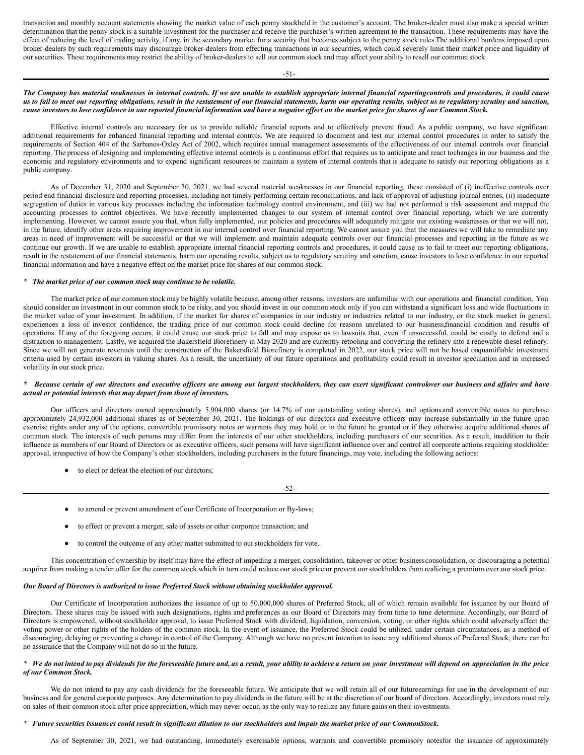transaction and monthly account statements showing the market value of each penny stockheld in the customer's account. The broker-dealer must also make a special written determination that the penny stock is a suitable investment for the purchaser and receive the purchaser's written agreement to the transaction. These requirements may have the effect of reducing the level of trading activity, if any, in the secondary market for a security that becomes subject to the penny stock rules. The additional burdens imposed upon broker-dealers by such requirements may discourage broker-dealers from effecting transactions in our securities, which could severely limit their market price and liquidity of our securities. These requirements may restrict the ability of broker-dealers to sell our common stock and may affect your ability to resell our common stock.

#### -51-

#### The Company has material weaknesses in internal controls. If we are unable to establish appropriate internal financial reportingcontrols and procedures, it could cause us to fail to meet our reporting obligations, result in the restatement of our financial statements, harm our operating results, subject us to regulatory scrutiny and sanction, cause investors to lose confidence in our reported financial information and have a negative effect on the market price for shares of our Common Stock.

Effective internal controls are necessary for us to provide reliable financial reports and to effectively prevent fraud. As a public company, we have significant additional requirements for enhanced financial reporting and internal controls. We are required to document and test our internal control procedures in order to satisfy the requirements of Section 404 of the Sarbanes-Oxley Act of 2002, which requires annual management assessments of the effectiveness of our internal controls over financial reporting. The process of designing and implementing effective internal controls is a continuous effort that requires us to anticipate and react tochanges in our business and the economic and regulatory environments and to expend significant resources to maintain a system of internal controls that is adequate to satisfy our reporting obligations as a public company.

As of December 31, 2020 and September 30, 2021, we had several material weaknesses in our financial reporting, these consisted of (i) ineffective controls over period end financial disclosure and reporting processes, including not timely performing certain reconciliations, and lack of approval of adjusting journal entries, (ii) inadequate segregation of duties in various key processes including the information technology control environment, and (iii) we had not performed a risk assessment and mapped the accounting processes to control objectives. We have recently implemented changes to our system of internal control over financial reporting, which we are currently implementing. However, we cannot assure you that, when fully implemented, our policies and procedures will adequately mitigate our existing weaknesses or that we will not, in the future, identify other areas requiring improvement in our internal control over financial reporting. We cannot assure you that the measures we will take to remediate any areas in need of improvement will be successful or that we will implement and maintain adequate controls over our financial processes and reporting in the future as we continue our growth. If we are unable to establish appropriate internal financial reporting controls and procedures, it could cause us to fail to meet our reporting obligations, result in the restatement of our financial statements, harm our operating results, subject us to regulatory scrutiny and sanction, cause investors to lose confidence in our reported financial information and have a negative effect on the market price for shares of our common stock.

### *\* The market price of our common stock may continue to be volatile.*

The market price of our common stock may be highly volatile because, among other reasons, investors are unfamiliar with our operations and financial condition. You should consider an investment in our common stock to be risky, and you should invest in our common stock only if you can withstand a significant loss and wide fluctuations in the market value of your investment. In addition, if the market for shares of companies in our industry or industries related to our industry, or the stock market in general, experiences a loss of investor confidence, the trading price of our common stock could decline for reasons unrelated to our business,financial condition and results of operations. If any of the foregoing occurs, it could cause our stock price to fall and may expose us to lawsuits that, even if unsuccessful, could be costly to defend and a distraction to management. Lastly, we acquired the Bakersfield Biorefinery in May 2020 and are currently retooling and converting the refinery into a renewable diesel refinery. Since we will not generate revenues until the construction of the Bakersfield Biorefinery is completed in 2022, our stock price will not be based onquantifiable investment criteria used by certain investors in valuing shares. As a result, the uncertainty of our future operations and profitability could result in investor speculation and in increased volatility in our stock price.

#### \* Because certain of our directors and executive officers are among our largest stockholders, they can exert significant controlover our business and affairs and have *actual or potential interests that may depart from those of investors.*

Our officers and directors owned approximately 5,904,000 shares (or 14.7% of our outstanding voting shares), and options and convertible notes to purchase approximately 24,932,000 additional shares as of September 30, 2021. The holdings of our directors and executive officers may increase substantially in the future upon exercise rights under any of the options, convertible promissory notes or warrants they may hold or in the future be granted or if they otherwise acquire additional shares of common stock. The interests of such persons may differ from the interests of our other stockholders, including purchasers of our securities. As a result, inaddition to their influence as members of our Board of Directors or as executive officers, such persons will have significant influence over and control all corporate actions requiring stockholder approval, irrespective of how the Company's other stockholders, including purchasers in the future financings, may vote, including the following actions:

● to elect or defeat the election of our directors;

#### -52-

- to amend or prevent amendment of our Certificate of Incorporation or By-laws;
- to effect or prevent a merger, sale of assets or other corporate transaction; and
- to control the outcome of any other matter submitted to our stockholders for vote.

This concentration of ownership by itself may have the effect of impeding a merger, consolidation, takeover or other businessconsolidation, or discouraging a potential acquirer from making a tender offer for the common stock which in turn could reduce our stock price or prevent our stockholders from realizing a premium over our stock price.

#### *Our Board of Directors is authorized to issue Preferred Stock without obtaining stockholder approval.*

Our Certificate of Incorporation authorizes the issuance of up to 50,000,000 shares of Preferred Stock, all of which remain available for issuance by our Board of Directors. These shares may be issued with such designations, rights and preferences as our Board of Directors may from time to time determine. Accordingly, our Board of Directors is empowered, without stockholder approval, to issue Preferred Stock with dividend, liquidation, conversion, voting, or other rights which could adversely affect the voting power or other rights of the holders of the common stock. In the event of issuance, the Preferred Stock could be utilized, under certain circumstances, as a method of discouraging, delaying or preventing a change in control of the Company. Although we have no present intention to issue any additional shares of Preferred Stock, there can be no assurance that the Company will not do so in the future.

### \* We do not intend to pay dividends for the foreseeable future and, as a result, your ability to achieve a return on your investment will depend on appreciation in the price *of our Common Stock.*

We do not intend to pay any cash dividends for the foreseeable future. We anticipate that we will retain all of our futureearnings for use in the development of our business and for general corporate purposes. Any determination to pay dividends in the future will be at the discretion of our board of directors. Accordingly, investors must rely on sales of their common stock after price appreciation, which may never occur, as the only way to realize any future gains on their investments.

### \* Future securities issuances could result in significant dilution to our stockholders and impair the market price of our CommonStock.

As of September 30, 2021, we had outstanding, immediately exercisable options, warrants and convertible promissory notesfor the issuance of approximately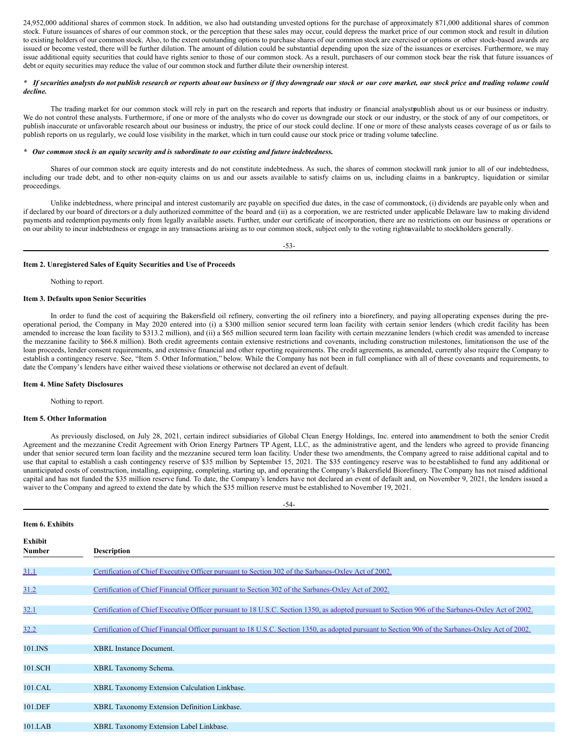24,952,000 additional shares of common stock. In addition, we also had outstanding unvested options for the purchase of approximately 871,000 additional shares of common stock. Future issuances of shares of our common stock, or the perception that these sales may occur, could depress the market price of our common stock and result in dilution to existing holders of our common stock. Also, to the extent outstanding options to purchase shares of our common stock are exercised or options or other stock-based awards are issued or become vested, there will be further dilution. The amount of dilution could be substantial depending upon the size of the issuances or exercises. Furthermore, we may issue additional equity securities that could have rights senior to those of our common stock. As a result, purchasers of our common stock bear the risk that future issuances of debt or equity securities may reduce the value of our common stock and further dilute their ownership interest.

## \* If securities analysts do not publish research or reports about our business or if they downgrade our stock or our core market, our stock price and trading volume could *decline.*

The trading market for our common stock will rely in part on the research and reports that industry or financial analyst publish about us or our business or industry. We do not control these analysts. Furthermore, if one or more of the analysts who do cover us downgrade our stock or our industry, or the stock of any of our competitors, or publish inaccurate or unfavorable research about our business or industry, the price of our stock could decline. If one or more of these analysts ceases coverage of us or fails to publish reports on us regularly, we could lose visibility in the market, which in turn could cause our stock price or trading volume todecline.

## *\* Our common stock is an equity security and is subordinate to our existing and future indebtedness.*

Shares of our common stock are equity interests and do not constitute indebtedness. As such, the shares of common stockwill rank junior to all of our indebtedness, including our trade debt, and to other non-equity claims on us and our assets available to satisfy claims on us, including claims in a bankruptcy, liquidation or similar proceedings.

Unlike indebtedness, where principal and interest customarily are payable on specified due dates, in the case of commonstock, (i) dividends are payable only when and if declared by our board of directors or a duly authorized committee of the board and (ii) as a corporation, we are restricted under applicable Delaware law to making dividend payments and redemption payments only from legally available assets. Further, under our certificate of incorporation, there are no restrictions on our business or operations or on our ability to incur indebtedness or engage in any transactions arising as to our common stock, subject only to the voting rightsavailable to stockholders generally.

-53-

#### <span id="page-30-0"></span>**Item 2. Unregistered Sales of Equity Securities and Use of Proceeds**

Nothing to report.

### <span id="page-30-1"></span>**Item 3. Defaults upon Senior Securities**

In order to fund the cost of acquiring the Bakersfield oil refinery, converting the oil refinery into a biorefinery, and paying all operating expenses during the preoperational period, the Company in May 2020 entered into (i) a \$300 million senior secured term loan facility with certain senior lenders (which credit facility has been amended to increase the loan facility to \$313.2 million), and (ii) a \$65 million secured term loan facility with certain mezzanine lenders (which credit was amended to increase the mezzanine facility to \$66.8 million). Both credit agreements contain extensive restrictions and covenants, including construction milestones, limitationson the use of the loan proceeds, lender consent requirements, and extensive financial and other reporting requirements. The credit agreements, as amended, currently also require the Company to establish a contingency reserve. See, "Item 5. Other Information," below. While the Company has not been in full compliance with all of these covenants and requirements, to date the Company's lenders have either waived these violations or otherwise not declared an event of default.

#### <span id="page-30-2"></span>**Item 4. Mine Safety Disclosures**

Nothing to report.

### <span id="page-30-3"></span>**Item 5. Other Information**

As previously disclosed, on July 28, 2021, certain indirect subsidiaries of Global Clean Energy Holdings, Inc. entered into anamendment to both the senior Credit Agreement and the mezzanine Credit Agreement with Orion Energy Partners TP Agent, LLC, as the administrative agent, and the lenders who agreed to provide financing under that senior secured term loan facility and the mezzanine secured term loan facility. Under these two amendments, the Company agreed to raise additional capital and to use that capital to establish a cash contingency reserve of \$35 million by September 15, 2021. The \$35 contingency reserve was to be established to fund any additional or unanticipated costs of construction, installing, equipping, completing, starting up, and operating the Company's Bakersfield Biorefinery. The Company has not raised additional capital and has not funded the \$35 million reserve fund. To date, the Company's lenders have not declared an event of default and, on November 9, 2021, the lenders issued a waiver to the Company and agreed to extend the date by which the \$35 million reserve must be established to November 19, 2021.

<span id="page-30-4"></span>

|                                 | $-54-$                                                                                                                                             |
|---------------------------------|----------------------------------------------------------------------------------------------------------------------------------------------------|
| Item 6. Exhibits                |                                                                                                                                                    |
| <b>Exhibit</b><br><b>Number</b> | <b>Description</b>                                                                                                                                 |
| 31.1                            | Certification of Chief Executive Officer pursuant to Section 302 of the Sarbanes-Oxley Act of 2002.                                                |
| 31.2                            | Certification of Chief Financial Officer pursuant to Section 302 of the Sarbanes-Oxley Act of 2002.                                                |
| <u>32.1</u>                     | Certification of Chief Executive Officer pursuant to 18 U.S.C. Section 1350, as adopted pursuant to Section 906 of the Sarbanes-Oxley Act of 2002. |
| 32.2                            | Certification of Chief Financial Officer pursuant to 18 U.S.C. Section 1350, as adopted pursuant to Section 906 of the Sarbanes-Oxley Act of 2002. |
| 101.INS                         | <b>XBRL</b> Instance Document.                                                                                                                     |
| 101.SCH                         | XBRL Taxonomy Schema.                                                                                                                              |
| 101.CAL                         | XBRL Taxonomy Extension Calculation Linkbase.                                                                                                      |
| 101.DEF                         | XBRL Taxonomy Extension Definition Linkbase.                                                                                                       |
| 101.LAB                         | XBRL Taxonomy Extension Label Linkbase.                                                                                                            |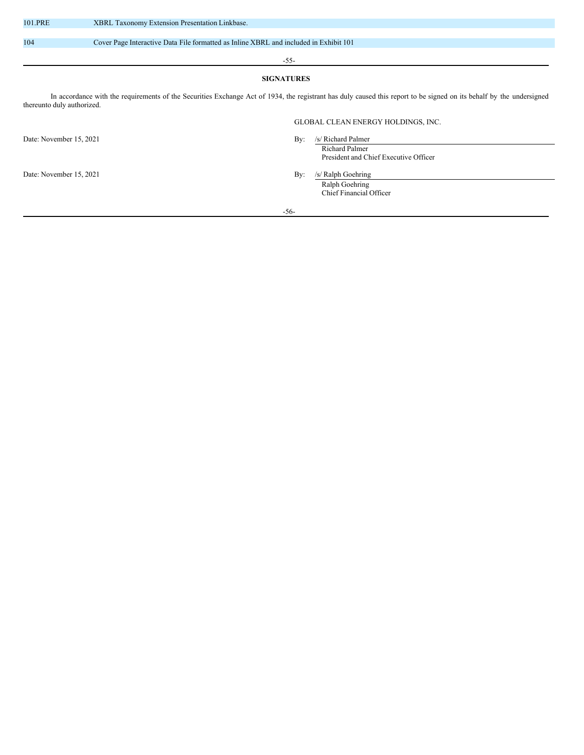| 101.PRE                    | XBRL Taxonomy Extension Presentation Linkbase.                                        |                                                                                                                                                                      |  |  |  |  |
|----------------------------|---------------------------------------------------------------------------------------|----------------------------------------------------------------------------------------------------------------------------------------------------------------------|--|--|--|--|
|                            |                                                                                       |                                                                                                                                                                      |  |  |  |  |
| 104                        | Cover Page Interactive Data File formatted as Inline XBRL and included in Exhibit 101 |                                                                                                                                                                      |  |  |  |  |
|                            |                                                                                       |                                                                                                                                                                      |  |  |  |  |
|                            | $-55-$                                                                                |                                                                                                                                                                      |  |  |  |  |
|                            |                                                                                       |                                                                                                                                                                      |  |  |  |  |
|                            | <b>SIGNATURES</b>                                                                     |                                                                                                                                                                      |  |  |  |  |
|                            |                                                                                       |                                                                                                                                                                      |  |  |  |  |
| thereunto duly authorized. |                                                                                       | In accordance with the requirements of the Securities Exchange Act of 1934, the registrant has duly caused this report to be signed on its behalf by the undersigned |  |  |  |  |
|                            | GLOBAL CLEAN ENERGY HOLDINGS, INC.                                                    |                                                                                                                                                                      |  |  |  |  |
|                            |                                                                                       |                                                                                                                                                                      |  |  |  |  |
| Date: November 15, 2021    | By:                                                                                   | /s/ Richard Palmer                                                                                                                                                   |  |  |  |  |
|                            |                                                                                       | <b>Richard Palmer</b>                                                                                                                                                |  |  |  |  |
|                            |                                                                                       | President and Chief Executive Officer                                                                                                                                |  |  |  |  |
|                            |                                                                                       |                                                                                                                                                                      |  |  |  |  |
| Date: November 15, 2021    | By:                                                                                   | /s/ Ralph Goehring                                                                                                                                                   |  |  |  |  |
|                            |                                                                                       | Ralph Goehring                                                                                                                                                       |  |  |  |  |
|                            |                                                                                       | <b>Chief Financial Officer</b>                                                                                                                                       |  |  |  |  |
|                            |                                                                                       |                                                                                                                                                                      |  |  |  |  |
|                            | $-56-$                                                                                |                                                                                                                                                                      |  |  |  |  |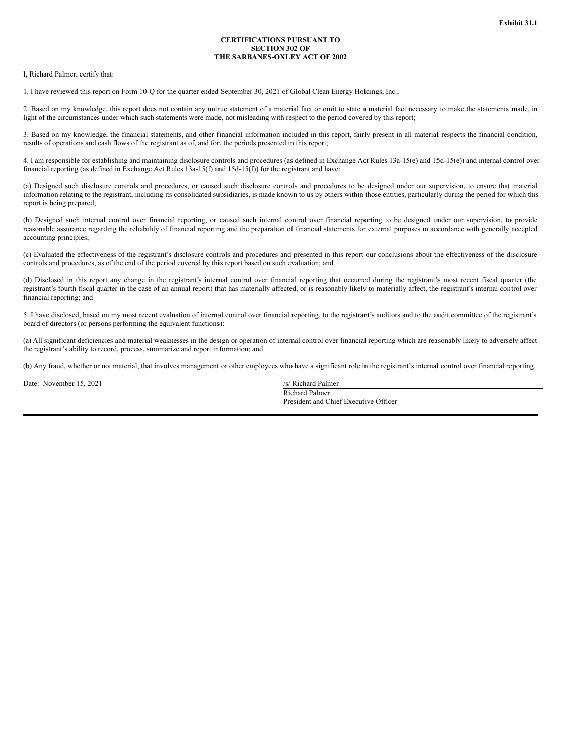### **CERTIFICATIONS PURSUANT TO SECTION 302 OF THE SARBANES-OXLEY ACT OF 2002**

<span id="page-32-0"></span>I, Richard Palmer, certify that:

1. I have reviewed this report on Form 10-Q for the quarter ended September 30, 2021 of Global Clean Energy Holdings, Inc.;

2. Based on my knowledge, this report does not contain any untrue statement of a material fact or omit to state a material fact necessary to make the statements made, in light of the circumstances under which such statements were made, not misleading with respect to the period covered by this report;

3. Based on my knowledge, the financial statements, and other financial information included in this report, fairly present in all material respects the financial condition, results of operations and cash flows of the registrant as of, and for, the periods presented in this report;

4. I am responsible for establishing and maintaining disclosure controls and procedures (as defined in Exchange Act Rules 13a-15(e) and 15d-15(e)) and internal control over financial reporting (as defined in Exchange Act Rules 13a-15(f) and 15d-15(f)) for the registrant and have:

(a) Designed such disclosure controls and procedures, or caused such disclosure controls and procedures to be designed under our supervision, to ensure that material information relating to the registrant, including its consolidated subsidiaries, is made known to us by others within those entities, particularly during the period for which this report is being prepared;

(b) Designed such internal control over financial reporting, or caused such internal control over financial reporting to be designed under our supervision, to provide reasonable assurance regarding the reliability of financial reporting and the preparation of financial statements for external purposes in accordance with generally accepted accounting principles;

(c) Evaluated the effectiveness of the registrant's disclosure controls and procedures and presented in this report our conclusions about the effectiveness of the disclosure controls and procedures, as of the end of the period covered by this report based on such evaluation; and

(d) Disclosed in this report any change in the registrant's internal control over financial reporting that occurred during the registrant's most recent fiscal quarter (the registrant's fourth fiscal quarter in the case of an annual report) that has materially affected, or is reasonably likely to materially affect, the registrant's internal control over financial reporting; and

5. I have disclosed, based on my most recent evaluation of internal control over financial reporting, to the registrant's auditors and to the audit committee of the registrant's board of directors (or persons performing the equivalent functions):

(a) All significant deficiencies and material weaknesses in the design or operation of internal control over financial reporting which are reasonably likely to adversely affect the registrant's ability to record, process, summarize and report information; and

(b) Any fraud, whether or not material, that involves management or other employees who have a significant role in the registrant's internal control over financial reporting.

Date: November 15, 2021 /s/ Richard Palmer

Richard Palmer President and Chief Executive Officer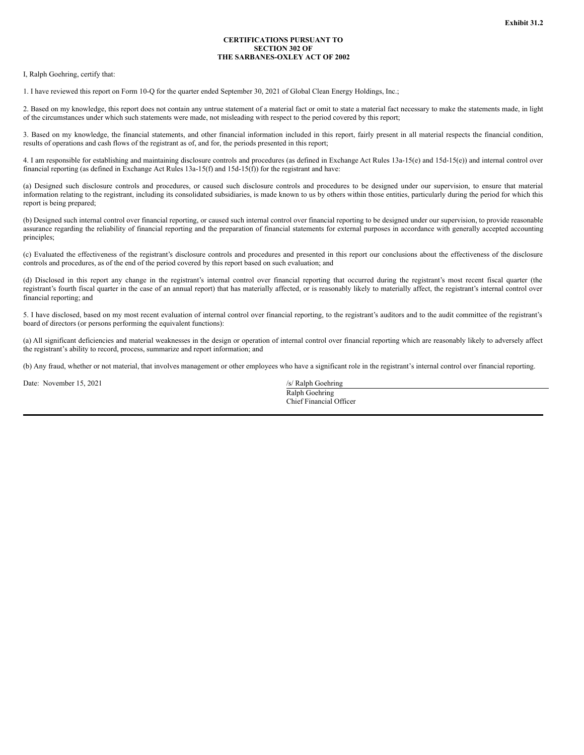### **CERTIFICATIONS PURSUANT TO SECTION 302 OF THE SARBANES-OXLEY ACT OF 2002**

<span id="page-33-0"></span>I, Ralph Goehring, certify that:

1. I have reviewed this report on Form 10-Q for the quarter ended September 30, 2021 of Global Clean Energy Holdings, Inc.;

2. Based on my knowledge, this report does not contain any untrue statement of a material fact or omit to state a material fact necessary to make the statements made, in light of the circumstances under which such statements were made, not misleading with respect to the period covered by this report;

3. Based on my knowledge, the financial statements, and other financial information included in this report, fairly present in all material respects the financial condition, results of operations and cash flows of the registrant as of, and for, the periods presented in this report;

4. I am responsible for establishing and maintaining disclosure controls and procedures (as defined in Exchange Act Rules 13a-15(e) and 15d-15(e)) and internal control over financial reporting (as defined in Exchange Act Rules 13a-15(f) and 15d-15(f)) for the registrant and have:

(a) Designed such disclosure controls and procedures, or caused such disclosure controls and procedures to be designed under our supervision, to ensure that material information relating to the registrant, including its consolidated subsidiaries, is made known to us by others within those entities, particularly during the period for which this report is being prepared;

(b) Designed such internal control over financial reporting, or caused such internal control over financial reporting to be designed under our supervision, to provide reasonable assurance regarding the reliability of financial reporting and the preparation of financial statements for external purposes in accordance with generally accepted accounting principles;

(c) Evaluated the effectiveness of the registrant's disclosure controls and procedures and presented in this report our conclusions about the effectiveness of the disclosure controls and procedures, as of the end of the period covered by this report based on such evaluation; and

(d) Disclosed in this report any change in the registrant's internal control over financial reporting that occurred during the registrant's most recent fiscal quarter (the registrant's fourth fiscal quarter in the case of an annual report) that has materially affected, or is reasonably likely to materially affect, the registrant's internal control over financial reporting; and

5. I have disclosed, based on my most recent evaluation of internal control over financial reporting, to the registrant's auditors and to the audit committee of the registrant's board of directors (or persons performing the equivalent functions):

(a) All significant deficiencies and material weaknesses in the design or operation of internal control over financial reporting which are reasonably likely to adversely affect the registrant's ability to record, process, summarize and report information; and

(b) Any fraud, whether or not material, that involves management or other employees who have a significant role in the registrant's internal control over financial reporting.

Date: November 15, 2021 /s/ Ralph Goehring

Ralph Goehring Chief Financial Officer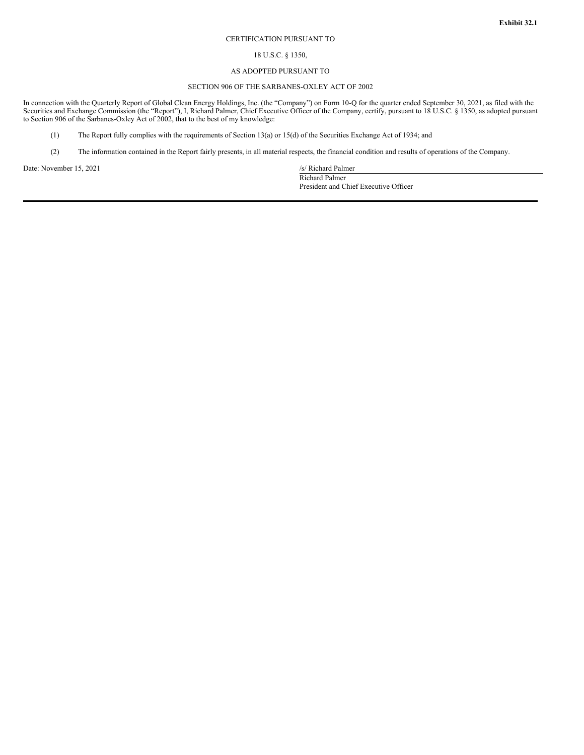### **Exhibit 32.1**

## CERTIFICATION PURSUANT TO

### 18 U.S.C. § 1350,

### AS ADOPTED PURSUANT TO

## SECTION 906 OF THE SARBANES-OXLEY ACT OF 2002

<span id="page-34-0"></span>In connection with the Quarterly Report of Global Clean Energy Holdings, Inc. (the "Company") on Form 10-Q for the quarter ended September 30, 2021, as filed with the Securities and Exchange Commission (the "Report"), I, Richard Palmer, Chief Executive Officer of the Company, certify, pursuant to 18 U.S.C. § 1350, as adopted pursuant to Section 906 of the Sarbanes-Oxley Act of 2002, that to the best of my knowledge:

- (1) The Report fully complies with the requirements of Section 13(a) or 15(d) of the Securities Exchange Act of 1934; and
- (2) The information contained in the Report fairly presents, in all material respects, the financial condition and results of operations of the Company.

Date: November 15, 2021 /s/ Richard Palmer

Richard Palmer President and Chief Executive Officer